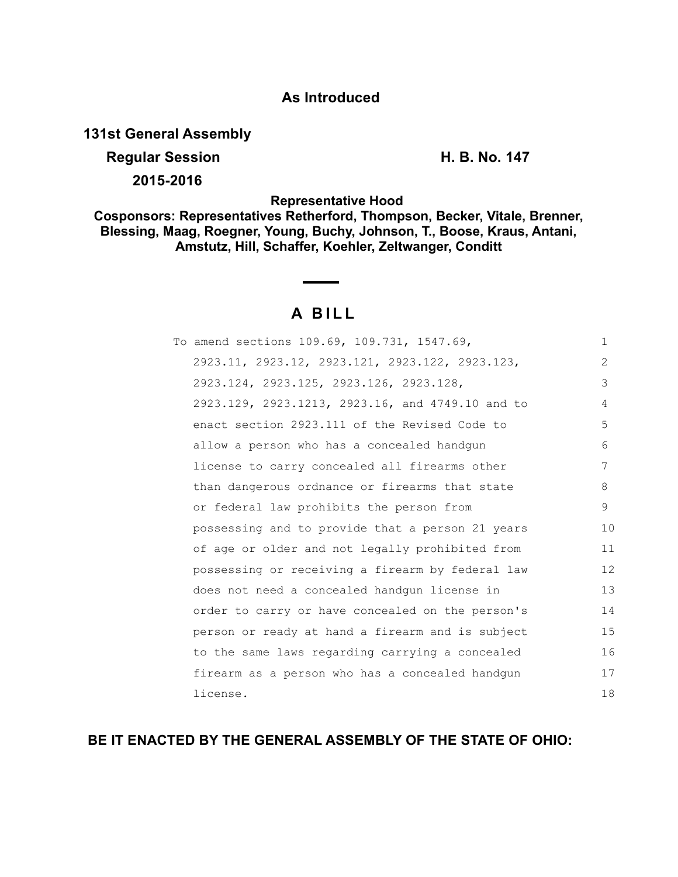### **As Introduced**

**131st General Assembly**

**Regular Session H. B. No. 147** 

**2015-2016**

**Representative Hood** 

**Cosponsors: Representatives Retherford, Thompson, Becker, Vitale, Brenner, Blessing, Maag, Roegner, Young, Buchy, Johnson, T., Boose, Kraus, Antani, Amstutz, Hill, Schaffer, Koehler, Zeltwanger, Conditt**

# **A BILL**

| To amend sections 109.69, 109.731, 1547.69,      | 1  |
|--------------------------------------------------|----|
| 2923.11, 2923.12, 2923.121, 2923.122, 2923.123,  | 2  |
| 2923.124, 2923.125, 2923.126, 2923.128,          | 3  |
| 2923.129, 2923.1213, 2923.16, and 4749.10 and to | 4  |
| enact section 2923.111 of the Revised Code to    | 5  |
| allow a person who has a concealed handqun       | 6  |
| license to carry concealed all firearms other    | 7  |
| than dangerous ordnance or firearms that state   | 8  |
| or federal law prohibits the person from         | 9  |
| possessing and to provide that a person 21 years | 10 |
| of age or older and not legally prohibited from  | 11 |
| possessing or receiving a firearm by federal law | 12 |
| does not need a concealed handqun license in     | 13 |
| order to carry or have concealed on the person's | 14 |
| person or ready at hand a firearm and is subject | 15 |
| to the same laws regarding carrying a concealed  | 16 |
| firearm as a person who has a concealed handgun  | 17 |
| license.                                         | 18 |

## **BE IT ENACTED BY THE GENERAL ASSEMBLY OF THE STATE OF OHIO:**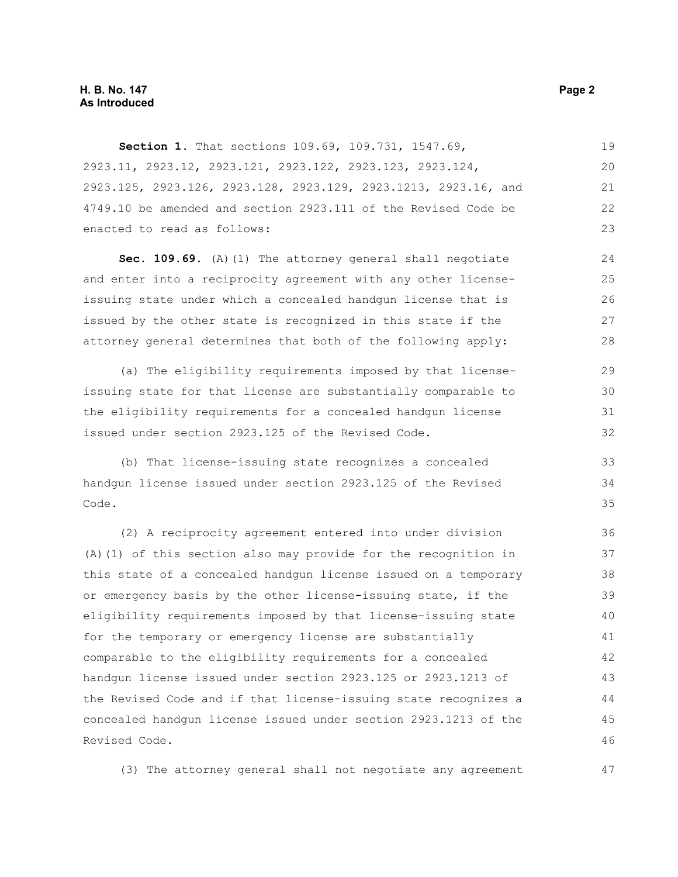**Section 1.** That sections 109.69, 109.731, 1547.69, 2923.11, 2923.12, 2923.121, 2923.122, 2923.123, 2923.124, 2923.125, 2923.126, 2923.128, 2923.129, 2923.1213, 2923.16, and 4749.10 be amended and section 2923.111 of the Revised Code be enacted to read as follows: 19 20 21 22 23

**Sec. 109.69.** (A)(1) The attorney general shall negotiate and enter into a reciprocity agreement with any other licenseissuing state under which a concealed handgun license that is issued by the other state is recognized in this state if the attorney general determines that both of the following apply:

(a) The eligibility requirements imposed by that licenseissuing state for that license are substantially comparable to the eligibility requirements for a concealed handgun license issued under section 2923.125 of the Revised Code. 29 30 31 32

(b) That license-issuing state recognizes a concealed handgun license issued under section 2923.125 of the Revised Code.

(2) A reciprocity agreement entered into under division (A)(1) of this section also may provide for the recognition in this state of a concealed handgun license issued on a temporary or emergency basis by the other license-issuing state, if the eligibility requirements imposed by that license-issuing state for the temporary or emergency license are substantially comparable to the eligibility requirements for a concealed handgun license issued under section 2923.125 or 2923.1213 of the Revised Code and if that license-issuing state recognizes a concealed handgun license issued under section 2923.1213 of the Revised Code. 36 37 38 39 40 41 42 43 44 45 46

(3) The attorney general shall not negotiate any agreement

33 34 35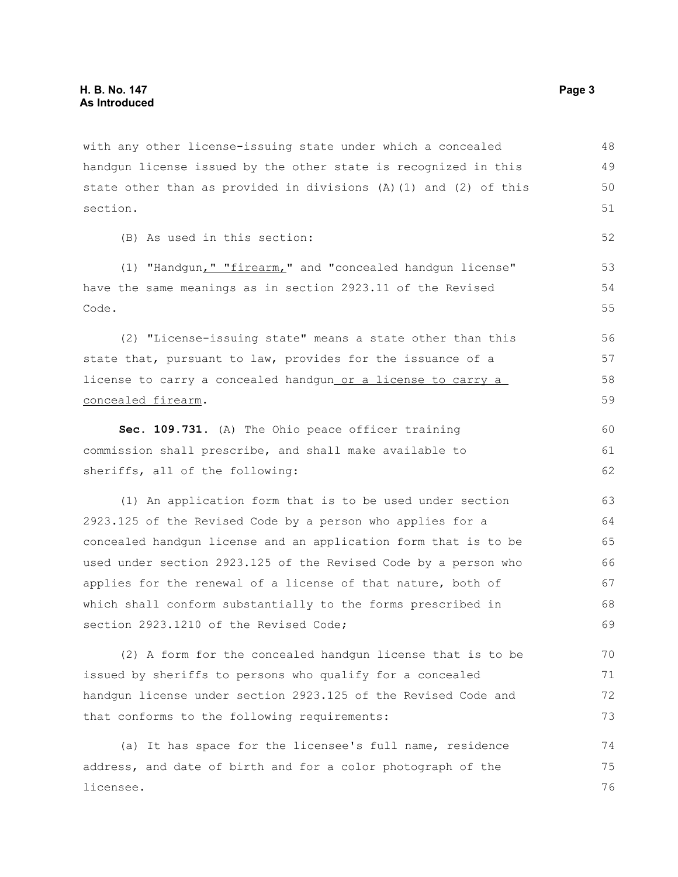with any other license-issuing state under which a concealed handgun license issued by the other state is recognized in this state other than as provided in divisions (A)(1) and (2) of this section. 48 49 50 51

(B) As used in this section:

(1) "Handgun," "firearm," and "concealed handgun license" have the same meanings as in section 2923.11 of the Revised Code.

(2) "License-issuing state" means a state other than this state that, pursuant to law, provides for the issuance of a license to carry a concealed handgun or a license to carry a concealed firearm.

**Sec. 109.731.** (A) The Ohio peace officer training commission shall prescribe, and shall make available to sheriffs, all of the following: 60 61 62

(1) An application form that is to be used under section 2923.125 of the Revised Code by a person who applies for a concealed handgun license and an application form that is to be used under section 2923.125 of the Revised Code by a person who applies for the renewal of a license of that nature, both of which shall conform substantially to the forms prescribed in section 2923.1210 of the Revised Code;

(2) A form for the concealed handgun license that is to be issued by sheriffs to persons who qualify for a concealed handgun license under section 2923.125 of the Revised Code and that conforms to the following requirements: 70 71 72 73

(a) It has space for the licensee's full name, residence address, and date of birth and for a color photograph of the licensee. 74 75 76

52

53 54 55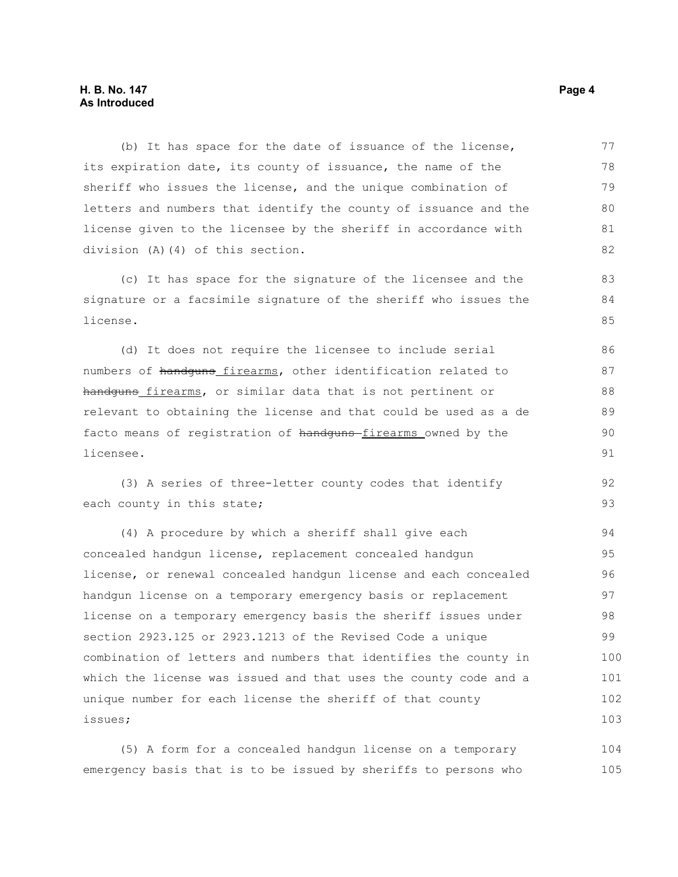#### **H. B. No. 147 Page 4 As Introduced**

(b) It has space for the date of issuance of the license, its expiration date, its county of issuance, the name of the sheriff who issues the license, and the unique combination of letters and numbers that identify the county of issuance and the license given to the licensee by the sheriff in accordance with division (A)(4) of this section. 77 78 79 80 81 82

(c) It has space for the signature of the licensee and the signature or a facsimile signature of the sheriff who issues the license.

(d) It does not require the licensee to include serial numbers of handguns\_firearms, other identification related to handguns firearms, or similar data that is not pertinent or relevant to obtaining the license and that could be used as a de facto means of registration of handguns-firearms owned by the licensee. 86 87 88 89 90 91

(3) A series of three-letter county codes that identify each county in this state;

(4) A procedure by which a sheriff shall give each concealed handgun license, replacement concealed handgun license, or renewal concealed handgun license and each concealed handgun license on a temporary emergency basis or replacement license on a temporary emergency basis the sheriff issues under section 2923.125 or 2923.1213 of the Revised Code a unique combination of letters and numbers that identifies the county in which the license was issued and that uses the county code and a unique number for each license the sheriff of that county issues; 94 95 96 97 98 99 100 101 102 103

(5) A form for a concealed handgun license on a temporary emergency basis that is to be issued by sheriffs to persons who 104 105

83 84 85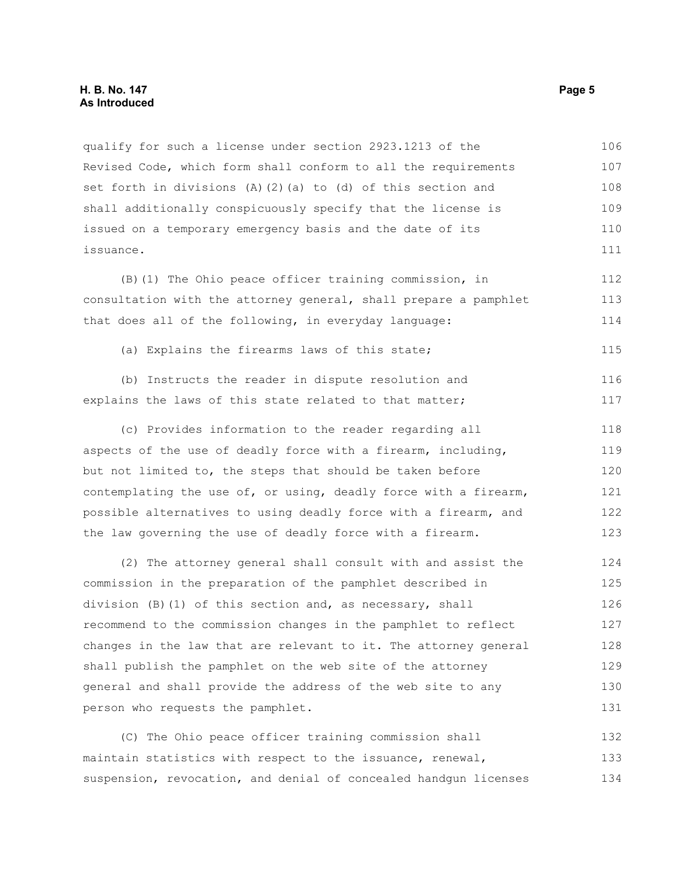qualify for such a license under section 2923.1213 of the Revised Code, which form shall conform to all the requirements set forth in divisions  $(A)$   $(2)$   $(a)$  to  $(d)$  of this section and shall additionally conspicuously specify that the license is issued on a temporary emergency basis and the date of its issuance. 106 107 108 109 110 111

(B)(1) The Ohio peace officer training commission, in consultation with the attorney general, shall prepare a pamphlet that does all of the following, in everyday language: 112 113 114

(a) Explains the firearms laws of this state; 115

(b) Instructs the reader in dispute resolution and explains the laws of this state related to that matter; 116 117

(c) Provides information to the reader regarding all aspects of the use of deadly force with a firearm, including, but not limited to, the steps that should be taken before contemplating the use of, or using, deadly force with a firearm, possible alternatives to using deadly force with a firearm, and the law governing the use of deadly force with a firearm. 118 119 120 121 122 123

(2) The attorney general shall consult with and assist the commission in the preparation of the pamphlet described in division (B)(1) of this section and, as necessary, shall recommend to the commission changes in the pamphlet to reflect changes in the law that are relevant to it. The attorney general shall publish the pamphlet on the web site of the attorney general and shall provide the address of the web site to any person who requests the pamphlet. 124 125 126 127 128 129 130 131

(C) The Ohio peace officer training commission shall maintain statistics with respect to the issuance, renewal, suspension, revocation, and denial of concealed handgun licenses 132 133 134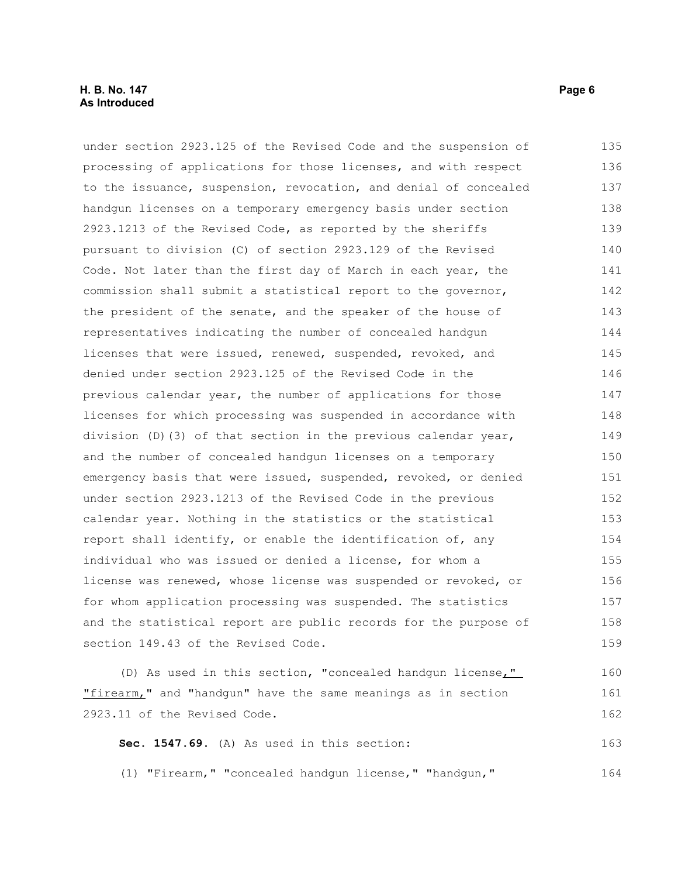#### **H. B. No. 147 Page 6 As Introduced**

under section 2923.125 of the Revised Code and the suspension of processing of applications for those licenses, and with respect to the issuance, suspension, revocation, and denial of concealed handgun licenses on a temporary emergency basis under section 2923.1213 of the Revised Code, as reported by the sheriffs pursuant to division (C) of section 2923.129 of the Revised Code. Not later than the first day of March in each year, the commission shall submit a statistical report to the governor, the president of the senate, and the speaker of the house of representatives indicating the number of concealed handgun licenses that were issued, renewed, suspended, revoked, and denied under section 2923.125 of the Revised Code in the previous calendar year, the number of applications for those licenses for which processing was suspended in accordance with division (D)(3) of that section in the previous calendar year, and the number of concealed handgun licenses on a temporary emergency basis that were issued, suspended, revoked, or denied under section 2923.1213 of the Revised Code in the previous calendar year. Nothing in the statistics or the statistical report shall identify, or enable the identification of, any individual who was issued or denied a license, for whom a license was renewed, whose license was suspended or revoked, or for whom application processing was suspended. The statistics and the statistical report are public records for the purpose of section 149.43 of the Revised Code. (D) As used in this section, "concealed handgun license," 135 136 137 138 139 140 141 142 143 144 145 146 147 148 149 150 151 152 153 154 155 156 157 158 159 160

"firearm," and "handgun" have the same meanings as in section 2923.11 of the Revised Code. 161 162

**Sec. 1547.69.** (A) As used in this section: 163

(1) "Firearm," "concealed handgun license," "handgun," 164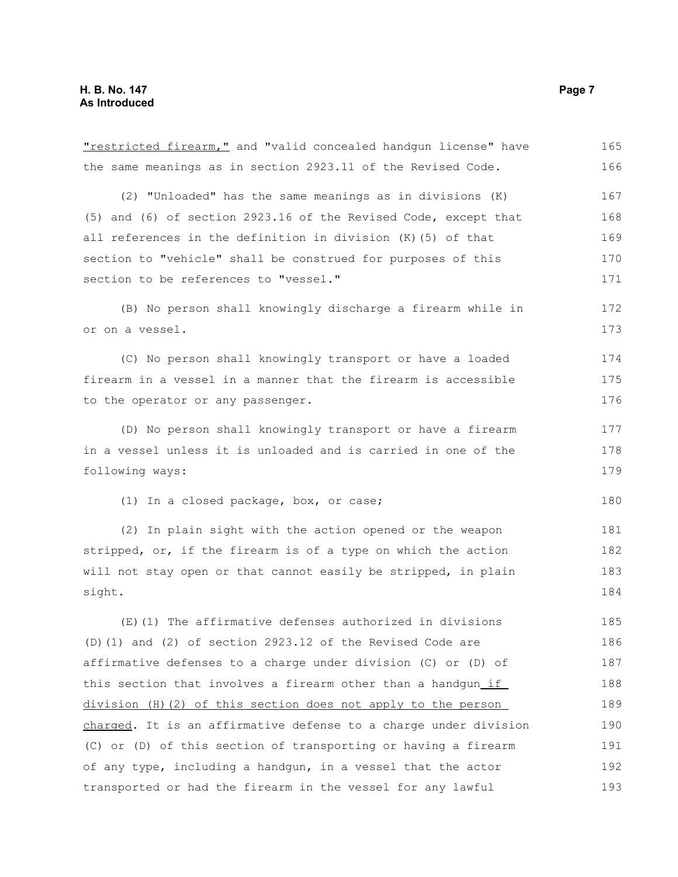| "restricted firearm," and "valid concealed handgun license" have | 165 |
|------------------------------------------------------------------|-----|
| the same meanings as in section 2923.11 of the Revised Code.     | 166 |
| (2) "Unloaded" has the same meanings as in divisions (K)         | 167 |
| (5) and (6) of section 2923.16 of the Revised Code, except that  | 168 |
| all references in the definition in division (K) (5) of that     | 169 |
| section to "vehicle" shall be construed for purposes of this     | 170 |
| section to be references to "vessel."                            | 171 |
| (B) No person shall knowingly discharge a firearm while in       | 172 |
| or on a vessel.                                                  | 173 |
| (C) No person shall knowingly transport or have a loaded         | 174 |
| firearm in a vessel in a manner that the firearm is accessible   | 175 |
| to the operator or any passenger.                                | 176 |
| (D) No person shall knowingly transport or have a firearm        | 177 |
| in a vessel unless it is unloaded and is carried in one of the   | 178 |
| following ways:                                                  | 179 |
| (1) In a closed package, box, or case;                           | 180 |
| (2) In plain sight with the action opened or the weapon          | 181 |
| stripped, or, if the firearm is of a type on which the action    | 182 |
| will not stay open or that cannot easily be stripped, in plain   | 183 |
| sight.                                                           | 184 |
| $(E)$ (1) The affirmative defenses authorized in divisions       | 185 |
| $(D)$ (1) and (2) of section 2923.12 of the Revised Code are     | 186 |
| affirmative defenses to a charge under division (C) or (D) of    | 187 |
| this section that involves a firearm other than a handgun_if_    | 188 |
| division (H) (2) of this section does not apply to the person    | 189 |
| charged. It is an affirmative defense to a charge under division | 190 |
| (C) or (D) of this section of transporting or having a firearm   | 191 |
| of any type, including a handgun, in a vessel that the actor     | 192 |
| transported or had the firearm in the vessel for any lawful      | 193 |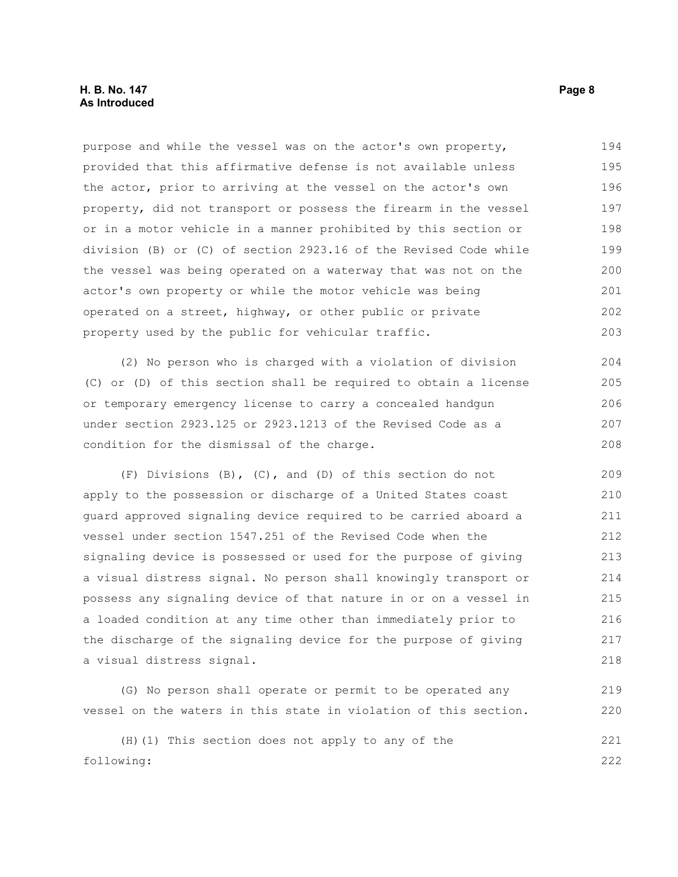#### **H. B. No. 147 Page 8 As Introduced**

purpose and while the vessel was on the actor's own property, provided that this affirmative defense is not available unless the actor, prior to arriving at the vessel on the actor's own property, did not transport or possess the firearm in the vessel or in a motor vehicle in a manner prohibited by this section or division (B) or (C) of section 2923.16 of the Revised Code while the vessel was being operated on a waterway that was not on the actor's own property or while the motor vehicle was being operated on a street, highway, or other public or private property used by the public for vehicular traffic. 194 195 196 197 198 199 200 201 202 203

(2) No person who is charged with a violation of division (C) or (D) of this section shall be required to obtain a license or temporary emergency license to carry a concealed handgun under section 2923.125 or 2923.1213 of the Revised Code as a condition for the dismissal of the charge. 204 205 206 207 208

(F) Divisions (B), (C), and (D) of this section do not apply to the possession or discharge of a United States coast guard approved signaling device required to be carried aboard a vessel under section 1547.251 of the Revised Code when the signaling device is possessed or used for the purpose of giving a visual distress signal. No person shall knowingly transport or possess any signaling device of that nature in or on a vessel in a loaded condition at any time other than immediately prior to the discharge of the signaling device for the purpose of giving a visual distress signal. 209 210 211 212 213 214 215 216 217 218

(G) No person shall operate or permit to be operated any vessel on the waters in this state in violation of this section. 219 220

(H)(1) This section does not apply to any of the following: 221 222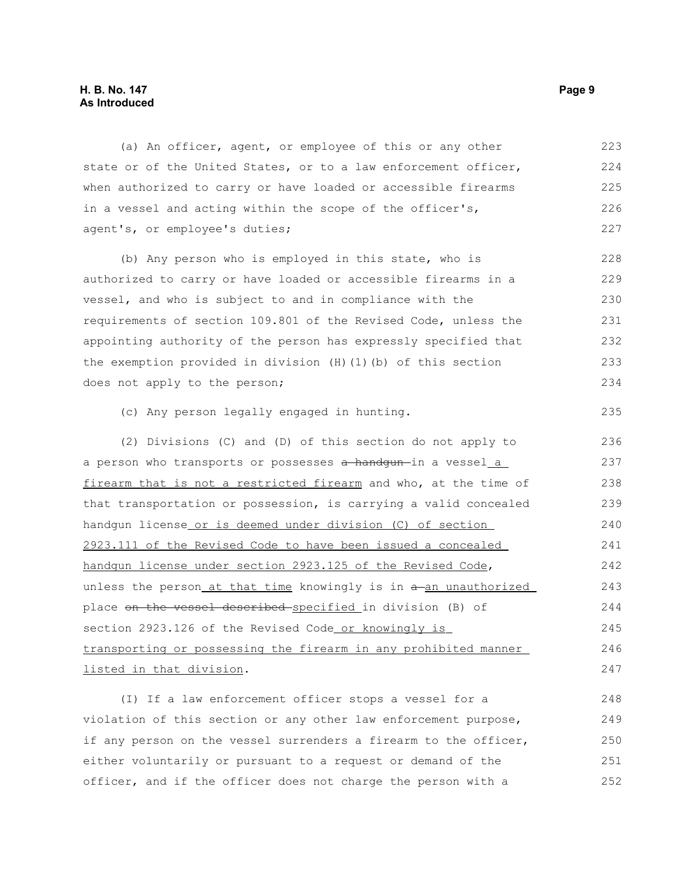#### **H. B. No. 147 Page 9 As Introduced**

(a) An officer, agent, or employee of this or any other state or of the United States, or to a law enforcement officer, when authorized to carry or have loaded or accessible firearms in a vessel and acting within the scope of the officer's, agent's, or employee's duties; 223 224 225 226 227

(b) Any person who is employed in this state, who is authorized to carry or have loaded or accessible firearms in a vessel, and who is subject to and in compliance with the requirements of section 109.801 of the Revised Code, unless the appointing authority of the person has expressly specified that the exemption provided in division (H)(1)(b) of this section does not apply to the person; 228 229 230 231 232 233 234

(c) Any person legally engaged in hunting.

(2) Divisions (C) and (D) of this section do not apply to a person who transports or possesses a handgun-in a vessel\_a firearm that is not a restricted firearm and who, at the time of that transportation or possession, is carrying a valid concealed handgun license or is deemed under division (C) of section 2923.111 of the Revised Code to have been issued a concealed handgun license under section 2923.125 of the Revised Code, unless the person at that time knowingly is in  $a$ -an unauthorized place on the vessel described specified in division (B) of section 2923.126 of the Revised Code or knowingly is transporting or possessing the firearm in any prohibited manner listed in that division. 236 237 238 239 240 241 242 243 244 245 246 247

(I) If a law enforcement officer stops a vessel for a violation of this section or any other law enforcement purpose, if any person on the vessel surrenders a firearm to the officer, either voluntarily or pursuant to a request or demand of the officer, and if the officer does not charge the person with a 248 249 250 251 252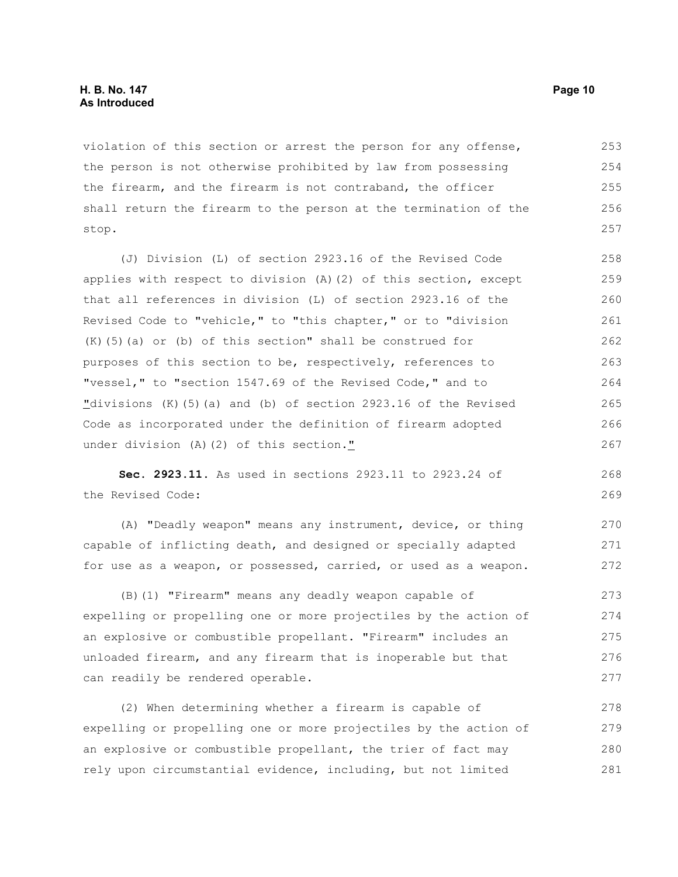#### **H. B. No. 147 Page 10 As Introduced**

violation of this section or arrest the person for any offense, the person is not otherwise prohibited by law from possessing the firearm, and the firearm is not contraband, the officer shall return the firearm to the person at the termination of the stop. 253 254 255 256 257

(J) Division (L) of section 2923.16 of the Revised Code applies with respect to division (A)(2) of this section, except that all references in division (L) of section 2923.16 of the Revised Code to "vehicle," to "this chapter," or to "division (K)(5)(a) or (b) of this section" shall be construed for purposes of this section to be, respectively, references to "vessel," to "section 1547.69 of the Revised Code," and to "divisions  $(K)$  (5)(a) and (b) of section 2923.16 of the Revised Code as incorporated under the definition of firearm adopted under division (A)(2) of this section." 258 259 260 261 262 263 264 265 266 267

**Sec. 2923.11.** As used in sections 2923.11 to 2923.24 of the Revised Code: 268 269

(A) "Deadly weapon" means any instrument, device, or thing capable of inflicting death, and designed or specially adapted for use as a weapon, or possessed, carried, or used as a weapon. 270 271 272

(B)(1) "Firearm" means any deadly weapon capable of expelling or propelling one or more projectiles by the action of an explosive or combustible propellant. "Firearm" includes an unloaded firearm, and any firearm that is inoperable but that can readily be rendered operable. 273 274 275 276 277

(2) When determining whether a firearm is capable of expelling or propelling one or more projectiles by the action of an explosive or combustible propellant, the trier of fact may rely upon circumstantial evidence, including, but not limited 278 279 280 281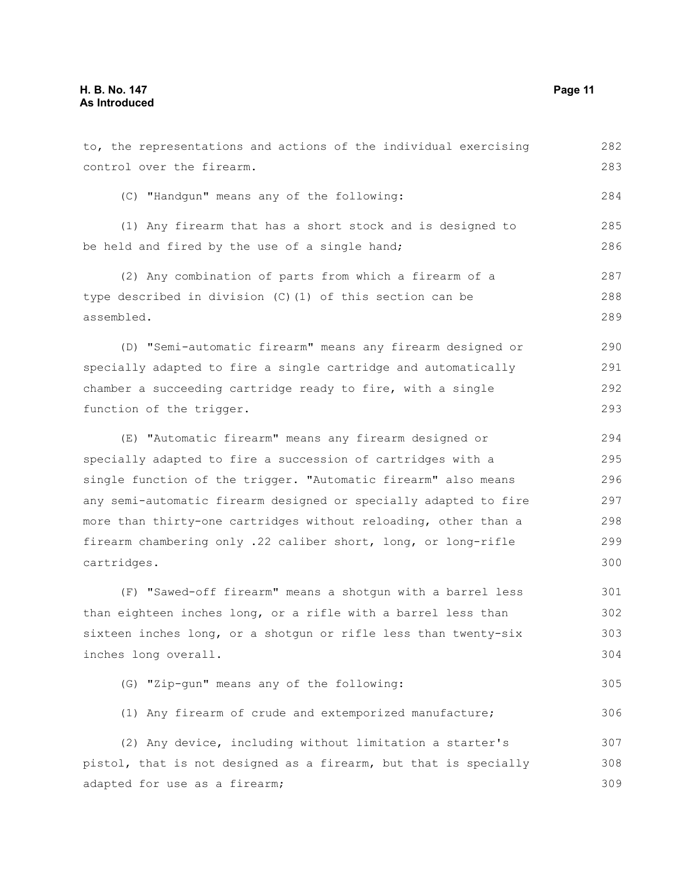control over the firearm.

(C) "Handgun" means any of the following:

(1) Any firearm that has a short stock and is designed to be held and fired by the use of a single hand; 285 286

(2) Any combination of parts from which a firearm of a type described in division (C)(1) of this section can be assembled. 287 288 289

(D) "Semi-automatic firearm" means any firearm designed or specially adapted to fire a single cartridge and automatically chamber a succeeding cartridge ready to fire, with a single function of the trigger. 290 291 292 293

(E) "Automatic firearm" means any firearm designed or specially adapted to fire a succession of cartridges with a single function of the trigger. "Automatic firearm" also means any semi-automatic firearm designed or specially adapted to fire more than thirty-one cartridges without reloading, other than a firearm chambering only .22 caliber short, long, or long-rifle cartridges. 294 295 296 297 298 299 300

(F) "Sawed-off firearm" means a shotgun with a barrel less than eighteen inches long, or a rifle with a barrel less than sixteen inches long, or a shotgun or rifle less than twenty-six inches long overall. 301 302 303 304

|  |  |  |  |  |  | (G) "Zip-gun" means any of the following: | 305 |
|--|--|--|--|--|--|-------------------------------------------|-----|
|--|--|--|--|--|--|-------------------------------------------|-----|

(1) Any firearm of crude and extemporized manufacture;

(2) Any device, including without limitation a starter's pistol, that is not designed as a firearm, but that is specially adapted for use as a firearm; 307 308 309

282 283

284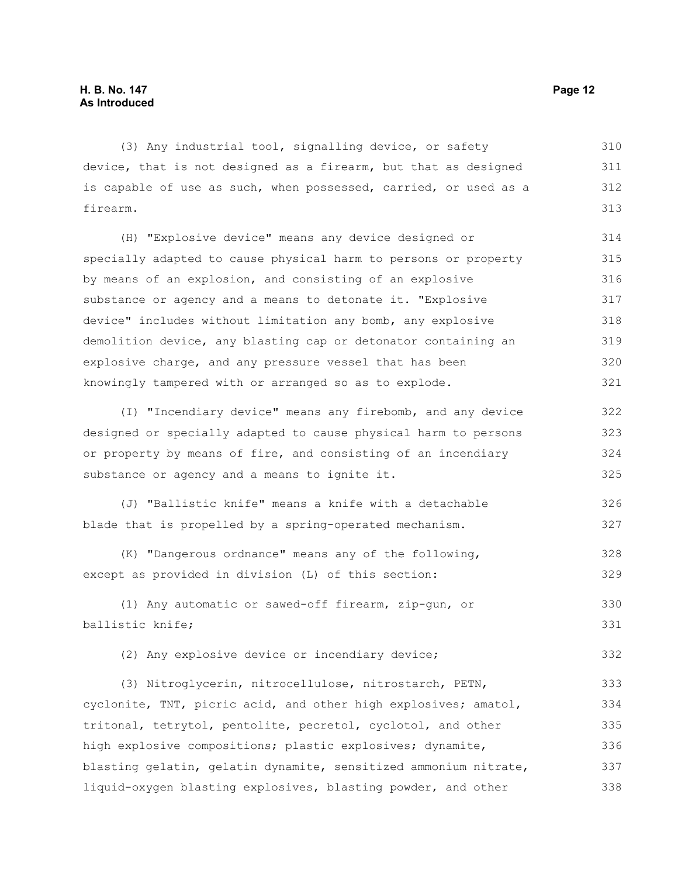(3) Any industrial tool, signalling device, or safety device, that is not designed as a firearm, but that as designed is capable of use as such, when possessed, carried, or used as a firearm. 310 311 312 313

(H) "Explosive device" means any device designed or specially adapted to cause physical harm to persons or property by means of an explosion, and consisting of an explosive substance or agency and a means to detonate it. "Explosive device" includes without limitation any bomb, any explosive demolition device, any blasting cap or detonator containing an explosive charge, and any pressure vessel that has been knowingly tampered with or arranged so as to explode. 314 315 316 317 318 319 320 321

(I) "Incendiary device" means any firebomb, and any device designed or specially adapted to cause physical harm to persons or property by means of fire, and consisting of an incendiary substance or agency and a means to ignite it. 322 323 324 325

(J) "Ballistic knife" means a knife with a detachable blade that is propelled by a spring-operated mechanism. 326 327

(K) "Dangerous ordnance" means any of the following, except as provided in division (L) of this section: 328 329

(1) Any automatic or sawed-off firearm, zip-gun, or ballistic knife; 330 331

(2) Any explosive device or incendiary device;

(3) Nitroglycerin, nitrocellulose, nitrostarch, PETN, cyclonite, TNT, picric acid, and other high explosives; amatol, tritonal, tetrytol, pentolite, pecretol, cyclotol, and other high explosive compositions; plastic explosives; dynamite, blasting gelatin, gelatin dynamite, sensitized ammonium nitrate, liquid-oxygen blasting explosives, blasting powder, and other 333 334 335 336 337 338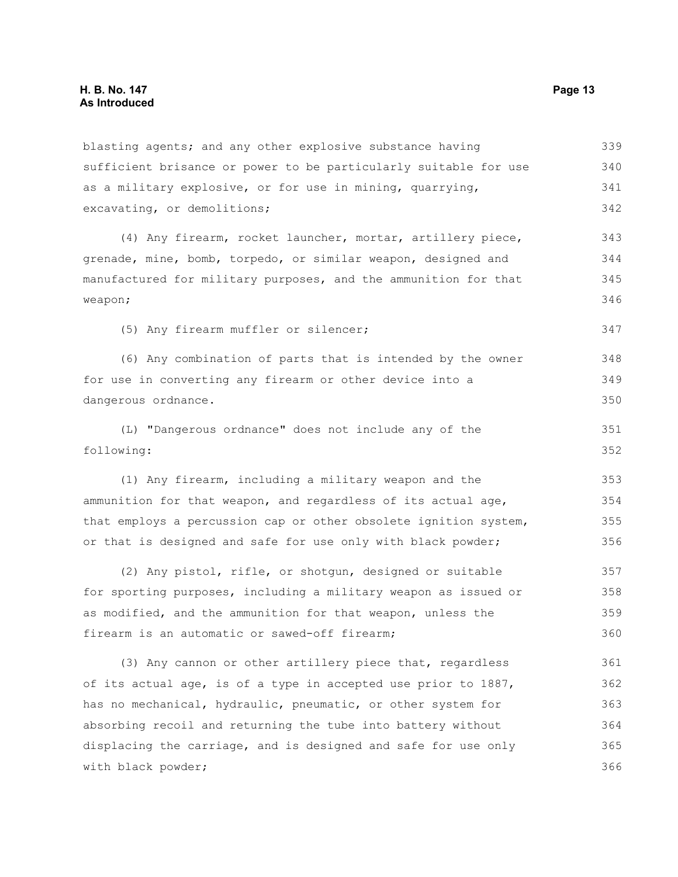blasting agents; and any other explosive substance having sufficient brisance or power to be particularly suitable for use as a military explosive, or for use in mining, quarrying, excavating, or demolitions; 339 340 341 342

(4) Any firearm, rocket launcher, mortar, artillery piece, grenade, mine, bomb, torpedo, or similar weapon, designed and manufactured for military purposes, and the ammunition for that weapon; 343 344 345 346

(5) Any firearm muffler or silencer;

(6) Any combination of parts that is intended by the owner for use in converting any firearm or other device into a dangerous ordnance. 348 349 350

(L) "Dangerous ordnance" does not include any of the following: 351 352

(1) Any firearm, including a military weapon and the ammunition for that weapon, and regardless of its actual age, that employs a percussion cap or other obsolete ignition system, or that is designed and safe for use only with black powder; 353 354 355 356

(2) Any pistol, rifle, or shotgun, designed or suitable for sporting purposes, including a military weapon as issued or as modified, and the ammunition for that weapon, unless the firearm is an automatic or sawed-off firearm; 357 358 359 360

(3) Any cannon or other artillery piece that, regardless of its actual age, is of a type in accepted use prior to 1887, has no mechanical, hydraulic, pneumatic, or other system for absorbing recoil and returning the tube into battery without displacing the carriage, and is designed and safe for use only with black powder; 361 362 363 364 365 366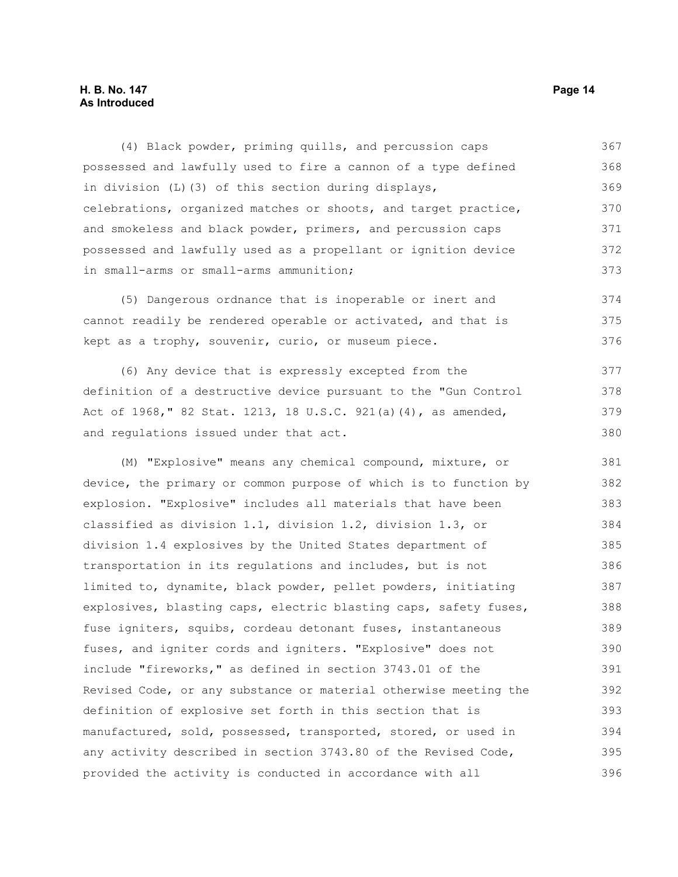#### **H. B. No. 147 Page 14 As Introduced**

(4) Black powder, priming quills, and percussion caps possessed and lawfully used to fire a cannon of a type defined in division (L)(3) of this section during displays, celebrations, organized matches or shoots, and target practice, and smokeless and black powder, primers, and percussion caps possessed and lawfully used as a propellant or ignition device in small-arms or small-arms ammunition; 367 368 369 370 371 372 373

(5) Dangerous ordnance that is inoperable or inert and cannot readily be rendered operable or activated, and that is kept as a trophy, souvenir, curio, or museum piece. 374 375 376

(6) Any device that is expressly excepted from the definition of a destructive device pursuant to the "Gun Control Act of 1968," 82 Stat. 1213, 18 U.S.C. 921(a)(4), as amended, and regulations issued under that act. 377 378 379 380

(M) "Explosive" means any chemical compound, mixture, or device, the primary or common purpose of which is to function by explosion. "Explosive" includes all materials that have been classified as division 1.1, division 1.2, division 1.3, or division 1.4 explosives by the United States department of transportation in its regulations and includes, but is not limited to, dynamite, black powder, pellet powders, initiating explosives, blasting caps, electric blasting caps, safety fuses, fuse igniters, squibs, cordeau detonant fuses, instantaneous fuses, and igniter cords and igniters. "Explosive" does not include "fireworks," as defined in section 3743.01 of the Revised Code, or any substance or material otherwise meeting the definition of explosive set forth in this section that is manufactured, sold, possessed, transported, stored, or used in any activity described in section 3743.80 of the Revised Code, provided the activity is conducted in accordance with all 381 382 383 384 385 386 387 388 389 390 391 392 393 394 395 396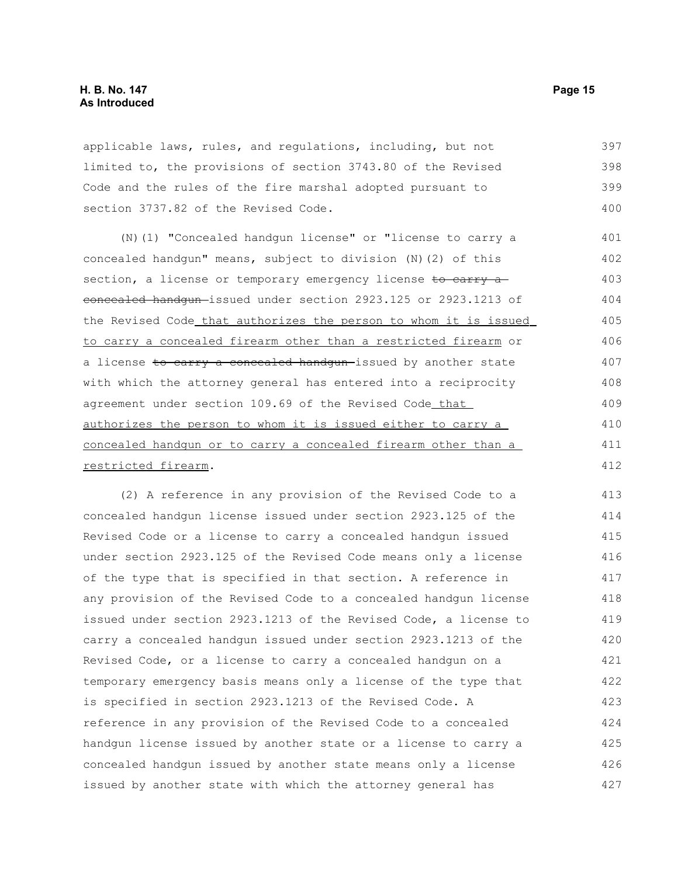applicable laws, rules, and regulations, including, but not limited to, the provisions of section 3743.80 of the Revised Code and the rules of the fire marshal adopted pursuant to section 3737.82 of the Revised Code. 397 398 399 400

(N)(1) "Concealed handgun license" or "license to carry a concealed handgun" means, subject to division (N)(2) of this section, a license or temporary emergency license to carry a concealed handgun issued under section 2923.125 or 2923.1213 of the Revised Code that authorizes the person to whom it is issued to carry a concealed firearm other than a restricted firearm or a license to carry a concealed handgun-issued by another state with which the attorney general has entered into a reciprocity agreement under section 109.69 of the Revised Code that authorizes the person to whom it is issued either to carry a concealed handgun or to carry a concealed firearm other than a restricted firearm. 401 402 403 404 405 406 407 408 409 410 411 412

(2) A reference in any provision of the Revised Code to a concealed handgun license issued under section 2923.125 of the Revised Code or a license to carry a concealed handgun issued under section 2923.125 of the Revised Code means only a license of the type that is specified in that section. A reference in any provision of the Revised Code to a concealed handgun license issued under section 2923.1213 of the Revised Code, a license to carry a concealed handgun issued under section 2923.1213 of the Revised Code, or a license to carry a concealed handgun on a temporary emergency basis means only a license of the type that is specified in section 2923.1213 of the Revised Code. A reference in any provision of the Revised Code to a concealed handgun license issued by another state or a license to carry a concealed handgun issued by another state means only a license issued by another state with which the attorney general has 413 414 415 416 417 418 419 420 421 422 423 424 425 426 427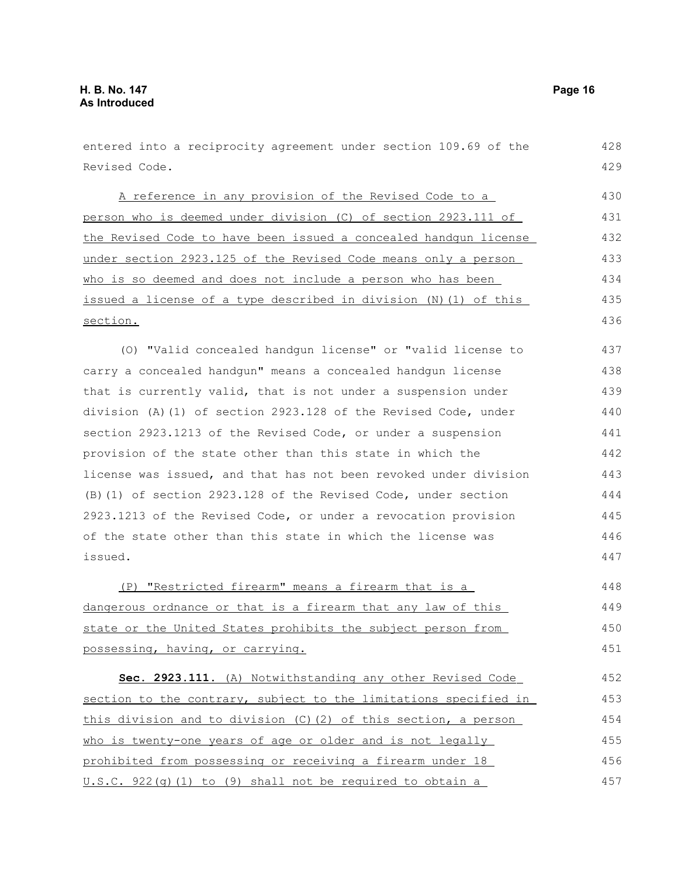| entered into a reciprocity agreement under section 109.69 of the | 428 |
|------------------------------------------------------------------|-----|
| Revised Code.                                                    | 429 |
| A reference in any provision of the Revised Code to a            | 430 |
| person who is deemed under division (C) of section 2923.111 of   | 431 |
| the Revised Code to have been issued a concealed handqun license | 432 |
| under section 2923.125 of the Revised Code means only a person   | 433 |
| who is so deemed and does not include a person who has been      | 434 |
| issued a license of a type described in division (N) (1) of this | 435 |
| section.                                                         | 436 |
| (0) "Valid concealed handgun license" or "valid license to       | 437 |
| carry a concealed handgun" means a concealed handgun license     | 438 |
| that is currently valid, that is not under a suspension under    | 439 |
| division (A)(1) of section 2923.128 of the Revised Code, under   | 440 |
| section 2923.1213 of the Revised Code, or under a suspension     | 441 |
| provision of the state other than this state in which the        | 442 |
| license was issued, and that has not been revoked under division | 443 |
| (B) (1) of section 2923.128 of the Revised Code, under section   | 444 |
| 2923.1213 of the Revised Code, or under a revocation provision   | 445 |
| of the state other than this state in which the license was      | 446 |
| issued.                                                          | 447 |
| (P) "Restricted firearm" means a firearm that is a               | 448 |
| dangerous ordnance or that is a firearm that any law of this     | 449 |
| state or the United States prohibits the subject person from     | 450 |
| possessing, having, or carrying.                                 | 451 |
| Sec. 2923.111. (A) Notwithstanding any other Revised Code        | 452 |
| section to the contrary, subject to the limitations specified in | 453 |
| this division and to division (C)(2) of this section, a person   | 454 |
| who is twenty-one years of age or older and is not legally       | 455 |
| prohibited from possessing or receiving a firearm under 18       | 456 |
| $U.S.C.$ 922(q)(1) to (9) shall not be required to obtain a      | 457 |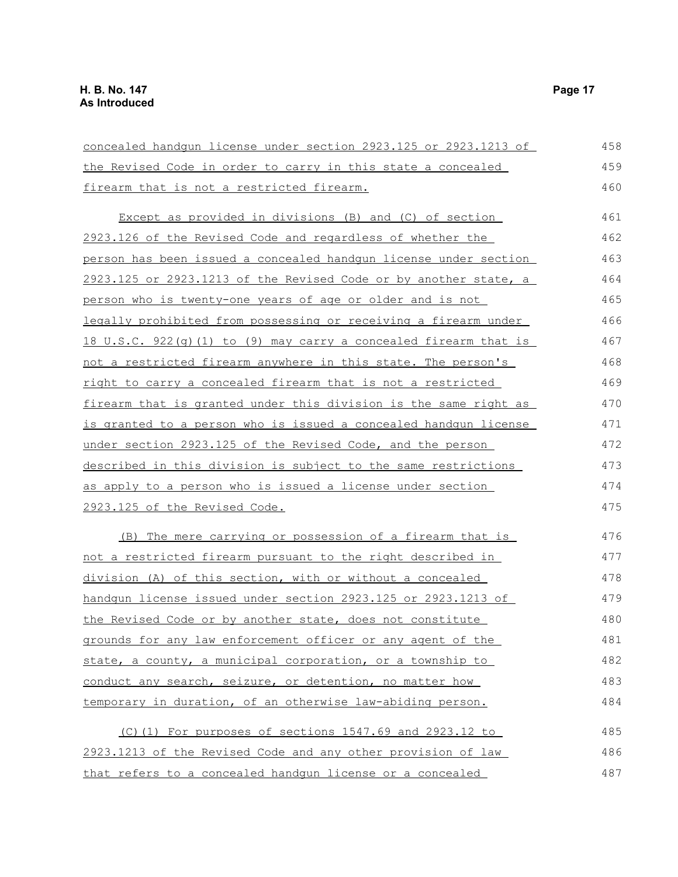| concealed handgun license under section 2923.125 or 2923.1213 of | 458 |
|------------------------------------------------------------------|-----|
| the Revised Code in order to carry in this state a concealed     | 459 |
| firearm that is not a restricted firearm.                        | 460 |
| Except as provided in divisions (B) and (C) of section           | 461 |
| 2923.126 of the Revised Code and regardless of whether the       | 462 |
| person has been issued a concealed handgun license under section | 463 |
| 2923.125 or 2923.1213 of the Revised Code or by another state, a | 464 |
| person who is twenty-one years of age or older and is not        | 465 |
| legally prohibited from possessing or receiving a firearm under  | 466 |
| 18 U.S.C. 922(g)(1) to (9) may carry a concealed firearm that is | 467 |
| not a restricted firearm anywhere in this state. The person's    | 468 |
| right to carry a concealed firearm that is not a restricted      | 469 |
| firearm that is granted under this division is the same right as | 470 |
| is granted to a person who is issued a concealed handqun license | 471 |
|                                                                  | 472 |
| under section 2923.125 of the Revised Code, and the person       |     |
| described in this division is subject to the same restrictions   | 473 |
| as apply to a person who is issued a license under section       | 474 |
| 2923.125 of the Revised Code.                                    | 475 |
| (B) The mere carrying or possession of a firearm that is         | 476 |
| not a restricted firearm pursuant to the right described in      | 477 |
| division (A) of this section, with or without a concealed        | 478 |
| handqun license issued under section 2923.125 or 2923.1213 of    | 479 |
| the Revised Code or by another state, does not constitute        | 480 |
| grounds for any law enforcement officer or any agent of the      | 481 |
| state, a county, a municipal corporation, or a township to       | 482 |
| conduct any search, seizure, or detention, no matter how         | 483 |
| temporary in duration, of an otherwise law-abiding person.       | 484 |
| (C)(1) For purposes of sections 1547.69 and 2923.12 to           | 485 |
| 2923.1213 of the Revised Code and any other provision of law     | 486 |
| that refers to a concealed handgun license or a concealed        | 487 |
|                                                                  |     |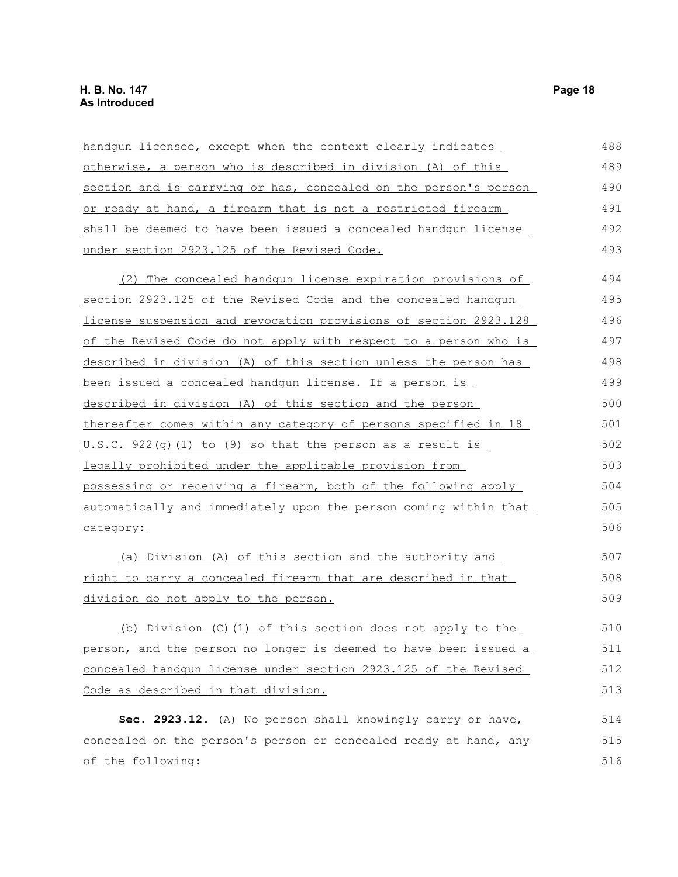| handqun licensee, except when the context clearly indicates         | 488 |
|---------------------------------------------------------------------|-----|
| otherwise, a person who is described in division (A) of this        | 489 |
| section and is carrying or has, concealed on the person's person    | 490 |
| <u>or ready at hand, a firearm that is not a restricted firearm</u> | 491 |
| shall be deemed to have been issued a concealed handqun license     | 492 |
| under section 2923.125 of the Revised Code.                         | 493 |
| (2) The concealed handqun license expiration provisions of          | 494 |
| section 2923.125 of the Revised Code and the concealed handgun      | 495 |
| license suspension and revocation provisions of section 2923.128    | 496 |
| of the Revised Code do not apply with respect to a person who is    | 497 |
| described in division (A) of this section unless the person has     | 498 |
| been issued a concealed handqun license. If a person is             | 499 |
| described in division (A) of this section and the person            | 500 |
| thereafter comes within any category of persons specified in 18     | 501 |
| $U.S.C. 922(g) (1) to (9) so that the person as a result is$        | 502 |
| legally prohibited under the applicable provision from              | 503 |
| possessing or receiving a firearm, both of the following apply      | 504 |
| automatically and immediately upon the person coming within that    | 505 |
| category:                                                           | 506 |
| (a) Division (A) of this section and the authority and              | 507 |
| right to carry a concealed firearm that are described in that       | 508 |
| division do not apply to the person.                                | 509 |
| (b) Division (C) (1) of this section does not apply to the          | 510 |
| person, and the person no longer is deemed to have been issued a    | 511 |
| concealed handgun license under section 2923.125 of the Revised     | 512 |
| Code as described in that division.                                 | 513 |
| Sec. 2923.12. (A) No person shall knowingly carry or have,          | 514 |
| concealed on the person's person or concealed ready at hand, any    | 515 |
| of the following:                                                   | 516 |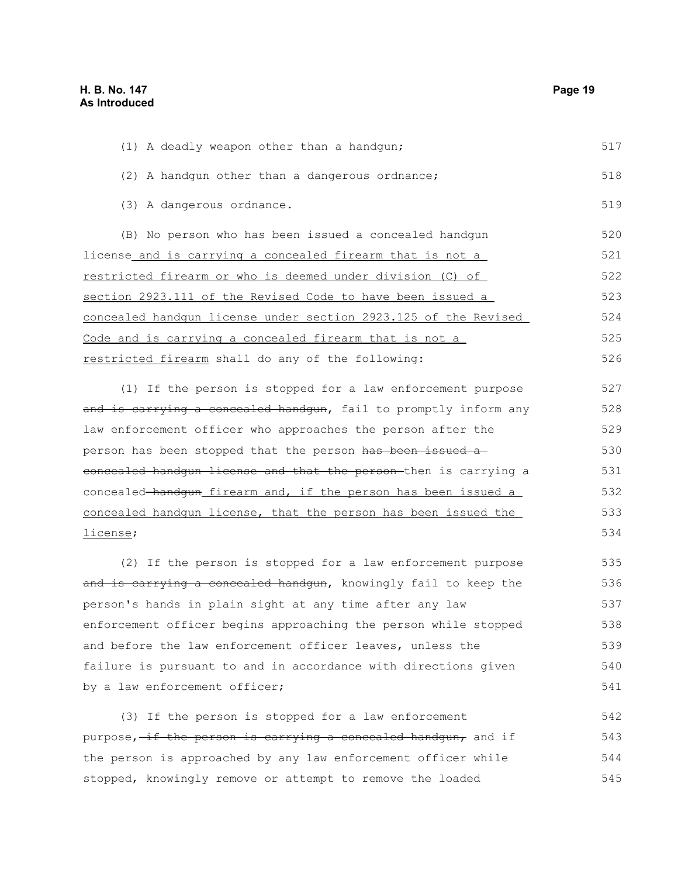| (1) A deadly weapon other than a handgun;                        | $517$      |
|------------------------------------------------------------------|------------|
| (2) A handgun other than a dangerous ordnance;                   | 518        |
| (3) A dangerous ordnance.                                        | 519        |
| (B) No person who has been issued a concealed handgun            | 520        |
| license and is carrying a concealed firearm that is not a        | 521        |
| restricted firearm or who is deemed under division (C) of        | 522        |
| section 2923.111 of the Revised Code to have been issued a       | 523        |
| concealed handgun license under section 2923.125 of the Revised  | 524        |
| Code and is carrying a concealed firearm that is not a           | 525        |
| restricted firearm shall do any of the following:                | 526        |
| (1) If the person is stopped for a law enforcement purpose       | 527        |
| and is carrying a concealed handgun, fail to promptly inform any | 528        |
| law enforcement officer who approaches the person after the      | 529        |
| person has been stopped that the person has been issued a        | 530        |
| concealed handgun license and that the person-then is carrying a | 531        |
| concealed handgun firearm and, if the person has been issued a   | 532        |
| concealed handqun license, that the person has been issued the   | 533        |
| <u>license;</u>                                                  | 534        |
| (2) If the person is stopped for a law enforcement purpose       | 535        |
| and is carrying a concealed handgun, knowingly fail to keep the  | 536        |
| person's hands in plain sight at any time after any law          | 537        |
| enforcement officer begins approaching the person while stopped  | 538        |
| and before the law enforcement officer leaves, unless the        | 539        |
| failure is pursuant to and in accordance with directions given   | 540        |
| by a law enforcement officer;                                    | 541        |
| $(2)$ Tf the newser is stepped for a leventheronom               | $F \wedge$ |

(3) If the person is stopped for a law enforcement purpose, if the person is carrying a concealed handgun, and if the person is approached by any law enforcement officer while stopped, knowingly remove or attempt to remove the loaded 542 543 544 545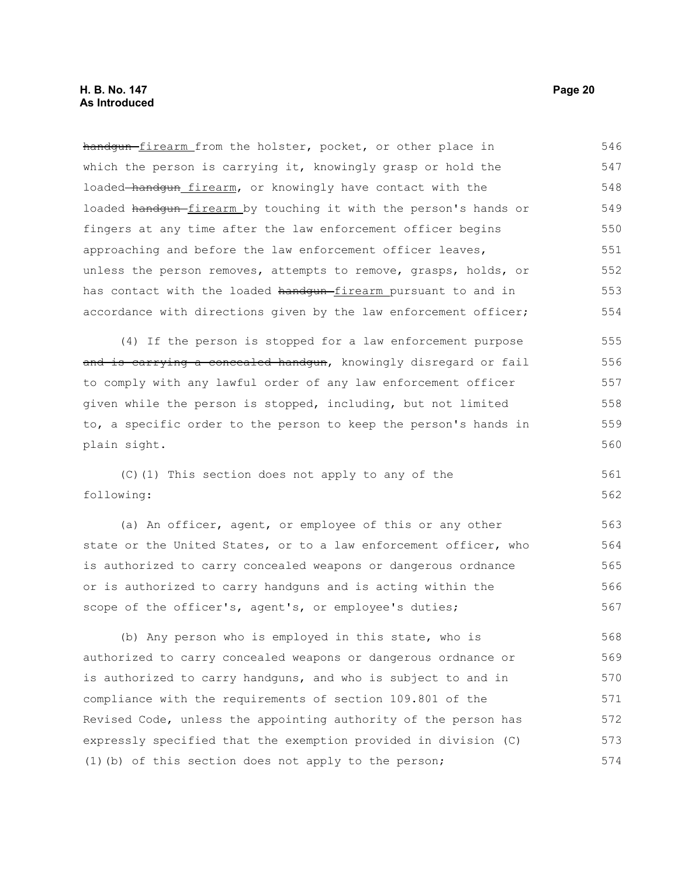handgun-firearm from the holster, pocket, or other place in which the person is carrying it, knowingly grasp or hold the loaded handgun firearm, or knowingly have contact with the loaded handgun-firearm by touching it with the person's hands or fingers at any time after the law enforcement officer begins approaching and before the law enforcement officer leaves, unless the person removes, attempts to remove, grasps, holds, or has contact with the loaded handgun-firearm pursuant to and in accordance with directions given by the law enforcement officer; 546 547 548 549 550 551 552 553 554

(4) If the person is stopped for a law enforcement purpose and is carrying a concealed handgun, knowingly disregard or fail to comply with any lawful order of any law enforcement officer given while the person is stopped, including, but not limited to, a specific order to the person to keep the person's hands in plain sight. 555 556 557 558 559 560

(C)(1) This section does not apply to any of the following: 561 562

(a) An officer, agent, or employee of this or any other state or the United States, or to a law enforcement officer, who is authorized to carry concealed weapons or dangerous ordnance or is authorized to carry handguns and is acting within the scope of the officer's, agent's, or employee's duties; 563 564 565 566 567

(b) Any person who is employed in this state, who is authorized to carry concealed weapons or dangerous ordnance or is authorized to carry handguns, and who is subject to and in compliance with the requirements of section 109.801 of the Revised Code, unless the appointing authority of the person has expressly specified that the exemption provided in division (C) (1)(b) of this section does not apply to the person; 568 569 570 571 572 573 574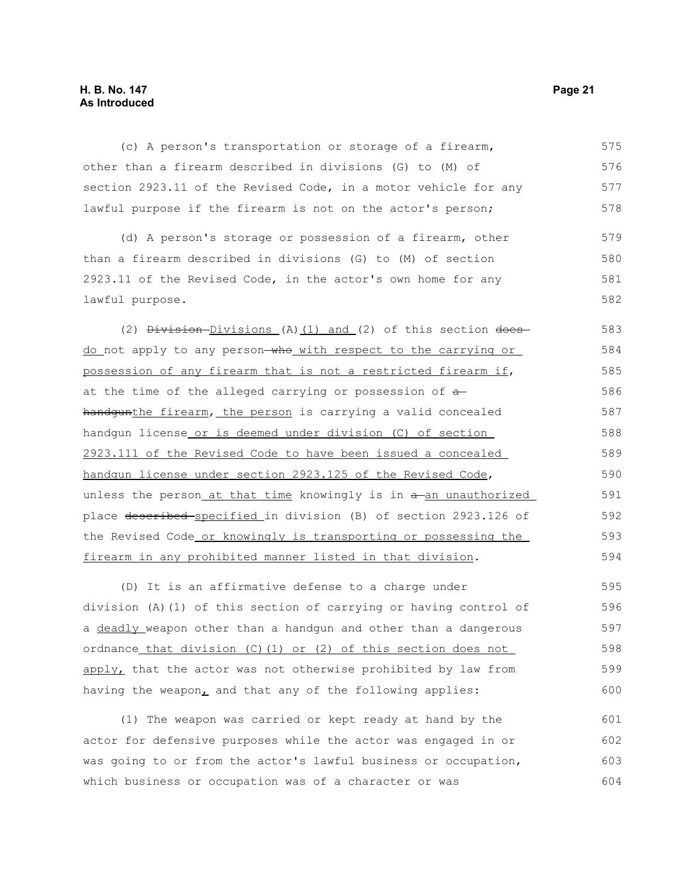#### **H. B. No. 147 Page 21 As Introduced**

(c) A person's transportation or storage of a firearm, other than a firearm described in divisions (G) to (M) of section 2923.11 of the Revised Code, in a motor vehicle for any lawful purpose if the firearm is not on the actor's person; 575 576 577 578

(d) A person's storage or possession of a firearm, other than a firearm described in divisions (G) to (M) of section 2923.11 of the Revised Code, in the actor's own home for any lawful purpose. 579 580 581 582

(2) Division-Divisions (A) (1) and (2) of this section doesdo not apply to any person-who with respect to the carrying or possession of any firearm that is not a restricted firearm if, at the time of the alleged carrying or possession of  $a$ handgunthe firearm, the person is carrying a valid concealed handgun license or is deemed under division (C) of section 2923.111 of the Revised Code to have been issued a concealed handgun license under section 2923.125 of the Revised Code, unless the person at that time knowingly is in  $a$ -an unauthorized place described specified in division (B) of section 2923.126 of the Revised Code or knowingly is transporting or possessing the firearm in any prohibited manner listed in that division. 583 584 585 586 587 588 589 590 591 592 593 594

(D) It is an affirmative defense to a charge under division (A)(1) of this section of carrying or having control of a deadly weapon other than a handgun and other than a dangerous ordnance that division (C)(1) or (2) of this section does not  $apply$ , that the actor was not otherwise prohibited by law from having the weapon<sub> $L$ </sub> and that any of the following applies: 595 596 597 598 599 600

(1) The weapon was carried or kept ready at hand by the actor for defensive purposes while the actor was engaged in or was going to or from the actor's lawful business or occupation, which business or occupation was of a character or was 601 602 603 604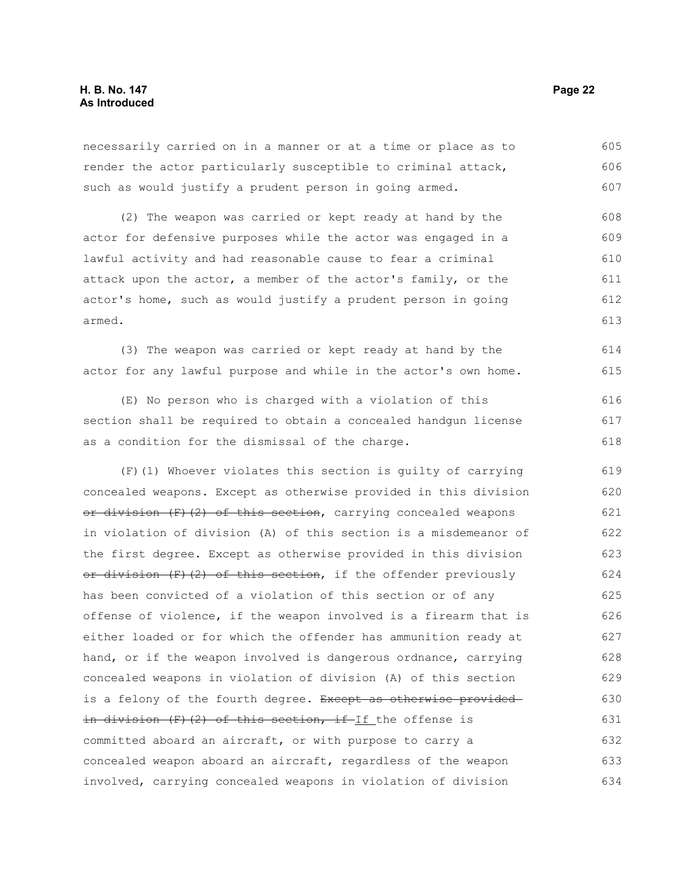necessarily carried on in a manner or at a time or place as to render the actor particularly susceptible to criminal attack, such as would justify a prudent person in going armed. 605 606 607

(2) The weapon was carried or kept ready at hand by the actor for defensive purposes while the actor was engaged in a lawful activity and had reasonable cause to fear a criminal attack upon the actor, a member of the actor's family, or the actor's home, such as would justify a prudent person in going armed. 608 609 610 611 612 613

(3) The weapon was carried or kept ready at hand by the actor for any lawful purpose and while in the actor's own home. 614 615

(E) No person who is charged with a violation of this section shall be required to obtain a concealed handgun license as a condition for the dismissal of the charge. 616 617 618

(F)(1) Whoever violates this section is guilty of carrying concealed weapons. Except as otherwise provided in this division or division (F)(2) of this section, carrying concealed weapons in violation of division (A) of this section is a misdemeanor of the first degree. Except as otherwise provided in this division or division (F)(2) of this section, if the offender previously has been convicted of a violation of this section or of any offense of violence, if the weapon involved is a firearm that is either loaded or for which the offender has ammunition ready at hand, or if the weapon involved is dangerous ordnance, carrying concealed weapons in violation of division (A) of this section is a felony of the fourth degree. Except as otherwise providedin division  $(F)$  (2) of this section, if If the offense is committed aboard an aircraft, or with purpose to carry a concealed weapon aboard an aircraft, regardless of the weapon involved, carrying concealed weapons in violation of division 619 620 621 622 623 624 625 626 627 628 629 630 631 632 633 634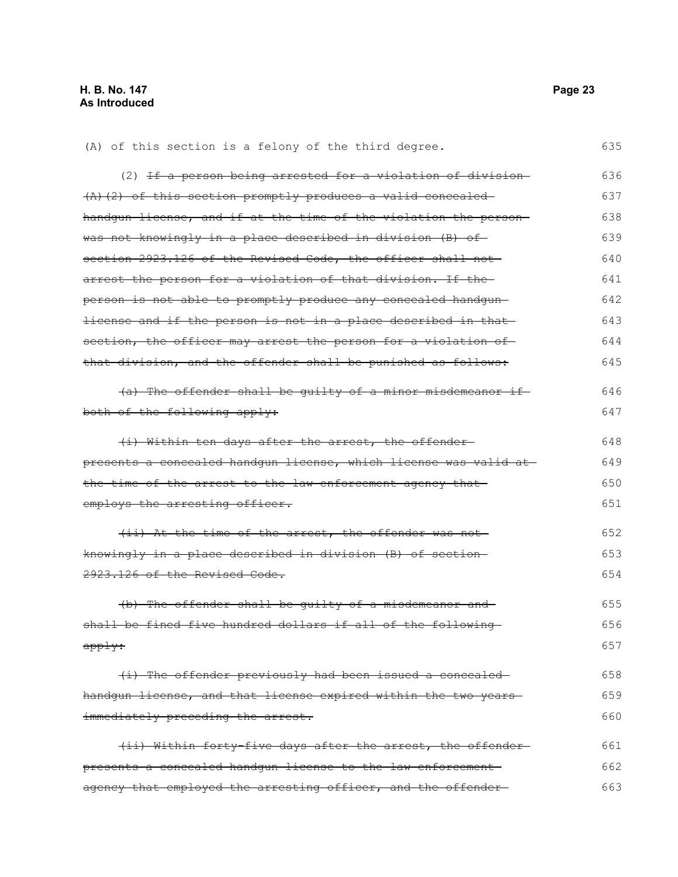(A) of this section is a felony of the third degree. (2) If a person being arrested for a violation of division (A)(2) of this section promptly produces a valid concealed handgun license, and if at the time of the violation the person was not knowingly in a place described in division (B) of section 2923.126 of the Revised Code, the officer shall not arrest the person for a violation of that division. If the person is not able to promptly produce any concealed handgun license and if the person is not in a place described in that section, the officer may arrest the person for a violation of that division, and the offender shall be punished as follows: (a) The offender shall be guilty of a minor misdemeanor if both of the following apply: (i) Within ten days after the arrest, the offender presents a concealed handgun license, which license was valid at the time of the arrest to the law enforcement agency thatemploys the arresting officer. (ii) At the time of the arrest, the offender was not knowingly in a place described in division (B) of section 2923.126 of the Revised Code. (b) The offender shall be guilty of a misdemeanor and shall be fined five hundred dollars if all of the following apply: (i) The offender previously had been issued a concealed handgun license, and that license expired within the two years immediately preceding the arrest. (ii) Within forty-five days after the arrest, the offender presents a concealed handgun license to the law enforcement agency that employed the arresting officer, and the offender 636 637 638 639 640 641 642 643 644 645 646 647 648 649 650 651 652 653 654 655 656 657 658 659 660 661 662 663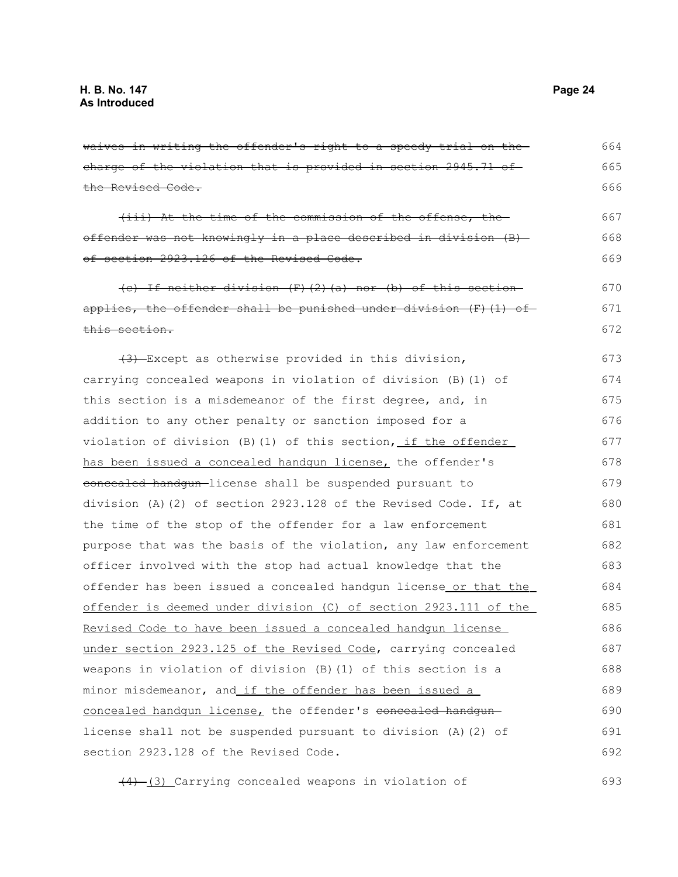the Revised Code.

this section.

waives in writing the offender's right to a speedy trial on the charge of the violation that is provided in section 2945.71 of (iii) At the time of the commission of the offense, the offender was not knowingly in a place described in division (B) of section 2923.126 of the Revised Code. (c) If neither division (F)(2)(a) nor (b) of this section applies, the offender shall be punished under division (F)(1) of (3) Except as otherwise provided in this division, carrying concealed weapons in violation of division (B)(1) of this section is a misdemeanor of the first degree, and, in addition to any other penalty or sanction imposed for a violation of division (B)(1) of this section, if the offender has been issued a concealed handgun license, the offender's 664 665 666 667 668 669 670 671 672 673 674 675 676 677 678 679 680

concealed handgun license shall be suspended pursuant to division (A)(2) of section 2923.128 of the Revised Code. If, at the time of the stop of the offender for a law enforcement purpose that was the basis of the violation, any law enforcement officer involved with the stop had actual knowledge that the offender has been issued a concealed handgun license or that the offender is deemed under division (C) of section 2923.111 of the Revised Code to have been issued a concealed handgun license under section 2923.125 of the Revised Code, carrying concealed weapons in violation of division (B)(1) of this section is a minor misdemeanor, and if the offender has been issued a concealed handgun license, the offender's concealed handgunlicense shall not be suspended pursuant to division (A)(2) of section 2923.128 of the Revised Code. 681 682 683 684 685 686 687 688 689 690 691 692

 $(4)$  (3) Carrying concealed weapons in violation of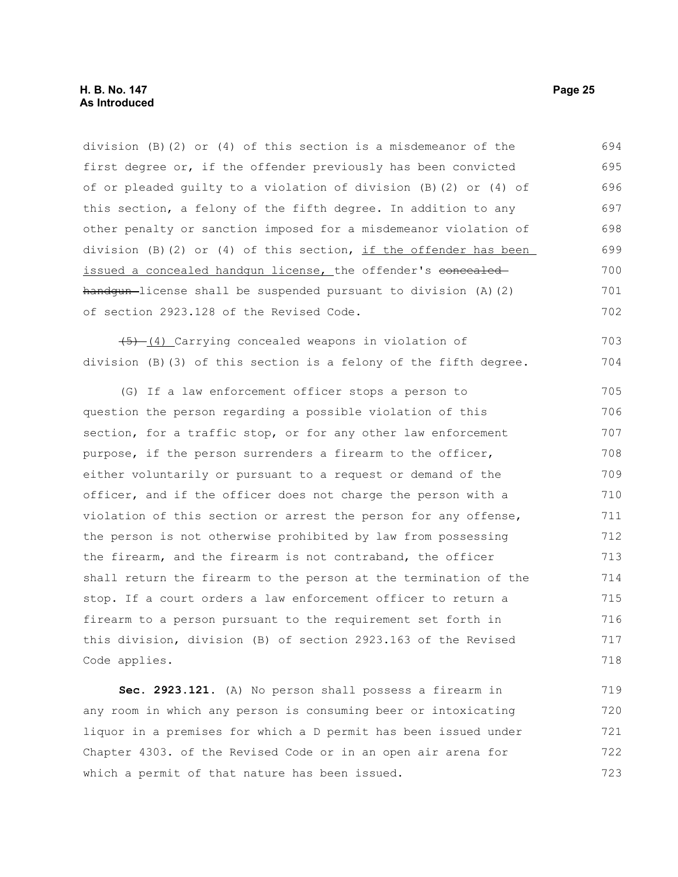division (B)(2) or (4) of this section is a misdemeanor of the first degree or, if the offender previously has been convicted of or pleaded guilty to a violation of division (B)(2) or (4) of this section, a felony of the fifth degree. In addition to any other penalty or sanction imposed for a misdemeanor violation of division (B)(2) or (4) of this section, if the offender has been issued a concealed handgun license, the offender's concealed  $h$ andgun-license shall be suspended pursuant to division (A)(2) of section 2923.128 of the Revised Code. 694 695 696 697 698 699 700 701 702

 $(5)$   $(4)$  Carrying concealed weapons in violation of division (B)(3) of this section is a felony of the fifth degree. 703 704

(G) If a law enforcement officer stops a person to question the person regarding a possible violation of this section, for a traffic stop, or for any other law enforcement purpose, if the person surrenders a firearm to the officer, either voluntarily or pursuant to a request or demand of the officer, and if the officer does not charge the person with a violation of this section or arrest the person for any offense, the person is not otherwise prohibited by law from possessing the firearm, and the firearm is not contraband, the officer shall return the firearm to the person at the termination of the stop. If a court orders a law enforcement officer to return a firearm to a person pursuant to the requirement set forth in this division, division (B) of section 2923.163 of the Revised Code applies. 705 706 707 708 709 710 711 712 713 714 715 716 717 718

**Sec. 2923.121.** (A) No person shall possess a firearm in any room in which any person is consuming beer or intoxicating liquor in a premises for which a D permit has been issued under Chapter 4303. of the Revised Code or in an open air arena for which a permit of that nature has been issued. 719 720 721 722 723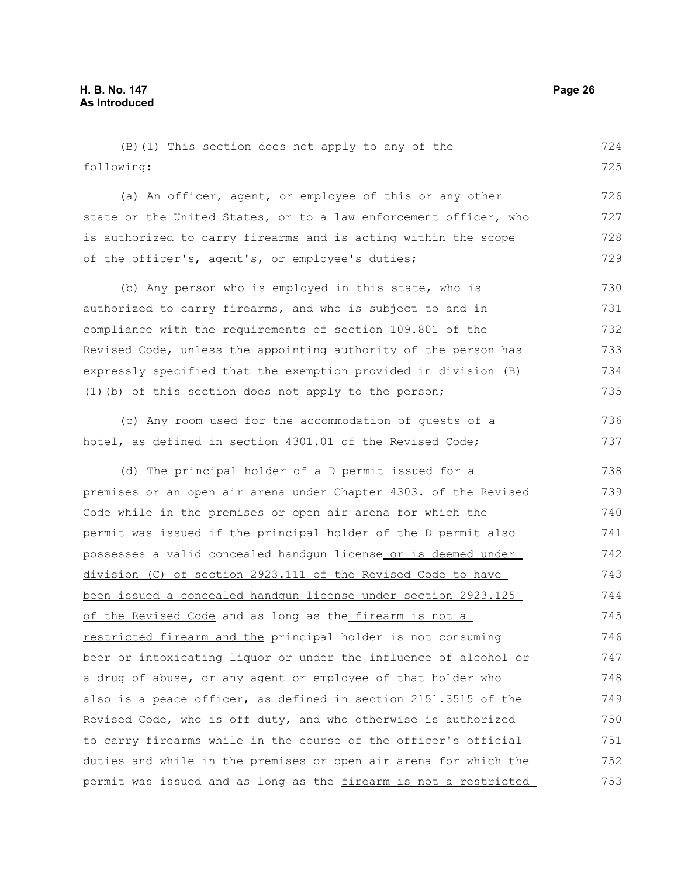(B)(1) This section does not apply to any of the following: (a) An officer, agent, or employee of this or any other state or the United States, or to a law enforcement officer, who is authorized to carry firearms and is acting within the scope of the officer's, agent's, or employee's duties; (b) Any person who is employed in this state, who is authorized to carry firearms, and who is subject to and in compliance with the requirements of section 109.801 of the 724 725 726 727 728 729 730 731 732

Revised Code, unless the appointing authority of the person has expressly specified that the exemption provided in division (B) (1)(b) of this section does not apply to the person; 733 734 735

(c) Any room used for the accommodation of guests of a hotel, as defined in section 4301.01 of the Revised Code; 736 737

(d) The principal holder of a D permit issued for a premises or an open air arena under Chapter 4303. of the Revised Code while in the premises or open air arena for which the permit was issued if the principal holder of the D permit also possesses a valid concealed handgun license or is deemed under division (C) of section 2923.111 of the Revised Code to have been issued a concealed handgun license under section 2923.125 of the Revised Code and as long as the firearm is not a restricted firearm and the principal holder is not consuming beer or intoxicating liquor or under the influence of alcohol or a drug of abuse, or any agent or employee of that holder who also is a peace officer, as defined in section 2151.3515 of the Revised Code, who is off duty, and who otherwise is authorized to carry firearms while in the course of the officer's official duties and while in the premises or open air arena for which the permit was issued and as long as the firearm is not a restricted 738 739 740 741 742 743 744 745 746 747 748 749 750 751 752 753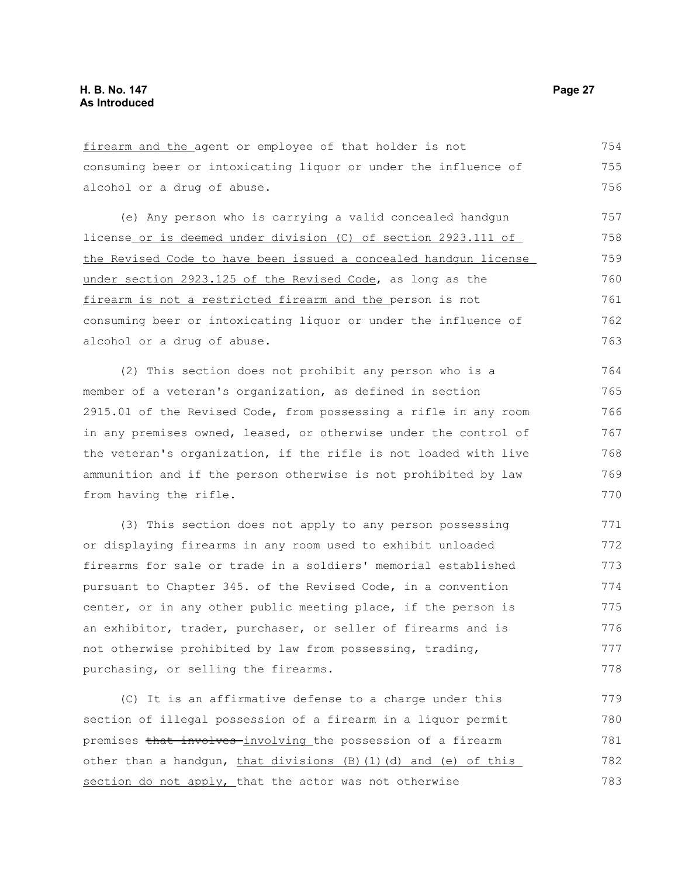firearm and the agent or employee of that holder is not consuming beer or intoxicating liquor or under the influence of alcohol or a drug of abuse. 754 755 756

(e) Any person who is carrying a valid concealed handgun license or is deemed under division (C) of section 2923.111 of the Revised Code to have been issued a concealed handgun license under section 2923.125 of the Revised Code, as long as the firearm is not a restricted firearm and the person is not consuming beer or intoxicating liquor or under the influence of alcohol or a drug of abuse. 757 758 759 760 761 762 763

(2) This section does not prohibit any person who is a member of a veteran's organization, as defined in section 2915.01 of the Revised Code, from possessing a rifle in any room in any premises owned, leased, or otherwise under the control of the veteran's organization, if the rifle is not loaded with live ammunition and if the person otherwise is not prohibited by law from having the rifle. 764 765 766 767 768 769 770

(3) This section does not apply to any person possessing or displaying firearms in any room used to exhibit unloaded firearms for sale or trade in a soldiers' memorial established pursuant to Chapter 345. of the Revised Code, in a convention center, or in any other public meeting place, if the person is an exhibitor, trader, purchaser, or seller of firearms and is not otherwise prohibited by law from possessing, trading, purchasing, or selling the firearms. 771 772 773 774 775 776 777 778

(C) It is an affirmative defense to a charge under this section of illegal possession of a firearm in a liquor permit premises that involves involving the possession of a firearm other than a handgun, that divisions (B)(1)(d) and (e) of this section do not apply, that the actor was not otherwise 779 780 781 782 783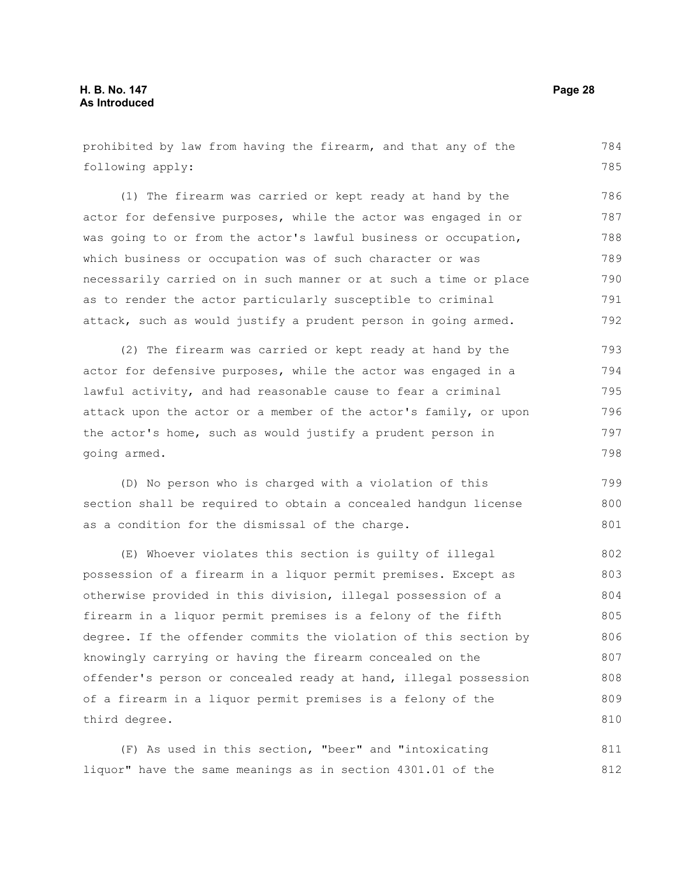| prohibited by law from having the firearm, and that any of the   | 784 |
|------------------------------------------------------------------|-----|
| following apply:                                                 | 785 |
| (1) The firearm was carried or kept ready at hand by the         | 786 |
| actor for defensive purposes, while the actor was engaged in or  | 787 |
| was going to or from the actor's lawful business or occupation,  | 788 |
| which business or occupation was of such character or was        | 789 |
| necessarily carried on in such manner or at such a time or place | 790 |
| as to render the actor particularly susceptible to criminal      | 791 |
| attack, such as would justify a prudent person in going armed.   | 792 |
| (2) The firearm was carried or kept ready at hand by the         | 793 |
| actor for defensive purposes, while the actor was engaged in a   | 794 |
| lawful activity, and had reasonable cause to fear a criminal     | 795 |
| attack upon the actor or a member of the actor's family, or upon | 796 |
| the actor's home, such as would justify a prudent person in      | 797 |
| going armed.                                                     | 798 |
| (D) No person who is charged with a violation of this            | 799 |
| section shall be required to obtain a concealed handgun license  | 800 |
| as a condition for the dismissal of the charge.                  | 801 |
| (E) Whoever violates this section is quilty of illegal           | 802 |
| possession of a firearm in a liquor permit premises. Except as   | 803 |
| otherwise provided in this division, illegal possession of a     | 804 |
| firearm in a liquor permit premises is a felony of the fifth     | 805 |
| degree. If the offender commits the violation of this section by | 806 |
| knowingly carrying or having the firearm concealed on the        | 807 |
| offender's person or concealed ready at hand, illegal possession | 808 |
| of a firearm in a liquor permit premises is a felony of the      | 809 |
| third degree.                                                    | 810 |
| (F) As used in this section, "beer" and "intoxicating            | 811 |

(F) As used in this section, "beer" and "intoxicating<br> $(5)$  As used in this section, "beer" and "intoxicating liquor" have the same meanings as in section 4301.01 of the 812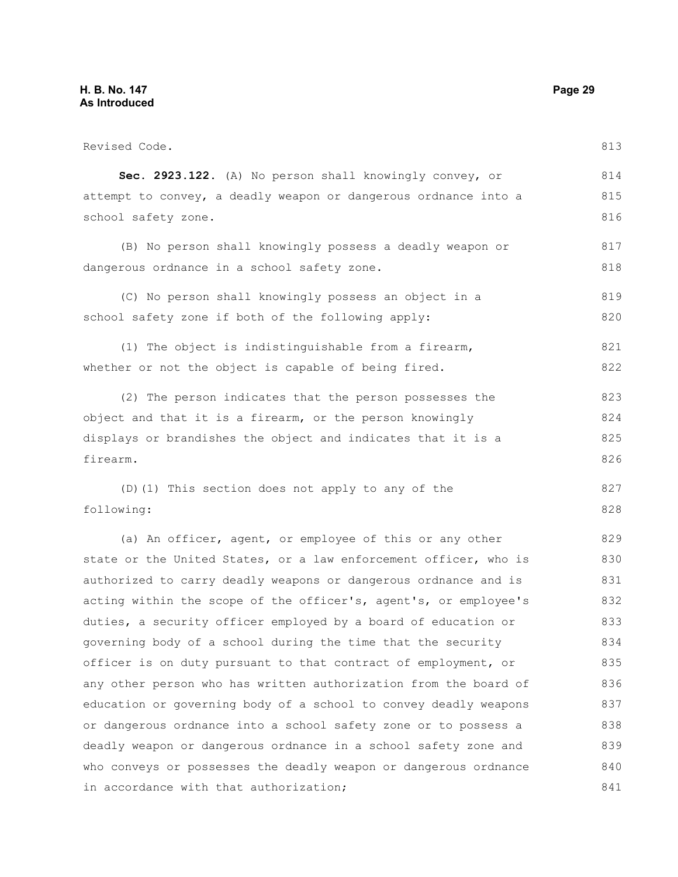Revised Code. **Sec. 2923.122.** (A) No person shall knowingly convey, or attempt to convey, a deadly weapon or dangerous ordnance into a school safety zone. (B) No person shall knowingly possess a deadly weapon or dangerous ordnance in a school safety zone. (C) No person shall knowingly possess an object in a school safety zone if both of the following apply: (1) The object is indistinguishable from a firearm, whether or not the object is capable of being fired. (2) The person indicates that the person possesses the object and that it is a firearm, or the person knowingly displays or brandishes the object and indicates that it is a firearm. (D)(1) This section does not apply to any of the following: (a) An officer, agent, or employee of this or any other state or the United States, or a law enforcement officer, who is authorized to carry deadly weapons or dangerous ordnance and is acting within the scope of the officer's, agent's, or employee's duties, a security officer employed by a board of education or governing body of a school during the time that the security officer is on duty pursuant to that contract of employment, or any other person who has written authorization from the board of education or governing body of a school to convey deadly weapons or dangerous ordnance into a school safety zone or to possess a deadly weapon or dangerous ordnance in a school safety zone and who conveys or possesses the deadly weapon or dangerous ordnance 813 814 815 816 817 818 819 820 821 822 823 824 825 826 827 828 829 830 831 832 833 834 835 836 837 838 839 840

in accordance with that authorization;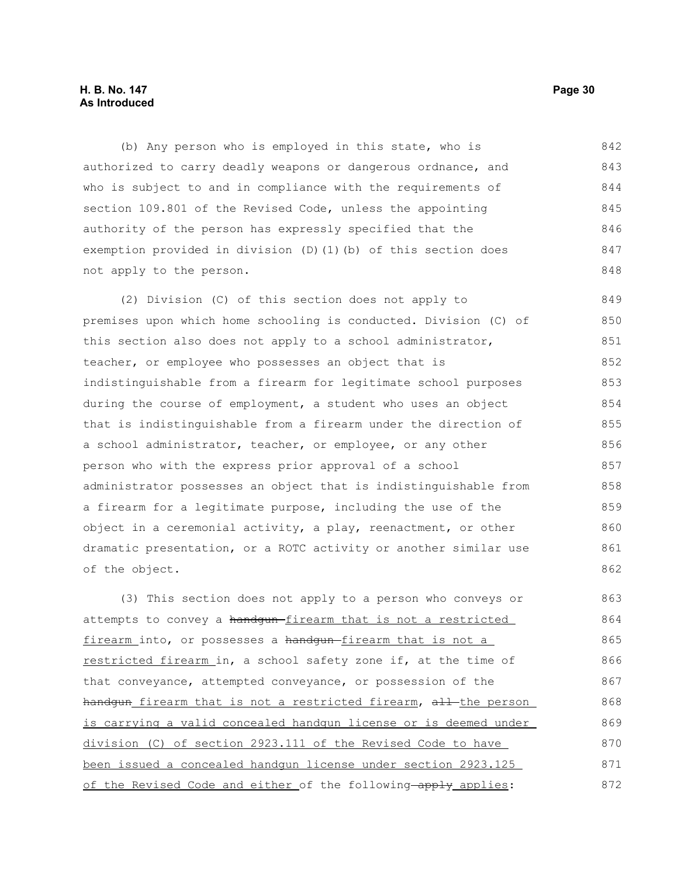(b) Any person who is employed in this state, who is authorized to carry deadly weapons or dangerous ordnance, and who is subject to and in compliance with the requirements of section 109.801 of the Revised Code, unless the appointing authority of the person has expressly specified that the exemption provided in division (D)(1)(b) of this section does not apply to the person. 842 843 844 845 846 847 848

(2) Division (C) of this section does not apply to premises upon which home schooling is conducted. Division (C) of this section also does not apply to a school administrator, teacher, or employee who possesses an object that is indistinguishable from a firearm for legitimate school purposes during the course of employment, a student who uses an object that is indistinguishable from a firearm under the direction of a school administrator, teacher, or employee, or any other person who with the express prior approval of a school administrator possesses an object that is indistinguishable from a firearm for a legitimate purpose, including the use of the object in a ceremonial activity, a play, reenactment, or other dramatic presentation, or a ROTC activity or another similar use of the object. 849 850 851 852 853 854 855 856 857 858 859 860 861 862

(3) This section does not apply to a person who conveys or attempts to convey a handgun-firearm that is not a restricted firearm into, or possesses a handgun-firearm that is not a restricted firearm in, a school safety zone if, at the time of that conveyance, attempted conveyance, or possession of the handgun firearm that is not a restricted firearm, all the person is carrying a valid concealed handgun license or is deemed under division (C) of section 2923.111 of the Revised Code to have been issued a concealed handgun license under section 2923.125 of the Revised Code and either of the following-apply applies: 863 864 865 866 867 868 869 870 871 872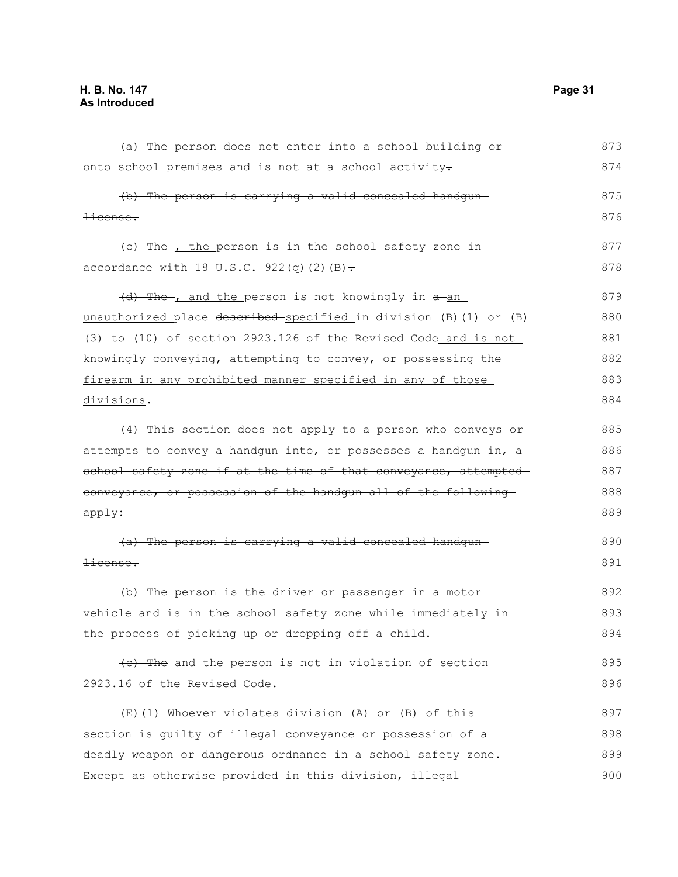| (a) The person does not enter into a school building or          | 873 |
|------------------------------------------------------------------|-----|
| onto school premises and is not at a school activity-            | 874 |
| (b) The person is carrying a valid concealed handgun-            | 875 |
| <del>license.</del>                                              | 876 |
| (e) The , the person is in the school safety zone in             | 877 |
| accordance with 18 U.S.C. 922(q)(2)(B)-                          | 878 |
| (d) The , and the person is not knowingly in a an                | 879 |
| unauthorized_place described_specified_in division (B)(1) or (B) | 880 |
| (3) to (10) of section 2923.126 of the Revised Code and is not   | 881 |
| knowingly conveying, attempting to convey, or possessing the     | 882 |
| firearm in any prohibited manner specified in any of those       | 883 |
| divisions.                                                       | 884 |
| (4) This section does not apply to a person who conveys or-      | 885 |
| attempts to convey a handgun into, or possesses a handgun in, a  | 886 |
| school safety zone if at the time of that conveyance, attempted  | 887 |
| conveyance, or possession of the handgun all of the following    | 888 |
| appty:                                                           | 889 |
| (a) The person is carrying a valid concealed handgun-            | 890 |
| <del>license.</del>                                              | 891 |
| (b) The person is the driver or passenger in a motor             | 892 |
| vehicle and is in the school safety zone while immediately in    | 893 |
| the process of picking up or dropping off a child-               | 894 |
| (c) The and the person is not in violation of section            | 895 |
| 2923.16 of the Revised Code.                                     | 896 |
| (E)(1) Whoever violates division (A) or (B) of this              | 897 |
| section is quilty of illegal conveyance or possession of a       | 898 |
| deadly weapon or dangerous ordnance in a school safety zone.     | 899 |
| Except as otherwise provided in this division, illegal           | 900 |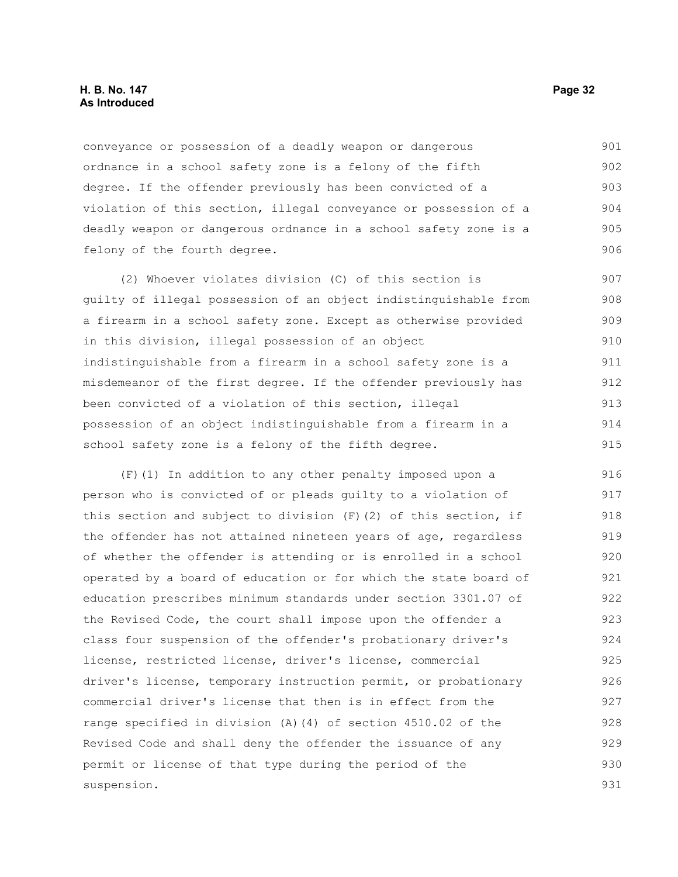#### **H. B. No. 147 Page 32 As Introduced**

conveyance or possession of a deadly weapon or dangerous ordnance in a school safety zone is a felony of the fifth degree. If the offender previously has been convicted of a violation of this section, illegal conveyance or possession of a deadly weapon or dangerous ordnance in a school safety zone is a felony of the fourth degree. 901 902 903 904 905 906

(2) Whoever violates division (C) of this section is guilty of illegal possession of an object indistinguishable from a firearm in a school safety zone. Except as otherwise provided in this division, illegal possession of an object indistinguishable from a firearm in a school safety zone is a misdemeanor of the first degree. If the offender previously has been convicted of a violation of this section, illegal possession of an object indistinguishable from a firearm in a school safety zone is a felony of the fifth degree. 907 908 909 910 911 912 913 914 915

(F)(1) In addition to any other penalty imposed upon a person who is convicted of or pleads guilty to a violation of this section and subject to division (F)(2) of this section, if the offender has not attained nineteen years of age, regardless of whether the offender is attending or is enrolled in a school operated by a board of education or for which the state board of education prescribes minimum standards under section 3301.07 of the Revised Code, the court shall impose upon the offender a class four suspension of the offender's probationary driver's license, restricted license, driver's license, commercial driver's license, temporary instruction permit, or probationary commercial driver's license that then is in effect from the range specified in division (A)(4) of section 4510.02 of the Revised Code and shall deny the offender the issuance of any permit or license of that type during the period of the suspension. 916 917 918 919 920 921 922 923 924 925 926 927 928 929 930 931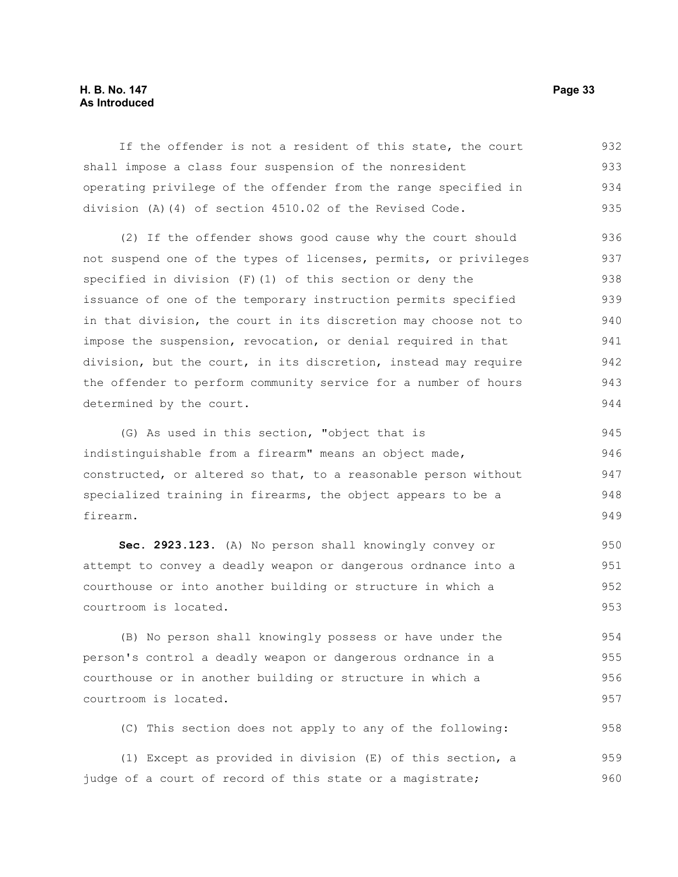#### **H. B. No. 147 Page 33 As Introduced**

If the offender is not a resident of this state, the court shall impose a class four suspension of the nonresident operating privilege of the offender from the range specified in division (A)(4) of section 4510.02 of the Revised Code. 932 933 934 935

(2) If the offender shows good cause why the court should not suspend one of the types of licenses, permits, or privileges specified in division (F)(1) of this section or deny the issuance of one of the temporary instruction permits specified in that division, the court in its discretion may choose not to impose the suspension, revocation, or denial required in that division, but the court, in its discretion, instead may require the offender to perform community service for a number of hours determined by the court. 936 937 938 939 940 941 942 943 944

(G) As used in this section, "object that is indistinguishable from a firearm" means an object made, constructed, or altered so that, to a reasonable person without specialized training in firearms, the object appears to be a firearm. 945 946 947 948 949

**Sec. 2923.123.** (A) No person shall knowingly convey or attempt to convey a deadly weapon or dangerous ordnance into a courthouse or into another building or structure in which a courtroom is located.

(B) No person shall knowingly possess or have under the person's control a deadly weapon or dangerous ordnance in a courthouse or in another building or structure in which a courtroom is located. 954 955 956 957

(C) This section does not apply to any of the following: 958

(1) Except as provided in division (E) of this section, a judge of a court of record of this state or a magistrate; 959 960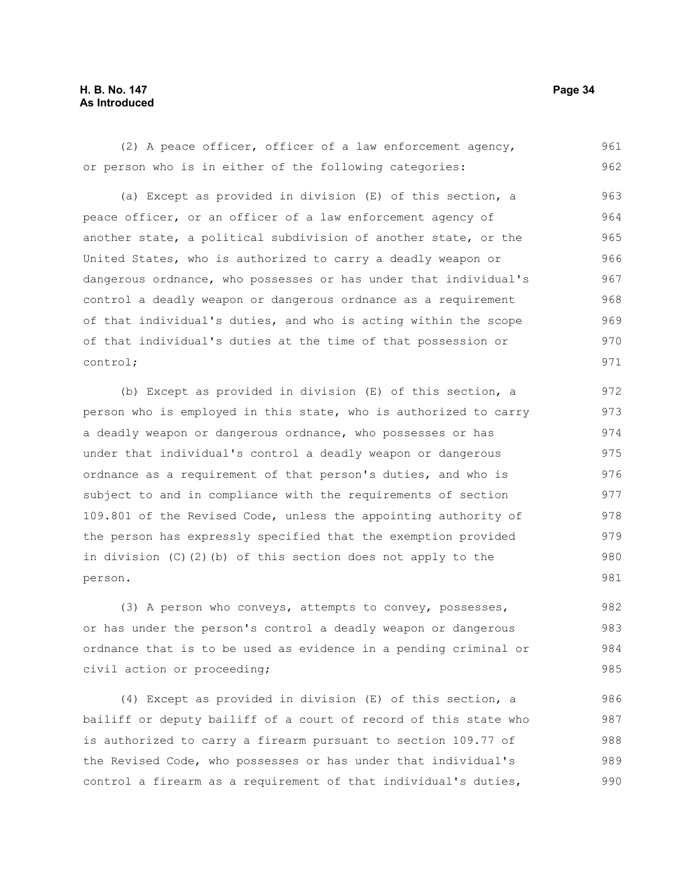#### **H. B. No. 147 Page 34 As Introduced**

(2) A peace officer, officer of a law enforcement agency, or person who is in either of the following categories: (a) Except as provided in division (E) of this section, a peace officer, or an officer of a law enforcement agency of another state, a political subdivision of another state, or the United States, who is authorized to carry a deadly weapon or dangerous ordnance, who possesses or has under that individual's control a deadly weapon or dangerous ordnance as a requirement of that individual's duties, and who is acting within the scope of that individual's duties at the time of that possession or control; 961 962 963 964 965 966 967 968 969 970 971

(b) Except as provided in division (E) of this section, a person who is employed in this state, who is authorized to carry a deadly weapon or dangerous ordnance, who possesses or has under that individual's control a deadly weapon or dangerous ordnance as a requirement of that person's duties, and who is subject to and in compliance with the requirements of section 109.801 of the Revised Code, unless the appointing authority of the person has expressly specified that the exemption provided in division (C)(2)(b) of this section does not apply to the person. 972 973 974 975 976 977 978 979 980 981

(3) A person who conveys, attempts to convey, possesses, or has under the person's control a deadly weapon or dangerous ordnance that is to be used as evidence in a pending criminal or civil action or proceeding; 982 983 984 985

(4) Except as provided in division (E) of this section, a bailiff or deputy bailiff of a court of record of this state who is authorized to carry a firearm pursuant to section 109.77 of the Revised Code, who possesses or has under that individual's control a firearm as a requirement of that individual's duties, 986 987 988 989 990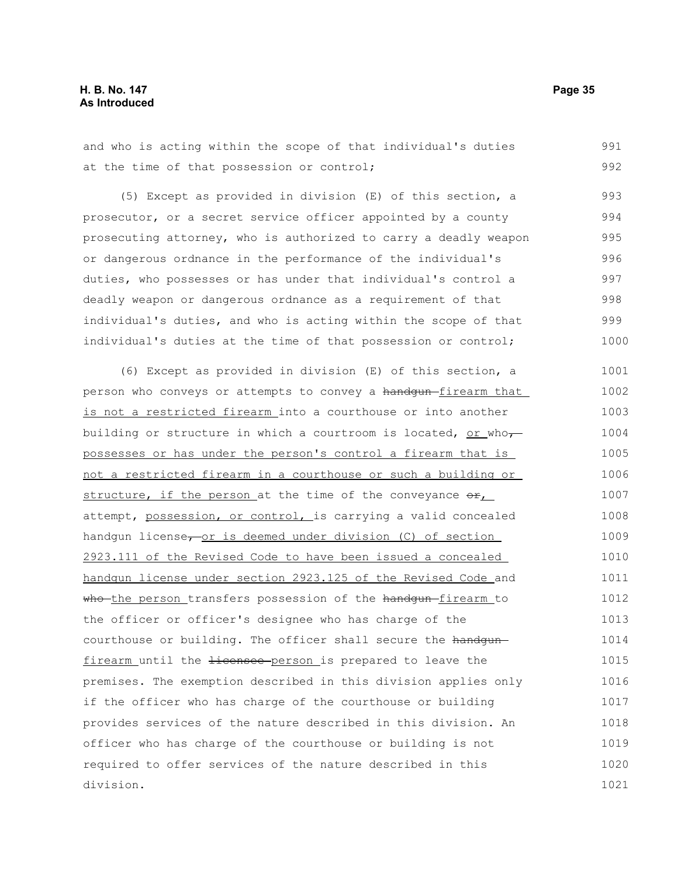and who is acting within the scope of that individual's duties at the time of that possession or control; 991 992

(5) Except as provided in division (E) of this section, a prosecutor, or a secret service officer appointed by a county prosecuting attorney, who is authorized to carry a deadly weapon or dangerous ordnance in the performance of the individual's duties, who possesses or has under that individual's control a deadly weapon or dangerous ordnance as a requirement of that individual's duties, and who is acting within the scope of that individual's duties at the time of that possession or control; 993 994 995 996 997 998 999 1000

(6) Except as provided in division (E) of this section, a person who conveys or attempts to convey a handgun-firearm that is not a restricted firearm into a courthouse or into another building or structure in which a courtroom is located, or whopossesses or has under the person's control a firearm that is not a restricted firearm in a courthouse or such a building or structure, if the person at the time of the conveyance  $\sigma r$ . attempt, possession, or control, is carrying a valid concealed handgun license<sub>7</sub> or is deemed under division (C) of section 2923.111 of the Revised Code to have been issued a concealed handgun license under section 2923.125 of the Revised Code and who the person transfers possession of the handgun-firearm to the officer or officer's designee who has charge of the courthouse or building. The officer shall secure the handgunfirearm until the <del>licensee person</del> is prepared to leave the premises. The exemption described in this division applies only if the officer who has charge of the courthouse or building provides services of the nature described in this division. An officer who has charge of the courthouse or building is not required to offer services of the nature described in this division. 1001 1002 1003 1004 1005 1006 1007 1008 1009 1010 1011 1012 1013 1014 1015 1016 1017 1018 1019 1020 1021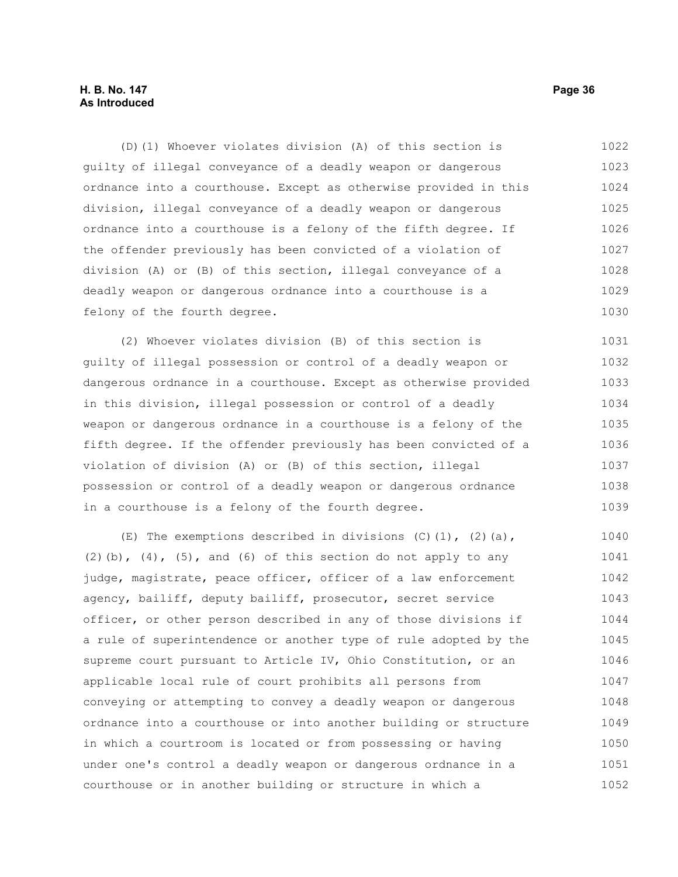#### **H. B. No. 147 Page 36 As Introduced**

(D)(1) Whoever violates division (A) of this section is guilty of illegal conveyance of a deadly weapon or dangerous ordnance into a courthouse. Except as otherwise provided in this division, illegal conveyance of a deadly weapon or dangerous ordnance into a courthouse is a felony of the fifth degree. If the offender previously has been convicted of a violation of division (A) or (B) of this section, illegal conveyance of a deadly weapon or dangerous ordnance into a courthouse is a felony of the fourth degree. 1022 1023 1024 1025 1026 1027 1028 1029 1030

(2) Whoever violates division (B) of this section is guilty of illegal possession or control of a deadly weapon or dangerous ordnance in a courthouse. Except as otherwise provided in this division, illegal possession or control of a deadly weapon or dangerous ordnance in a courthouse is a felony of the fifth degree. If the offender previously has been convicted of a violation of division (A) or (B) of this section, illegal possession or control of a deadly weapon or dangerous ordnance in a courthouse is a felony of the fourth degree. 1031 1032 1033 1034 1035 1036 1037 1038 1039

(E) The exemptions described in divisions  $(C)$   $(1)$ ,  $(2)$   $(a)$ ,  $(2)$  (b),  $(4)$ ,  $(5)$ , and  $(6)$  of this section do not apply to any judge, magistrate, peace officer, officer of a law enforcement agency, bailiff, deputy bailiff, prosecutor, secret service officer, or other person described in any of those divisions if a rule of superintendence or another type of rule adopted by the supreme court pursuant to Article IV, Ohio Constitution, or an applicable local rule of court prohibits all persons from conveying or attempting to convey a deadly weapon or dangerous ordnance into a courthouse or into another building or structure in which a courtroom is located or from possessing or having under one's control a deadly weapon or dangerous ordnance in a courthouse or in another building or structure in which a 1040 1041 1042 1043 1044 1045 1046 1047 1048 1049 1050 1051 1052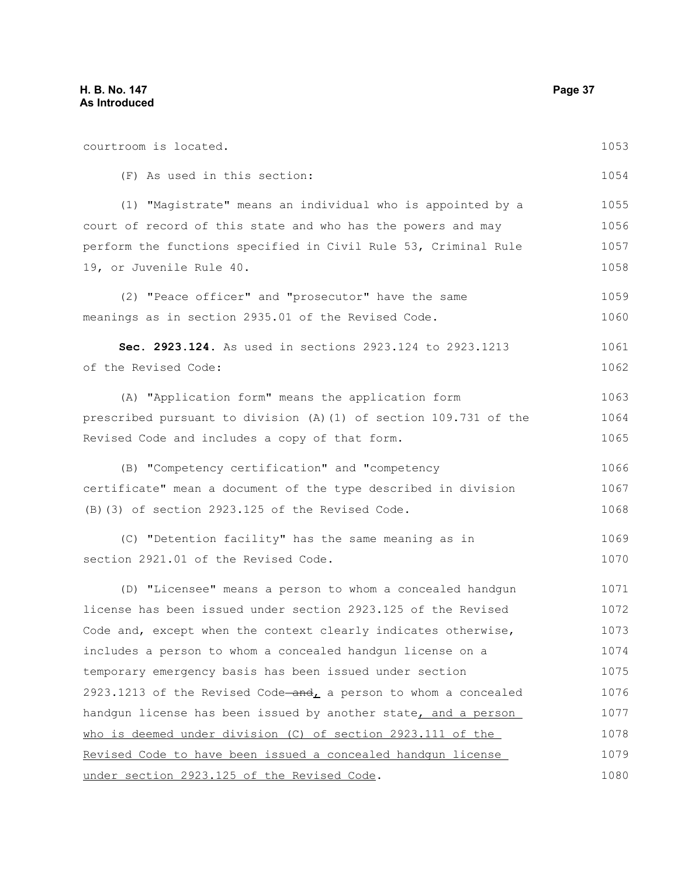courtroom is located. (F) As used in this section: (1) "Magistrate" means an individual who is appointed by a court of record of this state and who has the powers and may perform the functions specified in Civil Rule 53, Criminal Rule 19, or Juvenile Rule 40. (2) "Peace officer" and "prosecutor" have the same meanings as in section 2935.01 of the Revised Code. **Sec. 2923.124.** As used in sections 2923.124 to 2923.1213 of the Revised Code: (A) "Application form" means the application form prescribed pursuant to division (A)(1) of section 109.731 of the Revised Code and includes a copy of that form. (B) "Competency certification" and "competency certificate" mean a document of the type described in division (B)(3) of section 2923.125 of the Revised Code. (C) "Detention facility" has the same meaning as in section 2921.01 of the Revised Code. (D) "Licensee" means a person to whom a concealed handgun license has been issued under section 2923.125 of the Revised Code and, except when the context clearly indicates otherwise, includes a person to whom a concealed handgun license on a temporary emergency basis has been issued under section 2923.1213 of the Revised Code $\overline{\text{and}}$  a person to whom a concealed handgun license has been issued by another state, and a person who is deemed under division (C) of section 2923.111 of the Revised Code to have been issued a concealed handgun license 1053 1054 1055 1056 1057 1058 1059 1060 1061 1062 1063 1064 1065 1066 1067 1068 1069 1070 1071 1072 1073 1074 1075 1076 1077 1078 1079

under section 2923.125 of the Revised Code. 1080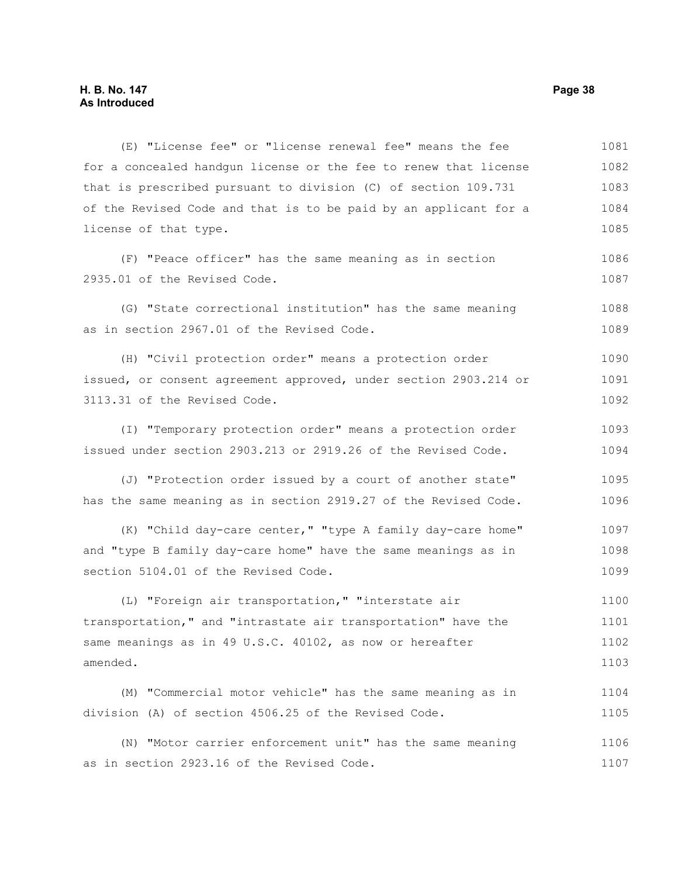(E) "License fee" or "license renewal fee" means the fee for a concealed handgun license or the fee to renew that license that is prescribed pursuant to division (C) of section 109.731 of the Revised Code and that is to be paid by an applicant for a license of that type. (F) "Peace officer" has the same meaning as in section 2935.01 of the Revised Code. (G) "State correctional institution" has the same meaning as in section 2967.01 of the Revised Code. (H) "Civil protection order" means a protection order issued, or consent agreement approved, under section 2903.214 or 3113.31 of the Revised Code. (I) "Temporary protection order" means a protection order issued under section 2903.213 or 2919.26 of the Revised Code. (J) "Protection order issued by a court of another state" has the same meaning as in section 2919.27 of the Revised Code. (K) "Child day-care center," "type A family day-care home" and "type B family day-care home" have the same meanings as in section 5104.01 of the Revised Code. (L) "Foreign air transportation," "interstate air transportation," and "intrastate air transportation" have the same meanings as in 49 U.S.C. 40102, as now or hereafter amended. (M) "Commercial motor vehicle" has the same meaning as in division (A) of section 4506.25 of the Revised Code. (N) "Motor carrier enforcement unit" has the same meaning 1081 1082 1083 1084 1085 1086 1087 1088 1089 1090 1091 1092 1093 1094 1095 1096 1097 1098 1099 1100 1101 1102 1103 1104 1105 1106

as in section 2923.16 of the Revised Code. 1107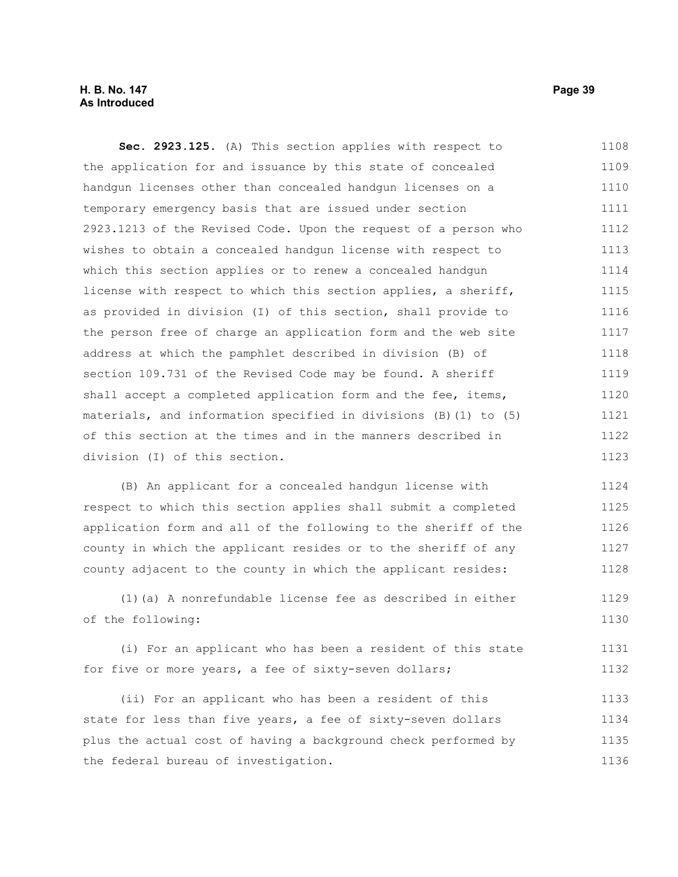**Sec. 2923.125.** (A) This section applies with respect to the application for and issuance by this state of concealed handgun licenses other than concealed handgun licenses on a temporary emergency basis that are issued under section 2923.1213 of the Revised Code. Upon the request of a person who wishes to obtain a concealed handgun license with respect to which this section applies or to renew a concealed handgun license with respect to which this section applies, a sheriff, as provided in division (I) of this section, shall provide to the person free of charge an application form and the web site address at which the pamphlet described in division (B) of section 109.731 of the Revised Code may be found. A sheriff shall accept a completed application form and the fee, items, materials, and information specified in divisions (B)(1) to (5) of this section at the times and in the manners described in division (I) of this section. 1108 1109 1110 1111 1112 1113 1114 1115 1116 1117 1118 1119 1120 1121 1122 1123

(B) An applicant for a concealed handgun license with respect to which this section applies shall submit a completed application form and all of the following to the sheriff of the county in which the applicant resides or to the sheriff of any county adjacent to the county in which the applicant resides: 1124 1125 1126 1127 1128

(1)(a) A nonrefundable license fee as described in either of the following: 1129 1130

(i) For an applicant who has been a resident of this state for five or more years, a fee of sixty-seven dollars; 1131 1132

(ii) For an applicant who has been a resident of this state for less than five years, a fee of sixty-seven dollars plus the actual cost of having a background check performed by the federal bureau of investigation. 1133 1134 1135 1136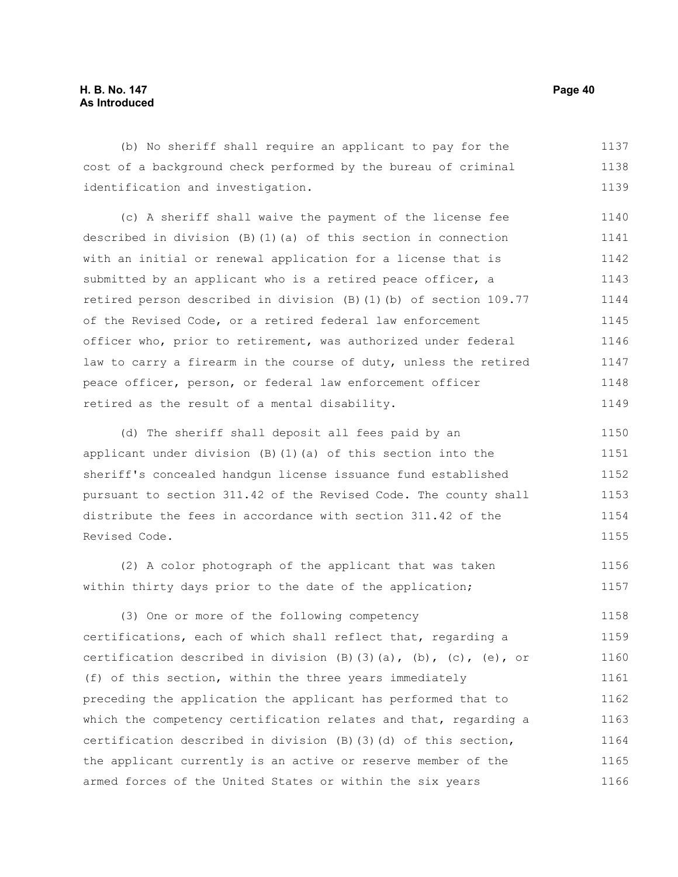# **H. B. No. 147 Page 40 As Introduced**

(b) No sheriff shall require an applicant to pay for the cost of a background check performed by the bureau of criminal identification and investigation. 1137 1138 1139

(c) A sheriff shall waive the payment of the license fee described in division (B)(1)(a) of this section in connection with an initial or renewal application for a license that is submitted by an applicant who is a retired peace officer, a retired person described in division (B)(1)(b) of section 109.77 of the Revised Code, or a retired federal law enforcement officer who, prior to retirement, was authorized under federal law to carry a firearm in the course of duty, unless the retired peace officer, person, or federal law enforcement officer retired as the result of a mental disability. 1140 1141 1142 1143 1144 1145 1146 1147 1148 1149

(d) The sheriff shall deposit all fees paid by an applicant under division (B)(1)(a) of this section into the sheriff's concealed handgun license issuance fund established pursuant to section 311.42 of the Revised Code. The county shall distribute the fees in accordance with section 311.42 of the Revised Code. 1150 1151 1152 1153 1154 1155

(2) A color photograph of the applicant that was taken within thirty days prior to the date of the application; 1156 1157

(3) One or more of the following competency certifications, each of which shall reflect that, regarding a certification described in division  $(B)(3)(a)$ ,  $(b)$ ,  $(c)$ ,  $(e)$ , or (f) of this section, within the three years immediately preceding the application the applicant has performed that to which the competency certification relates and that, regarding a certification described in division (B)(3)(d) of this section, the applicant currently is an active or reserve member of the armed forces of the United States or within the six years 1158 1159 1160 1161 1162 1163 1164 1165 1166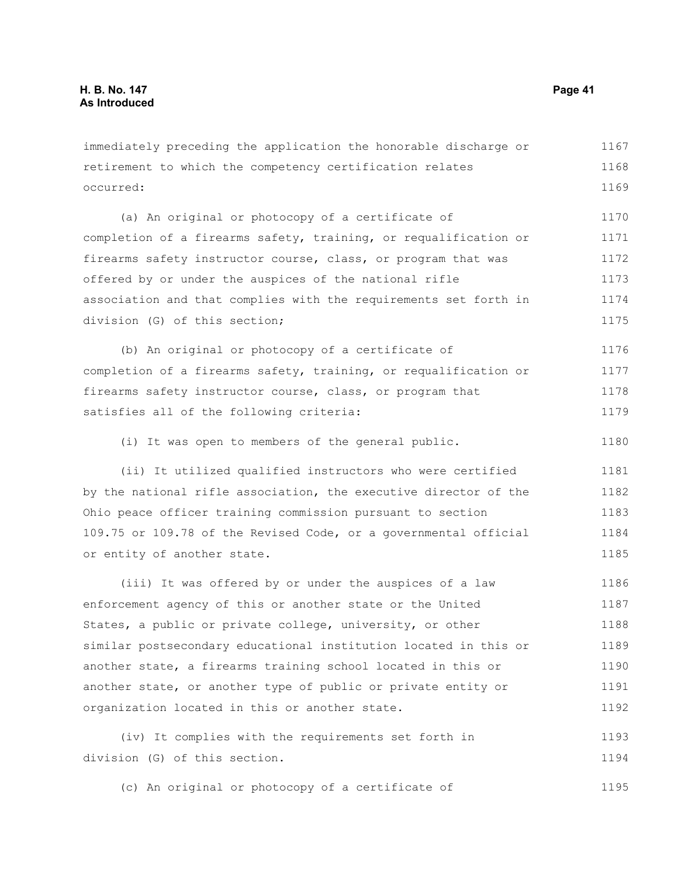immediately preceding the application the honorable discharge or retirement to which the competency certification relates occurred: (a) An original or photocopy of a certificate of completion of a firearms safety, training, or requalification or firearms safety instructor course, class, or program that was offered by or under the auspices of the national rifle association and that complies with the requirements set forth in division (G) of this section; (b) An original or photocopy of a certificate of completion of a firearms safety, training, or requalification or firearms safety instructor course, class, or program that satisfies all of the following criteria: (i) It was open to members of the general public. (ii) It utilized qualified instructors who were certified by the national rifle association, the executive director of the Ohio peace officer training commission pursuant to section 109.75 or 109.78 of the Revised Code, or a governmental official or entity of another state. (iii) It was offered by or under the auspices of a law enforcement agency of this or another state or the United States, a public or private college, university, or other similar postsecondary educational institution located in this or another state, a firearms training school located in this or another state, or another type of public or private entity or organization located in this or another state. (iv) It complies with the requirements set forth in division (G) of this section. 1167 1168 1169 1170 1171 1172 1173 1174 1175 1176 1177 1178 1179 1180 1181 1182 1183 1184 1185 1186 1187 1188 1189 1190 1191 1192 1193 1194

(c) An original or photocopy of a certificate of 1195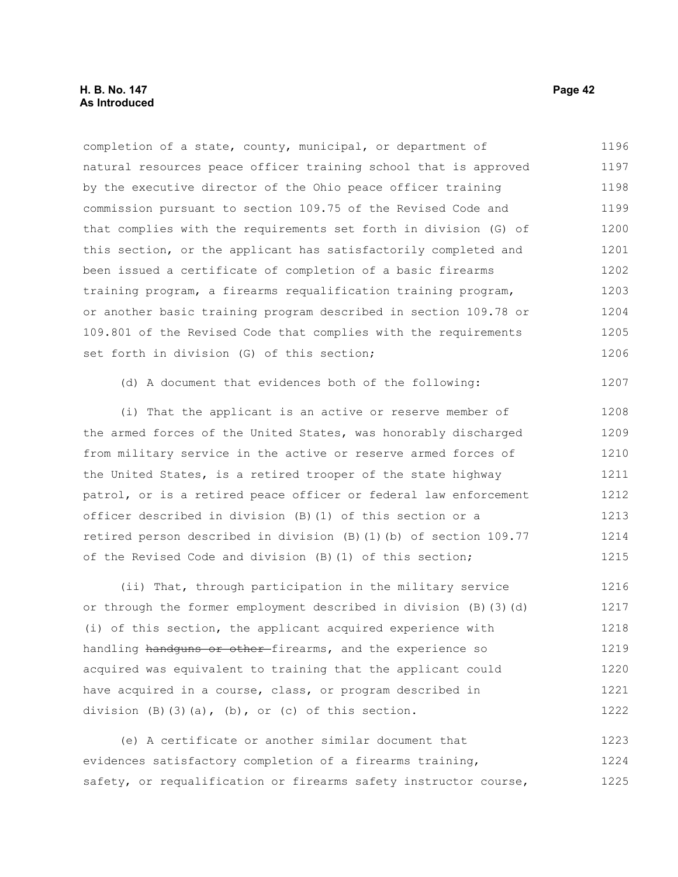completion of a state, county, municipal, or department of natural resources peace officer training school that is approved by the executive director of the Ohio peace officer training commission pursuant to section 109.75 of the Revised Code and that complies with the requirements set forth in division (G) of this section, or the applicant has satisfactorily completed and been issued a certificate of completion of a basic firearms training program, a firearms requalification training program, or another basic training program described in section 109.78 or 109.801 of the Revised Code that complies with the requirements set forth in division (G) of this section; 1196 1197 1198 1199 1200 1201 1202 1203 1204 1205 1206

(d) A document that evidences both of the following:

(i) That the applicant is an active or reserve member of the armed forces of the United States, was honorably discharged from military service in the active or reserve armed forces of the United States, is a retired trooper of the state highway patrol, or is a retired peace officer or federal law enforcement officer described in division (B)(1) of this section or a retired person described in division (B)(1)(b) of section 109.77 of the Revised Code and division (B)(1) of this section; 1208 1209 1210 1211 1212 1213 1214 1215

(ii) That, through participation in the military service or through the former employment described in division (B)(3)(d) (i) of this section, the applicant acquired experience with handling handguns or other firearms, and the experience so acquired was equivalent to training that the applicant could have acquired in a course, class, or program described in division  $(B)$   $(3)$   $(a)$ ,  $(b)$ , or  $(c)$  of this section. 1216 1217 1218 1219 1220 1221 1222

(e) A certificate or another similar document that evidences satisfactory completion of a firearms training, safety, or requalification or firearms safety instructor course, 1223 1224 1225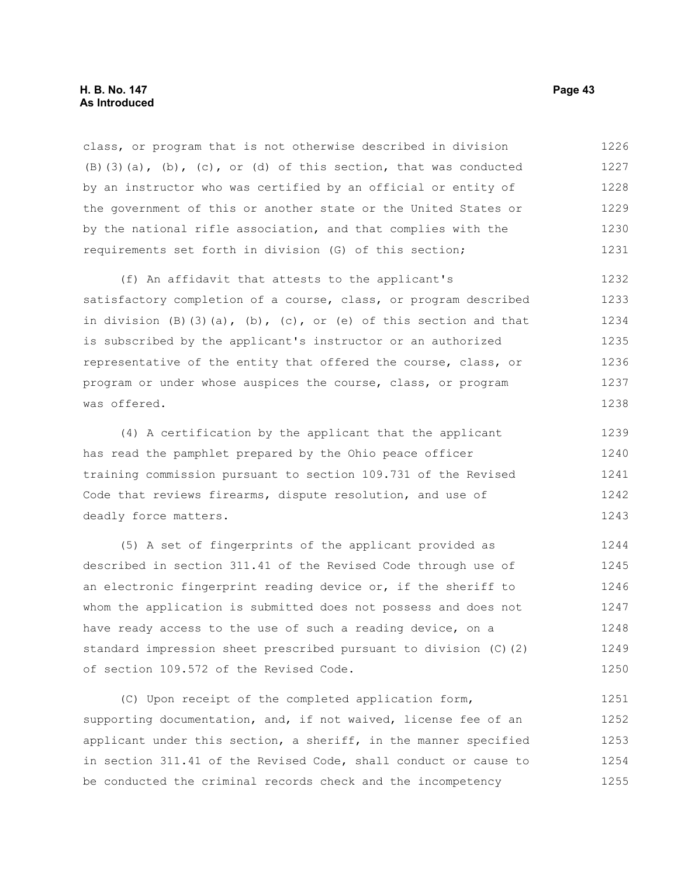class, or program that is not otherwise described in division  $(B)$ (3)(a),  $(b)$ ,  $(c)$ , or (d) of this section, that was conducted by an instructor who was certified by an official or entity of the government of this or another state or the United States or by the national rifle association, and that complies with the requirements set forth in division (G) of this section; 1226 1227 1228 1229 1230 1231

(f) An affidavit that attests to the applicant's satisfactory completion of a course, class, or program described in division  $(B)$   $(3)$   $(a)$ ,  $(b)$ ,  $(c)$ , or  $(e)$  of this section and that is subscribed by the applicant's instructor or an authorized representative of the entity that offered the course, class, or program or under whose auspices the course, class, or program was offered. 1232 1233 1234 1235 1236 1237 1238

(4) A certification by the applicant that the applicant has read the pamphlet prepared by the Ohio peace officer training commission pursuant to section 109.731 of the Revised Code that reviews firearms, dispute resolution, and use of deadly force matters. 1239 1240 1241 1242 1243

(5) A set of fingerprints of the applicant provided as described in section 311.41 of the Revised Code through use of an electronic fingerprint reading device or, if the sheriff to whom the application is submitted does not possess and does not have ready access to the use of such a reading device, on a standard impression sheet prescribed pursuant to division (C)(2) of section 109.572 of the Revised Code. 1244 1245 1246 1247 1248 1249 1250

(C) Upon receipt of the completed application form, supporting documentation, and, if not waived, license fee of an applicant under this section, a sheriff, in the manner specified in section 311.41 of the Revised Code, shall conduct or cause to be conducted the criminal records check and the incompetency 1251 1252 1253 1254 1255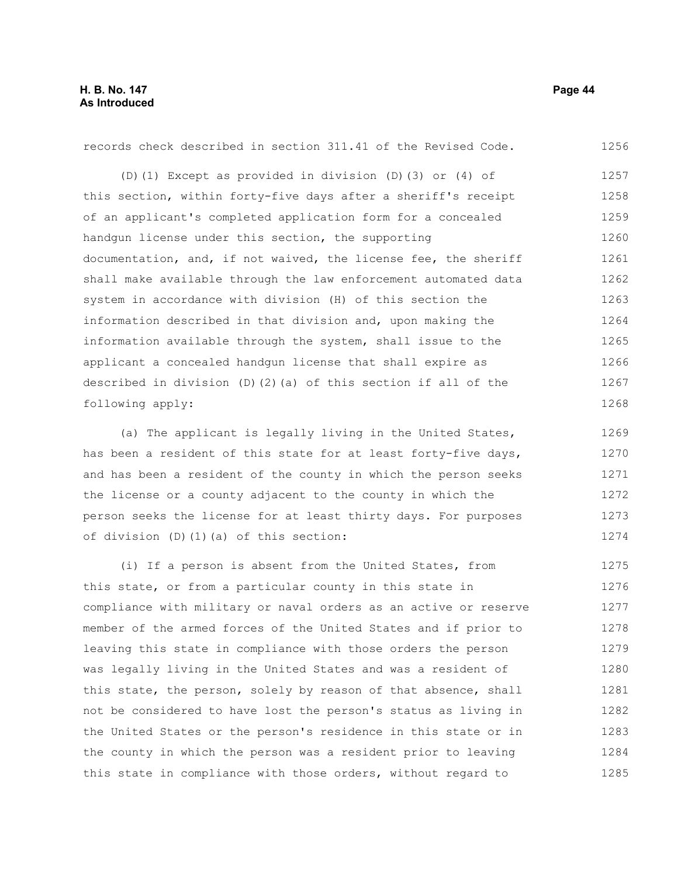records check described in section 311.41 of the Revised Code. 1256

(D)(1) Except as provided in division (D)(3) or (4) of this section, within forty-five days after a sheriff's receipt of an applicant's completed application form for a concealed handgun license under this section, the supporting documentation, and, if not waived, the license fee, the sheriff shall make available through the law enforcement automated data system in accordance with division (H) of this section the information described in that division and, upon making the information available through the system, shall issue to the applicant a concealed handgun license that shall expire as described in division  $(D)(2)(a)$  of this section if all of the following apply: 1257 1258 1259 1260 1261 1262 1263 1264 1265 1266 1267 1268

(a) The applicant is legally living in the United States, has been a resident of this state for at least forty-five days, and has been a resident of the county in which the person seeks the license or a county adjacent to the county in which the person seeks the license for at least thirty days. For purposes of division (D)(1)(a) of this section: 1269 1270 1271 1272 1273 1274

(i) If a person is absent from the United States, from this state, or from a particular county in this state in compliance with military or naval orders as an active or reserve member of the armed forces of the United States and if prior to leaving this state in compliance with those orders the person was legally living in the United States and was a resident of this state, the person, solely by reason of that absence, shall not be considered to have lost the person's status as living in the United States or the person's residence in this state or in the county in which the person was a resident prior to leaving this state in compliance with those orders, without regard to 1275 1276 1277 1278 1279 1280 1281 1282 1283 1284 1285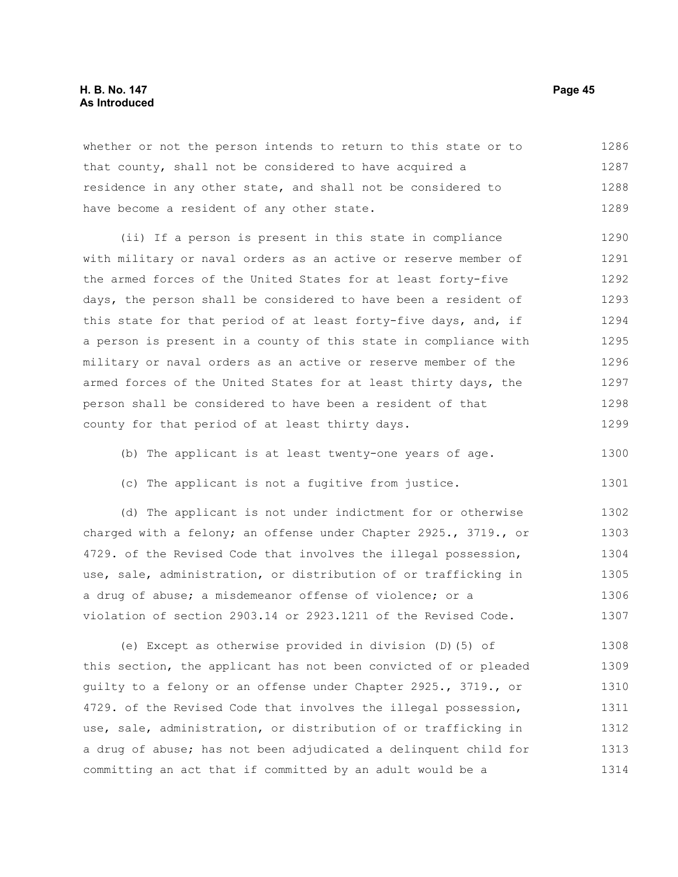# **H. B. No. 147 Page 45 As Introduced**

whether or not the person intends to return to this state or to that county, shall not be considered to have acquired a residence in any other state, and shall not be considered to have become a resident of any other state. 1286 1287 1288 1289

(ii) If a person is present in this state in compliance with military or naval orders as an active or reserve member of the armed forces of the United States for at least forty-five days, the person shall be considered to have been a resident of this state for that period of at least forty-five days, and, if a person is present in a county of this state in compliance with military or naval orders as an active or reserve member of the armed forces of the United States for at least thirty days, the person shall be considered to have been a resident of that county for that period of at least thirty days. 1290 1291 1292 1293 1294 1295 1296 1297 1298 1299

(b) The applicant is at least twenty-one years of age. 1300

(c) The applicant is not a fugitive from justice.

(d) The applicant is not under indictment for or otherwise charged with a felony; an offense under Chapter 2925., 3719., or 4729. of the Revised Code that involves the illegal possession, use, sale, administration, or distribution of or trafficking in a drug of abuse; a misdemeanor offense of violence; or a violation of section 2903.14 or 2923.1211 of the Revised Code. 1302 1303 1304 1305 1306 1307

(e) Except as otherwise provided in division (D)(5) of this section, the applicant has not been convicted of or pleaded guilty to a felony or an offense under Chapter 2925., 3719., or 4729. of the Revised Code that involves the illegal possession, use, sale, administration, or distribution of or trafficking in a drug of abuse; has not been adjudicated a delinquent child for committing an act that if committed by an adult would be a 1308 1309 1310 1311 1312 1313 1314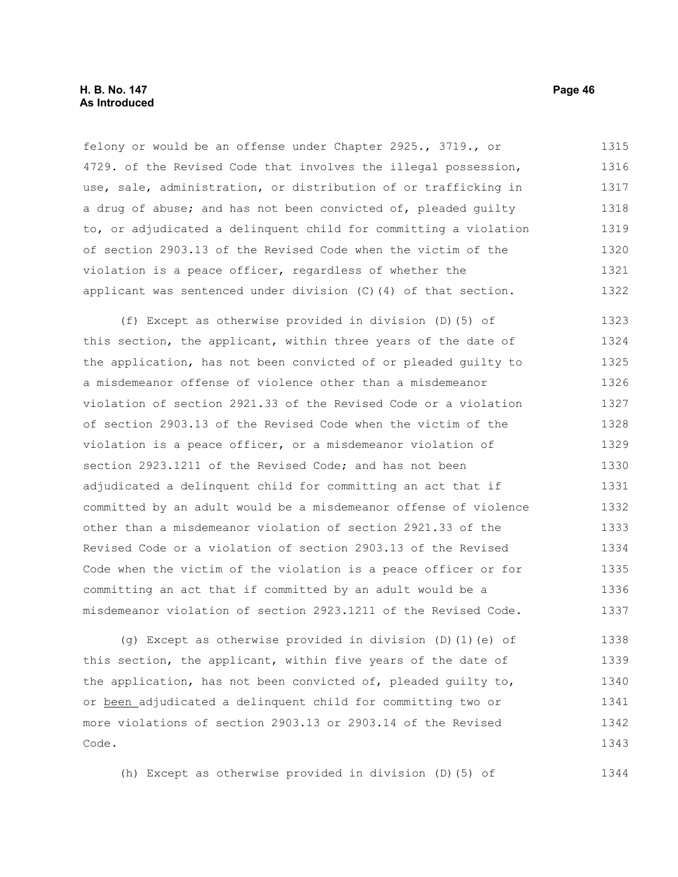# **H. B. No. 147 Page 46 As Introduced**

felony or would be an offense under Chapter 2925., 3719., or 4729. of the Revised Code that involves the illegal possession, use, sale, administration, or distribution of or trafficking in a drug of abuse; and has not been convicted of, pleaded guilty to, or adjudicated a delinquent child for committing a violation of section 2903.13 of the Revised Code when the victim of the violation is a peace officer, regardless of whether the applicant was sentenced under division (C)(4) of that section. 1315 1316 1317 1318 1319 1320 1321 1322

(f) Except as otherwise provided in division (D)(5) of this section, the applicant, within three years of the date of the application, has not been convicted of or pleaded guilty to a misdemeanor offense of violence other than a misdemeanor violation of section 2921.33 of the Revised Code or a violation of section 2903.13 of the Revised Code when the victim of the violation is a peace officer, or a misdemeanor violation of section 2923.1211 of the Revised Code; and has not been adjudicated a delinquent child for committing an act that if committed by an adult would be a misdemeanor offense of violence other than a misdemeanor violation of section 2921.33 of the Revised Code or a violation of section 2903.13 of the Revised Code when the victim of the violation is a peace officer or for committing an act that if committed by an adult would be a misdemeanor violation of section 2923.1211 of the Revised Code. 1323 1324 1325 1326 1327 1328 1329 1330 1331 1332 1333 1334 1335 1336 1337

(g) Except as otherwise provided in division (D)(1)(e) of this section, the applicant, within five years of the date of the application, has not been convicted of, pleaded guilty to, or been adjudicated a delinquent child for committing two or more violations of section 2903.13 or 2903.14 of the Revised Code. 1338 1339 1340 1341 1342 1343

(h) Except as otherwise provided in division (D)(5) of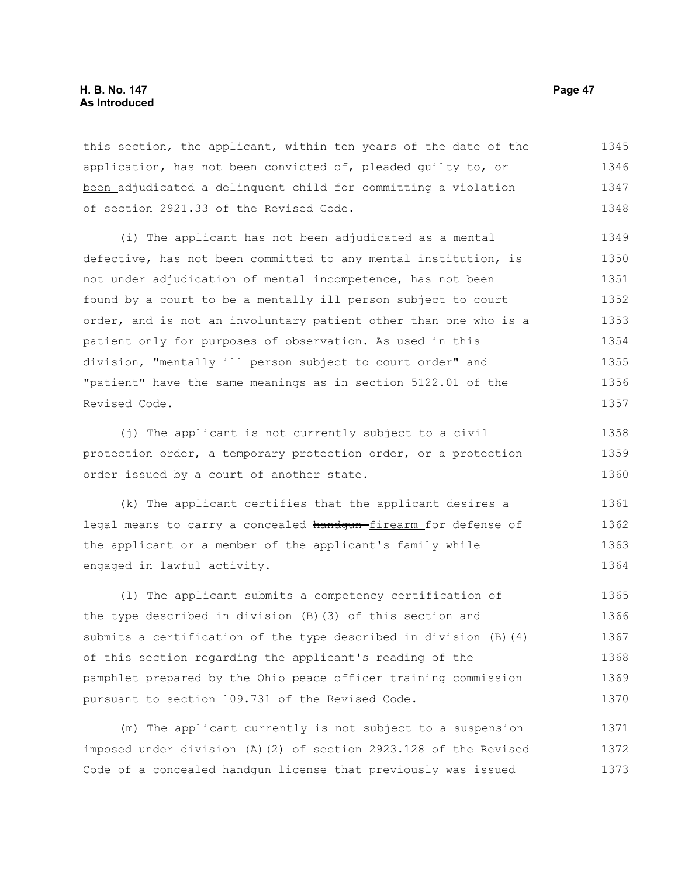this section, the applicant, within ten years of the date of the application, has not been convicted of, pleaded guilty to, or been adjudicated a delinquent child for committing a violation of section 2921.33 of the Revised Code. 1345 1346 1347 1348

(i) The applicant has not been adjudicated as a mental defective, has not been committed to any mental institution, is not under adjudication of mental incompetence, has not been found by a court to be a mentally ill person subject to court order, and is not an involuntary patient other than one who is a patient only for purposes of observation. As used in this division, "mentally ill person subject to court order" and "patient" have the same meanings as in section 5122.01 of the Revised Code. 1349 1350 1351 1352 1353 1354 1355 1356 1357

(j) The applicant is not currently subject to a civil protection order, a temporary protection order, or a protection order issued by a court of another state. 1358 1359 1360

(k) The applicant certifies that the applicant desires a legal means to carry a concealed handgun-firearm for defense of the applicant or a member of the applicant's family while engaged in lawful activity. 1361 1362 1363 1364

(l) The applicant submits a competency certification of the type described in division (B)(3) of this section and submits a certification of the type described in division (B)(4) of this section regarding the applicant's reading of the pamphlet prepared by the Ohio peace officer training commission pursuant to section 109.731 of the Revised Code. 1365 1366 1367 1368 1369 1370

(m) The applicant currently is not subject to a suspension imposed under division (A)(2) of section 2923.128 of the Revised Code of a concealed handgun license that previously was issued 1371 1372 1373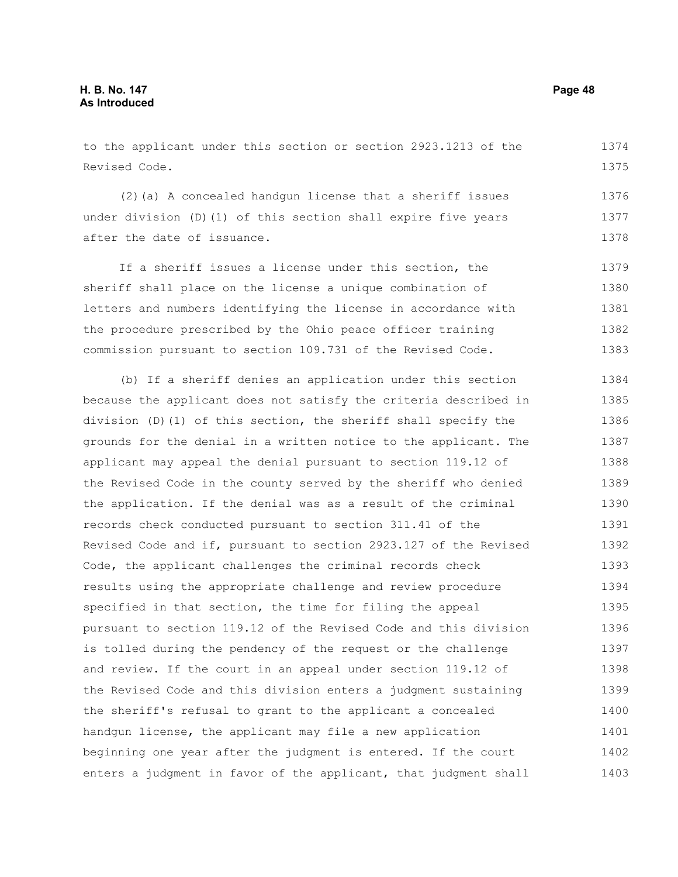to the applicant under this section or section 2923.1213 of the Revised Code. 1374 1375

(2)(a) A concealed handgun license that a sheriff issues under division (D)(1) of this section shall expire five years after the date of issuance. 1376 1377 1378

If a sheriff issues a license under this section, the sheriff shall place on the license a unique combination of letters and numbers identifying the license in accordance with the procedure prescribed by the Ohio peace officer training commission pursuant to section 109.731 of the Revised Code. 1379 1380 1381 1382 1383

(b) If a sheriff denies an application under this section because the applicant does not satisfy the criteria described in division (D)(1) of this section, the sheriff shall specify the grounds for the denial in a written notice to the applicant. The applicant may appeal the denial pursuant to section 119.12 of the Revised Code in the county served by the sheriff who denied the application. If the denial was as a result of the criminal records check conducted pursuant to section 311.41 of the Revised Code and if, pursuant to section 2923.127 of the Revised Code, the applicant challenges the criminal records check results using the appropriate challenge and review procedure specified in that section, the time for filing the appeal pursuant to section 119.12 of the Revised Code and this division is tolled during the pendency of the request or the challenge and review. If the court in an appeal under section 119.12 of the Revised Code and this division enters a judgment sustaining the sheriff's refusal to grant to the applicant a concealed handgun license, the applicant may file a new application beginning one year after the judgment is entered. If the court enters a judgment in favor of the applicant, that judgment shall 1384 1385 1386 1387 1388 1389 1390 1391 1392 1393 1394 1395 1396 1397 1398 1399 1400 1401 1402 1403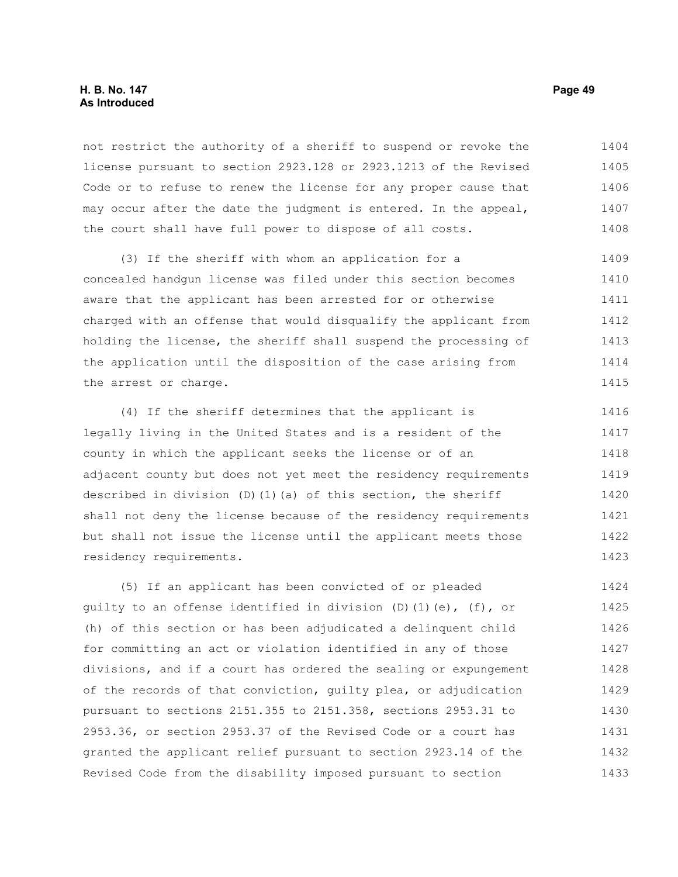# **H. B. No. 147 Page 49 As Introduced**

not restrict the authority of a sheriff to suspend or revoke the license pursuant to section 2923.128 or 2923.1213 of the Revised Code or to refuse to renew the license for any proper cause that may occur after the date the judgment is entered. In the appeal, the court shall have full power to dispose of all costs. 1404 1405 1406 1407 1408

(3) If the sheriff with whom an application for a concealed handgun license was filed under this section becomes aware that the applicant has been arrested for or otherwise charged with an offense that would disqualify the applicant from holding the license, the sheriff shall suspend the processing of the application until the disposition of the case arising from the arrest or charge. 1409 1410 1411 1412 1413 1414 1415

(4) If the sheriff determines that the applicant is legally living in the United States and is a resident of the county in which the applicant seeks the license or of an adjacent county but does not yet meet the residency requirements described in division (D)(1)(a) of this section, the sheriff shall not deny the license because of the residency requirements but shall not issue the license until the applicant meets those residency requirements. 1416 1417 1418 1419 1420 1421 1422 1423

(5) If an applicant has been convicted of or pleaded quilty to an offense identified in division  $(D)$   $(1)$   $(e)$ ,  $(f)$ , or (h) of this section or has been adjudicated a delinquent child for committing an act or violation identified in any of those divisions, and if a court has ordered the sealing or expungement of the records of that conviction, guilty plea, or adjudication pursuant to sections 2151.355 to 2151.358, sections 2953.31 to 2953.36, or section 2953.37 of the Revised Code or a court has granted the applicant relief pursuant to section 2923.14 of the Revised Code from the disability imposed pursuant to section 1424 1425 1426 1427 1428 1429 1430 1431 1432 1433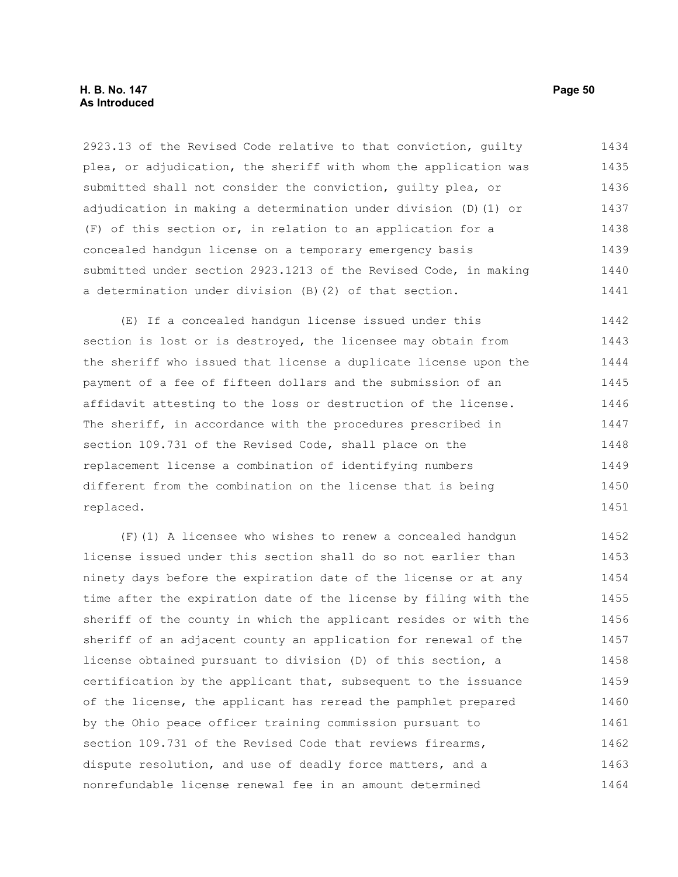2923.13 of the Revised Code relative to that conviction, guilty plea, or adjudication, the sheriff with whom the application was submitted shall not consider the conviction, guilty plea, or adjudication in making a determination under division (D)(1) or (F) of this section or, in relation to an application for a concealed handgun license on a temporary emergency basis submitted under section 2923.1213 of the Revised Code, in making a determination under division (B)(2) of that section. 1434 1435 1436 1437 1438 1439 1440 1441

(E) If a concealed handgun license issued under this section is lost or is destroyed, the licensee may obtain from the sheriff who issued that license a duplicate license upon the payment of a fee of fifteen dollars and the submission of an affidavit attesting to the loss or destruction of the license. The sheriff, in accordance with the procedures prescribed in section 109.731 of the Revised Code, shall place on the replacement license a combination of identifying numbers different from the combination on the license that is being replaced. 1442 1443 1444 1445 1446 1447 1448 1449 1450 1451

(F)(1) A licensee who wishes to renew a concealed handgun license issued under this section shall do so not earlier than ninety days before the expiration date of the license or at any time after the expiration date of the license by filing with the sheriff of the county in which the applicant resides or with the sheriff of an adjacent county an application for renewal of the license obtained pursuant to division (D) of this section, a certification by the applicant that, subsequent to the issuance of the license, the applicant has reread the pamphlet prepared by the Ohio peace officer training commission pursuant to section 109.731 of the Revised Code that reviews firearms, dispute resolution, and use of deadly force matters, and a nonrefundable license renewal fee in an amount determined 1452 1453 1454 1455 1456 1457 1458 1459 1460 1461 1462 1463 1464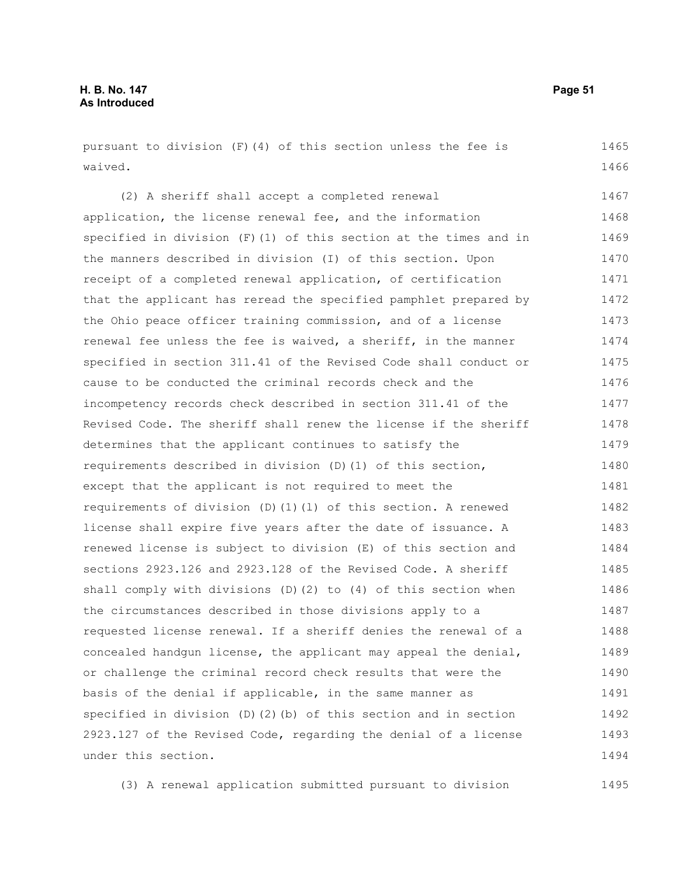| pursuant to division (F)(4) of this section unless the fee is         | 1465 |
|-----------------------------------------------------------------------|------|
| waived.                                                               | 1466 |
| (2) A sheriff shall accept a completed renewal                        | 1467 |
| application, the license renewal fee, and the information             | 1468 |
| specified in division (F)(1) of this section at the times and in      | 1469 |
| the manners described in division (I) of this section. Upon           | 1470 |
| receipt of a completed renewal application, of certification          | 1471 |
| that the applicant has reread the specified pamphlet prepared by      | 1472 |
| the Ohio peace officer training commission, and of a license          | 1473 |
| renewal fee unless the fee is waived, a sheriff, in the manner        | 1474 |
| specified in section 311.41 of the Revised Code shall conduct or      | 1475 |
| cause to be conducted the criminal records check and the              | 1476 |
| incompetency records check described in section 311.41 of the         | 1477 |
| Revised Code. The sheriff shall renew the license if the sheriff      | 1478 |
| determines that the applicant continues to satisfy the                | 1479 |
| requirements described in division $(D)$ (1) of this section,         | 1480 |
| except that the applicant is not required to meet the                 | 1481 |
| requirements of division $(D)$ $(1)$ $(1)$ of this section. A renewed | 1482 |
| license shall expire five years after the date of issuance. A         | 1483 |
| renewed license is subject to division (E) of this section and        | 1484 |
| sections 2923.126 and 2923.128 of the Revised Code. A sheriff         | 1485 |
| shall comply with divisions $(D)$ $(2)$ to $(4)$ of this section when | 1486 |
| the circumstances described in those divisions apply to a             | 1487 |
| requested license renewal. If a sheriff denies the renewal of a       | 1488 |
| concealed handgun license, the applicant may appeal the denial,       | 1489 |
| or challenge the criminal record check results that were the          | 1490 |
| basis of the denial if applicable, in the same manner as              | 1491 |
| specified in division (D)(2)(b) of this section and in section        | 1492 |
| 2923.127 of the Revised Code, regarding the denial of a license       | 1493 |
| under this section.                                                   | 1494 |
|                                                                       |      |

(3) A renewal application submitted pursuant to division 1495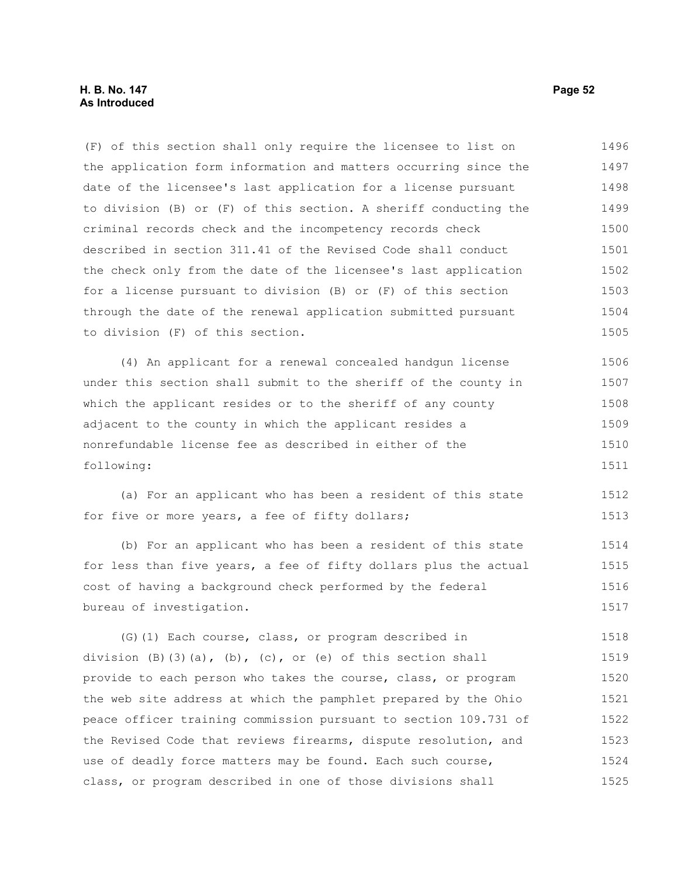## **H. B. No. 147 Page 52 As Introduced**

(F) of this section shall only require the licensee to list on the application form information and matters occurring since the date of the licensee's last application for a license pursuant to division (B) or (F) of this section. A sheriff conducting the criminal records check and the incompetency records check described in section 311.41 of the Revised Code shall conduct the check only from the date of the licensee's last application for a license pursuant to division (B) or (F) of this section through the date of the renewal application submitted pursuant to division (F) of this section. 1496 1497 1498 1499 1500 1501 1502 1503 1504 1505

(4) An applicant for a renewal concealed handgun license under this section shall submit to the sheriff of the county in which the applicant resides or to the sheriff of any county adjacent to the county in which the applicant resides a nonrefundable license fee as described in either of the following: 1506 1507 1508 1509 1510 1511

(a) For an applicant who has been a resident of this state for five or more years, a fee of fifty dollars; 1512 1513

(b) For an applicant who has been a resident of this state for less than five years, a fee of fifty dollars plus the actual cost of having a background check performed by the federal bureau of investigation. 1514 1515 1516 1517

(G)(1) Each course, class, or program described in division  $(B)$ (3)(a),  $(b)$ ,  $(c)$ , or  $(e)$  of this section shall provide to each person who takes the course, class, or program the web site address at which the pamphlet prepared by the Ohio peace officer training commission pursuant to section 109.731 of the Revised Code that reviews firearms, dispute resolution, and use of deadly force matters may be found. Each such course, class, or program described in one of those divisions shall 1518 1519 1520 1521 1522 1523 1524 1525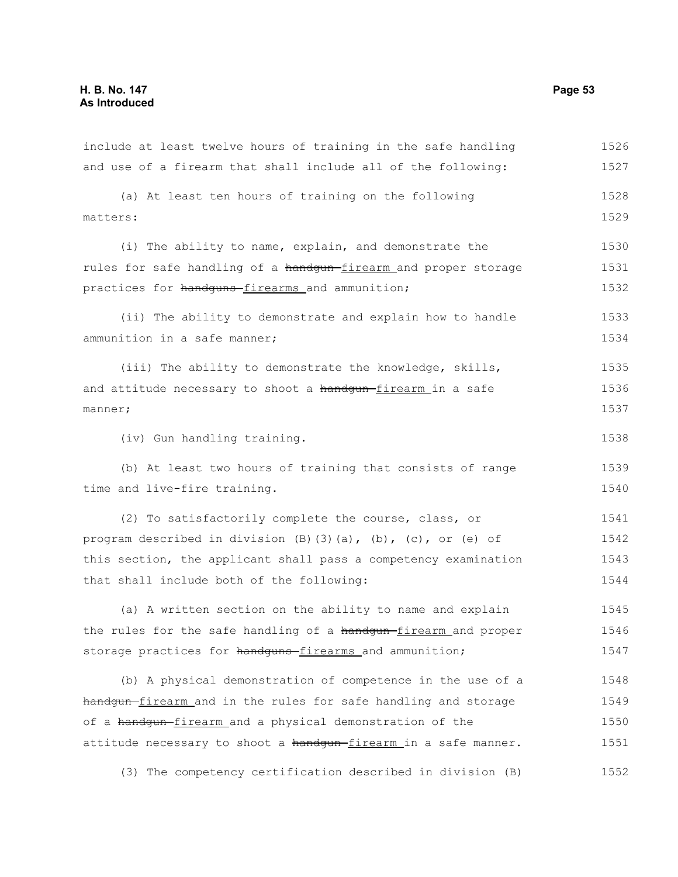and use of a firearm that shall include all of the following: (a) At least ten hours of training on the following matters: (i) The ability to name, explain, and demonstrate the rules for safe handling of a handgun-firearm and proper storage practices for handguns-firearms and ammunition; (ii) The ability to demonstrate and explain how to handle ammunition in a safe manner; (iii) The ability to demonstrate the knowledge, skills, and attitude necessary to shoot a handgun-firearm in a safe manner; (iv) Gun handling training. (b) At least two hours of training that consists of range time and live-fire training. (2) To satisfactorily complete the course, class, or program described in division  $(B)$  (3)(a),  $(b)$ ,  $(c)$ , or (e) of this section, the applicant shall pass a competency examination that shall include both of the following: (a) A written section on the ability to name and explain the rules for the safe handling of a handgun-firearm and proper storage practices for handguns-firearms and ammunition; (b) A physical demonstration of competence in the use of a handgun-firearm and in the rules for safe handling and storage of a handqun-firearm and a physical demonstration of the attitude necessary to shoot a handqun-firearm in a safe manner. 1527 1528 1529 1530 1531 1532 1533 1534 1535 1536 1537 1538 1539 1540 1541 1542 1543 1544 1545 1546 1547 1548 1549 1550 1551

include at least twelve hours of training in the safe handling

(3) The competency certification described in division (B) 1552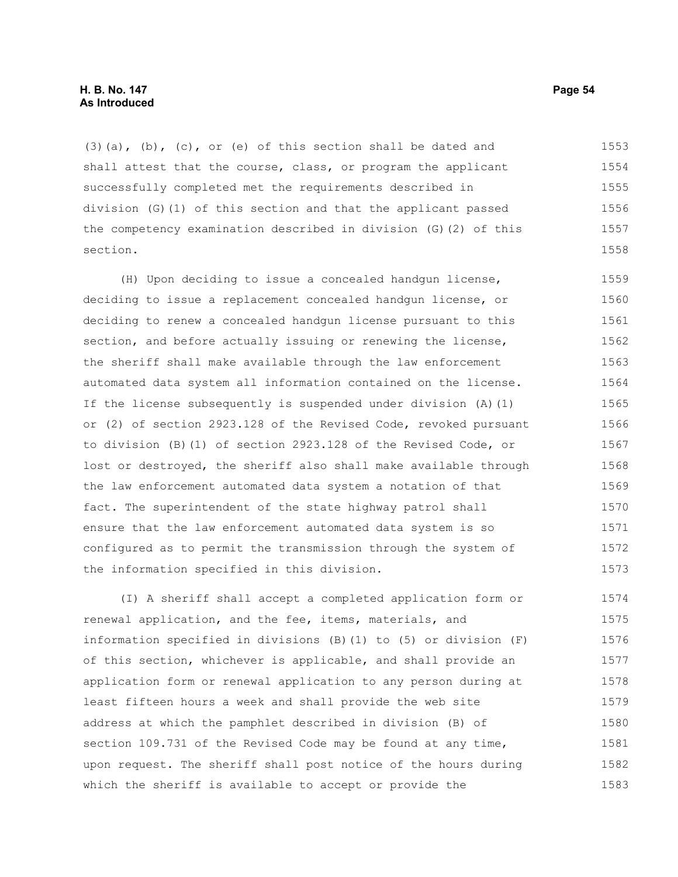## **H. B. No. 147 Page 54 As Introduced**

 $(3)$  (a), (b), (c), or (e) of this section shall be dated and shall attest that the course, class, or program the applicant successfully completed met the requirements described in division (G)(1) of this section and that the applicant passed the competency examination described in division (G)(2) of this section. 1553 1554 1555 1556 1557 1558

(H) Upon deciding to issue a concealed handgun license, deciding to issue a replacement concealed handgun license, or deciding to renew a concealed handgun license pursuant to this section, and before actually issuing or renewing the license, the sheriff shall make available through the law enforcement automated data system all information contained on the license. If the license subsequently is suspended under division (A)(1) or (2) of section 2923.128 of the Revised Code, revoked pursuant to division (B)(1) of section 2923.128 of the Revised Code, or lost or destroyed, the sheriff also shall make available through the law enforcement automated data system a notation of that fact. The superintendent of the state highway patrol shall ensure that the law enforcement automated data system is so configured as to permit the transmission through the system of the information specified in this division. 1559 1560 1561 1562 1563 1564 1565 1566 1567 1568 1569 1570 1571 1572 1573

(I) A sheriff shall accept a completed application form or renewal application, and the fee, items, materials, and information specified in divisions (B)(1) to (5) or division (F) of this section, whichever is applicable, and shall provide an application form or renewal application to any person during at least fifteen hours a week and shall provide the web site address at which the pamphlet described in division (B) of section 109.731 of the Revised Code may be found at any time, upon request. The sheriff shall post notice of the hours during which the sheriff is available to accept or provide the 1574 1575 1576 1577 1578 1579 1580 1581 1582 1583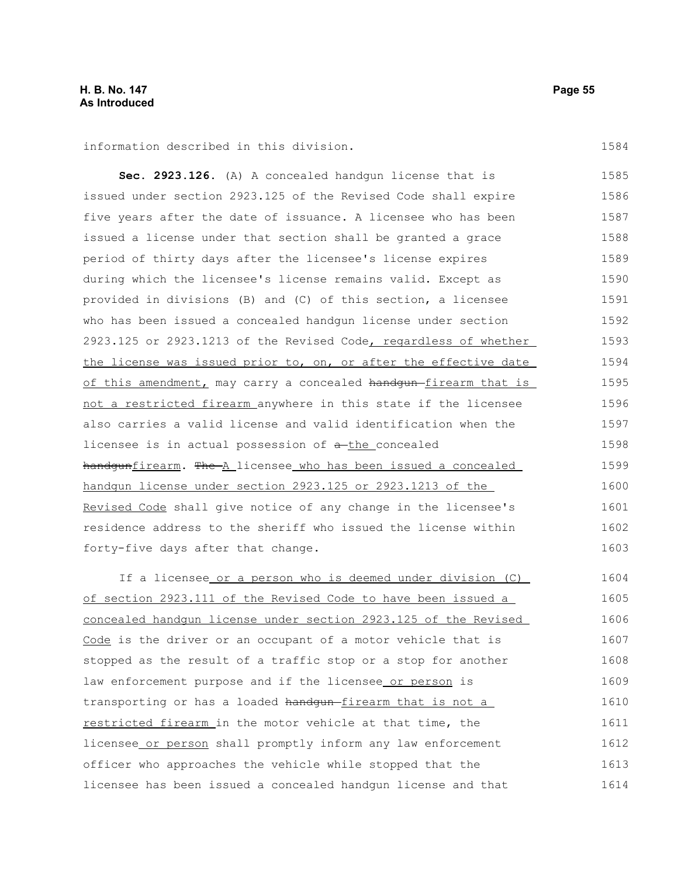information described in this division.

**Sec. 2923.126.** (A) A concealed handgun license that is issued under section 2923.125 of the Revised Code shall expire five years after the date of issuance. A licensee who has been issued a license under that section shall be granted a grace period of thirty days after the licensee's license expires during which the licensee's license remains valid. Except as provided in divisions (B) and (C) of this section, a licensee who has been issued a concealed handgun license under section 2923.125 or 2923.1213 of the Revised Code, regardless of whether the license was issued prior to, on, or after the effective date of this amendment, may carry a concealed handgun-firearm that is not a restricted firearm anywhere in this state if the licensee also carries a valid license and valid identification when the licensee is in actual possession of  $a$ -the concealed handgunfirearm. The A licensee who has been issued a concealed handgun license under section 2923.125 or 2923.1213 of the Revised Code shall give notice of any change in the licensee's residence address to the sheriff who issued the license within forty-five days after that change. 1585 1586 1587 1588 1589 1590 1591 1592 1593 1594 1595 1596 1597 1598 1599 1600 1601 1602 1603

If a licensee or a person who is deemed under division (C) of section 2923.111 of the Revised Code to have been issued a concealed handgun license under section 2923.125 of the Revised Code is the driver or an occupant of a motor vehicle that is stopped as the result of a traffic stop or a stop for another law enforcement purpose and if the licensee or person is transporting or has a loaded handgun-firearm that is not a restricted firearm in the motor vehicle at that time, the licensee or person shall promptly inform any law enforcement officer who approaches the vehicle while stopped that the licensee has been issued a concealed handgun license and that 1604 1605 1606 1607 1608 1609 1610 1611 1612 1613 1614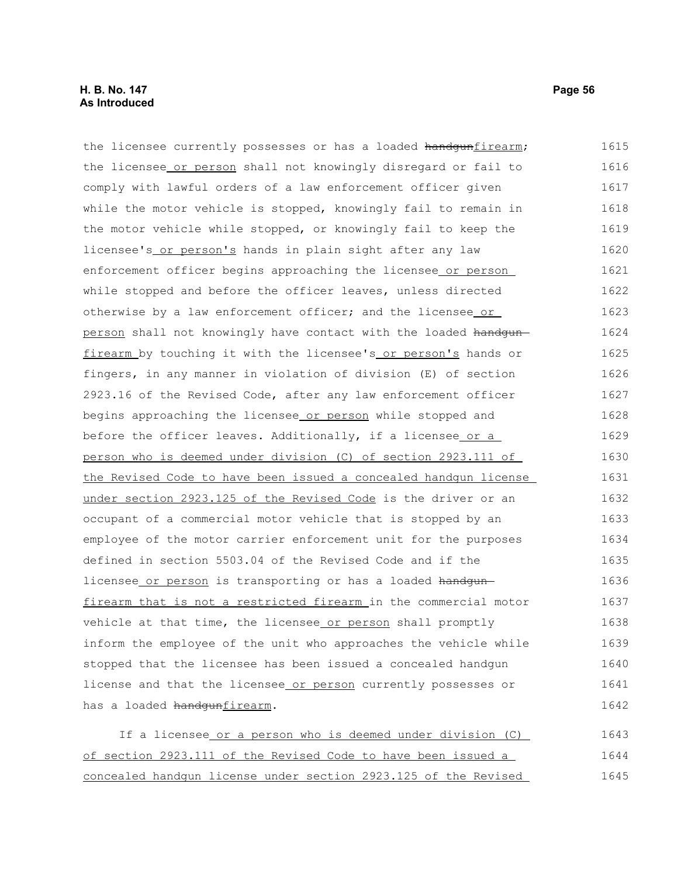# **H. B. No. 147 Page 56 As Introduced**

the licensee currently possesses or has a loaded handqunfirearm; the licensee or person shall not knowingly disregard or fail to comply with lawful orders of a law enforcement officer given while the motor vehicle is stopped, knowingly fail to remain in the motor vehicle while stopped, or knowingly fail to keep the licensee's or person's hands in plain sight after any law enforcement officer begins approaching the licensee or person while stopped and before the officer leaves, unless directed otherwise by a law enforcement officer; and the licensee or person shall not knowingly have contact with the loaded handgunfirearm by touching it with the licensee's or person's hands or fingers, in any manner in violation of division (E) of section 2923.16 of the Revised Code, after any law enforcement officer begins approaching the licensee or person while stopped and before the officer leaves. Additionally, if a licensee or a person who is deemed under division (C) of section 2923.111 of the Revised Code to have been issued a concealed handgun license under section 2923.125 of the Revised Code is the driver or an occupant of a commercial motor vehicle that is stopped by an employee of the motor carrier enforcement unit for the purposes defined in section 5503.04 of the Revised Code and if the licensee or person is transporting or has a loaded handgun firearm that is not a restricted firearm in the commercial motor vehicle at that time, the licensee or person shall promptly inform the employee of the unit who approaches the vehicle while stopped that the licensee has been issued a concealed handgun license and that the licensee or person currently possesses or has a loaded handqunfirearm. If a licensee or a person who is deemed under division (C) 1615 1616 1617 1618 1619 1620 1621 1622 1623 1624 1625 1626 1627 1628 1629 1630 1631 1632 1633 1634 1635 1636 1637 1638 1639 1640 1641 1642 1643

of section 2923.111 of the Revised Code to have been issued a concealed handgun license under section 2923.125 of the Revised 1644 1645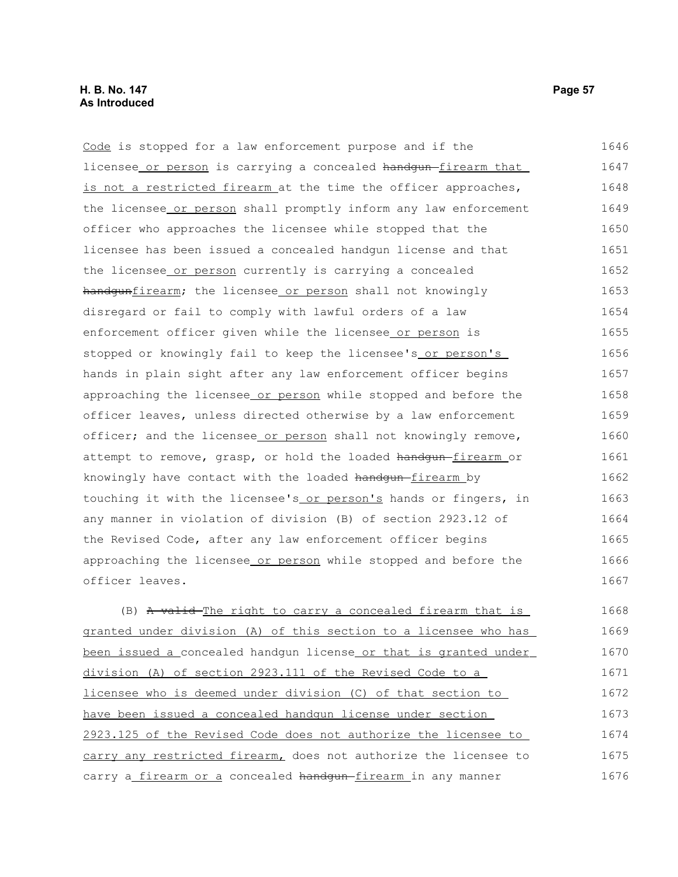Code is stopped for a law enforcement purpose and if the licensee or person is carrying a concealed handgun-firearm that is not a restricted firearm at the time the officer approaches, the licensee or person shall promptly inform any law enforcement officer who approaches the licensee while stopped that the licensee has been issued a concealed handgun license and that the licensee or person currently is carrying a concealed handgunfirearm; the licensee or person shall not knowingly disregard or fail to comply with lawful orders of a law enforcement officer given while the licensee or person is stopped or knowingly fail to keep the licensee's or person's hands in plain sight after any law enforcement officer begins approaching the licensee or person while stopped and before the officer leaves, unless directed otherwise by a law enforcement officer; and the licensee or person shall not knowingly remove, attempt to remove, grasp, or hold the loaded handgun-firearm or knowingly have contact with the loaded handgun-firearm by touching it with the licensee's or person's hands or fingers, in any manner in violation of division (B) of section 2923.12 of the Revised Code, after any law enforcement officer begins approaching the licensee or person while stopped and before the officer leaves. (B)  $A$  valid The right to carry a concealed firearm that is granted under division (A) of this section to a licensee who has been issued a concealed handgun license or that is granted under division (A) of section 2923.111 of the Revised Code to a licensee who is deemed under division (C) of that section to 1646 1647 1648 1649 1650 1651 1652 1653 1654 1655 1656 1657 1658 1659 1660 1661 1662 1663 1664 1665 1666 1667 1668 1669 1670 1671 1672

have been issued a concealed handgun license under section 2923.125 of the Revised Code does not authorize the licensee to carry any restricted firearm, does not authorize the licensee to carry a firearm or a concealed handgun-firearm in any manner 1673 1674 1675 1676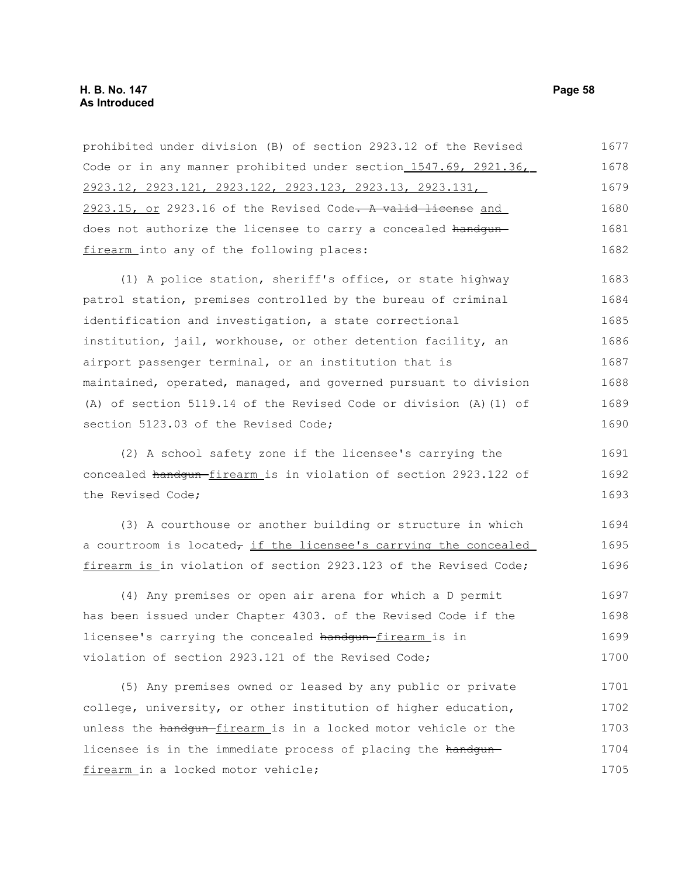| prohibited under division (B) of section 2923.12 of the Revised              | 1677 |
|------------------------------------------------------------------------------|------|
| Code or in any manner prohibited under section 1547.69, 2921.36,             | 1678 |
| <u>2923.12, 2923.121, 2923.122, 2923.123, 2923.13, 2923.131, </u>            | 1679 |
| 2923.15, or 2923.16 of the Revised Code. A valid license and                 | 1680 |
| does not authorize the licensee to carry a concealed handgun-                | 1681 |
| firearm into any of the following places:                                    | 1682 |
| (1) A police station, sheriff's office, or state highway                     | 1683 |
| patrol station, premises controlled by the bureau of criminal                | 1684 |
| identification and investigation, a state correctional                       | 1685 |
| institution, jail, workhouse, or other detention facility, an                | 1686 |
| airport passenger terminal, or an institution that is                        | 1687 |
| maintained, operated, managed, and governed pursuant to division             | 1688 |
| (A) of section 5119.14 of the Revised Code or division (A) (1) of            | 1689 |
| section 5123.03 of the Revised Code;                                         | 1690 |
| (2) A school safety zone if the licensee's carrying the                      | 1691 |
| concealed handgun-firearm is in violation of section 2923.122 of             | 1692 |
| the Revised Code;                                                            | 1693 |
| (3) A courthouse or another building or structure in which                   | 1694 |
| a courtroom is located <sub>r</sub> if the licensee's carrying the concealed | 1695 |
| firearm is in violation of section 2923.123 of the Revised Code;             | 1696 |
| (4) Any premises or open air arena for which a D permit                      | 1697 |
| has been issued under Chapter 4303. of the Revised Code if the               | 1698 |
| licensee's carrying the concealed handgun-firearm is in                      | 1699 |
| violation of section 2923.121 of the Revised Code;                           | 1700 |
| (5) Any premises owned or leased by any public or private                    | 1701 |
| college, university, or other institution of higher education,               | 1702 |
| unless the handgun-firearm is in a locked motor vehicle or the               | 1703 |
| licensee is in the immediate process of placing the handgun-                 | 1704 |
| firearm in a locked motor vehicle;                                           | 1705 |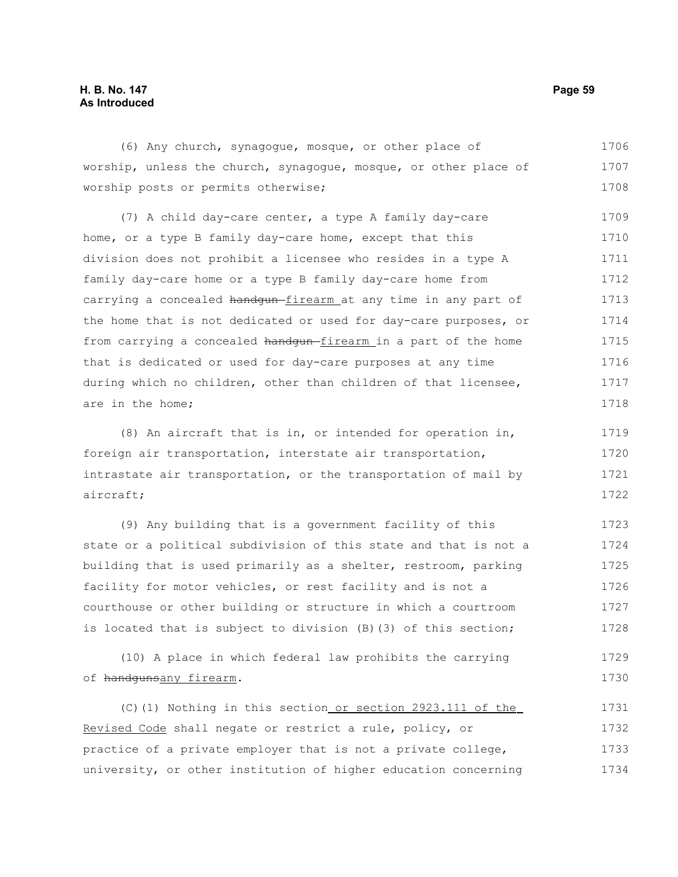# **H. B. No. 147 Page 59 As Introduced**

(6) Any church, synagogue, mosque, or other place of worship, unless the church, synagogue, mosque, or other place of 1706 1707

worship posts or permits otherwise;

(7) A child day-care center, a type A family day-care home, or a type B family day-care home, except that this division does not prohibit a licensee who resides in a type A family day-care home or a type B family day-care home from carrying a concealed handgun-firearm at any time in any part of the home that is not dedicated or used for day-care purposes, or from carrying a concealed handgun-firearm in a part of the home that is dedicated or used for day-care purposes at any time during which no children, other than children of that licensee, are in the home; 1709 1710 1711 1712 1713 1714 1715 1716 1717 1718

(8) An aircraft that is in, or intended for operation in, foreign air transportation, interstate air transportation, intrastate air transportation, or the transportation of mail by aircraft; 1719 1720 1721 1722

(9) Any building that is a government facility of this state or a political subdivision of this state and that is not a building that is used primarily as a shelter, restroom, parking facility for motor vehicles, or rest facility and is not a courthouse or other building or structure in which a courtroom is located that is subject to division (B)(3) of this section; 1723 1724 1725 1726 1727 1728

(10) A place in which federal law prohibits the carrying of handgunsany firearm. 1729 1730

(C)(1) Nothing in this section or section 2923.111 of the Revised Code shall negate or restrict a rule, policy, or practice of a private employer that is not a private college, university, or other institution of higher education concerning 1731 1732 1733 1734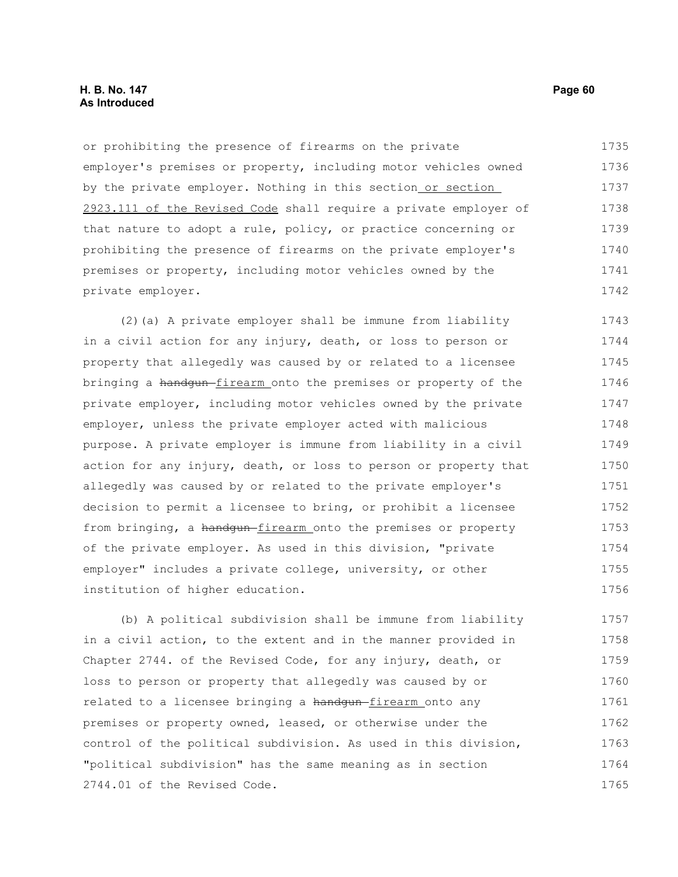# **H. B. No. 147 Page 60 As Introduced**

or prohibiting the presence of firearms on the private employer's premises or property, including motor vehicles owned by the private employer. Nothing in this section or section 2923.111 of the Revised Code shall require a private employer of that nature to adopt a rule, policy, or practice concerning or prohibiting the presence of firearms on the private employer's premises or property, including motor vehicles owned by the private employer. 1735 1736 1737 1738 1739 1740 1741 1742

(2)(a) A private employer shall be immune from liability in a civil action for any injury, death, or loss to person or property that allegedly was caused by or related to a licensee bringing a handgun-firearm onto the premises or property of the private employer, including motor vehicles owned by the private employer, unless the private employer acted with malicious purpose. A private employer is immune from liability in a civil action for any injury, death, or loss to person or property that allegedly was caused by or related to the private employer's decision to permit a licensee to bring, or prohibit a licensee from bringing, a handgun-firearm onto the premises or property of the private employer. As used in this division, "private employer" includes a private college, university, or other institution of higher education. 1743 1744 1745 1746 1747 1748 1749 1750 1751 1752 1753 1754 1755 1756

(b) A political subdivision shall be immune from liability in a civil action, to the extent and in the manner provided in Chapter 2744. of the Revised Code, for any injury, death, or loss to person or property that allegedly was caused by or related to a licensee bringing a handgun-firearm onto any premises or property owned, leased, or otherwise under the control of the political subdivision. As used in this division, "political subdivision" has the same meaning as in section 2744.01 of the Revised Code. 1757 1758 1759 1760 1761 1762 1763 1764 1765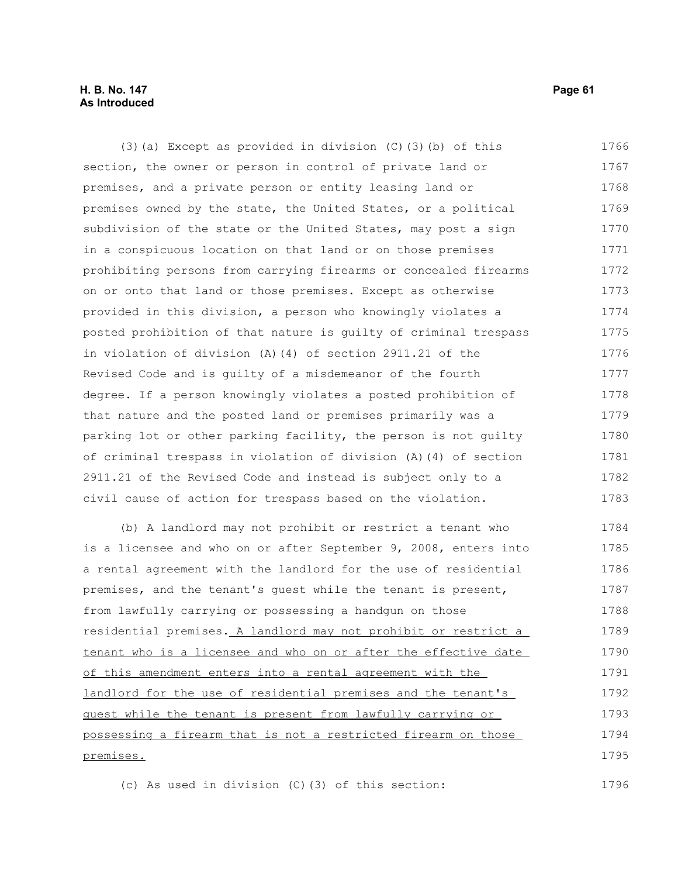# **H. B. No. 147 Page 61 As Introduced**

(3)(a) Except as provided in division (C)(3)(b) of this section, the owner or person in control of private land or premises, and a private person or entity leasing land or premises owned by the state, the United States, or a political subdivision of the state or the United States, may post a sign in a conspicuous location on that land or on those premises prohibiting persons from carrying firearms or concealed firearms on or onto that land or those premises. Except as otherwise provided in this division, a person who knowingly violates a posted prohibition of that nature is guilty of criminal trespass in violation of division (A)(4) of section 2911.21 of the Revised Code and is guilty of a misdemeanor of the fourth degree. If a person knowingly violates a posted prohibition of that nature and the posted land or premises primarily was a parking lot or other parking facility, the person is not guilty of criminal trespass in violation of division (A)(4) of section 2911.21 of the Revised Code and instead is subject only to a civil cause of action for trespass based on the violation. 1766 1767 1768 1769 1770 1771 1772 1773 1774 1775 1776 1777 1778 1779 1780 1781 1782 1783

(b) A landlord may not prohibit or restrict a tenant who is a licensee and who on or after September 9, 2008, enters into a rental agreement with the landlord for the use of residential premises, and the tenant's guest while the tenant is present, from lawfully carrying or possessing a handgun on those residential premises. A landlord may not prohibit or restrict a tenant who is a licensee and who on or after the effective date of this amendment enters into a rental agreement with the landlord for the use of residential premises and the tenant's guest while the tenant is present from lawfully carrying or possessing a firearm that is not a restricted firearm on those premises. 1784 1785 1786 1787 1788 1789 1790 1791 1792 1793 1794 1795

(c) As used in division (C)(3) of this section: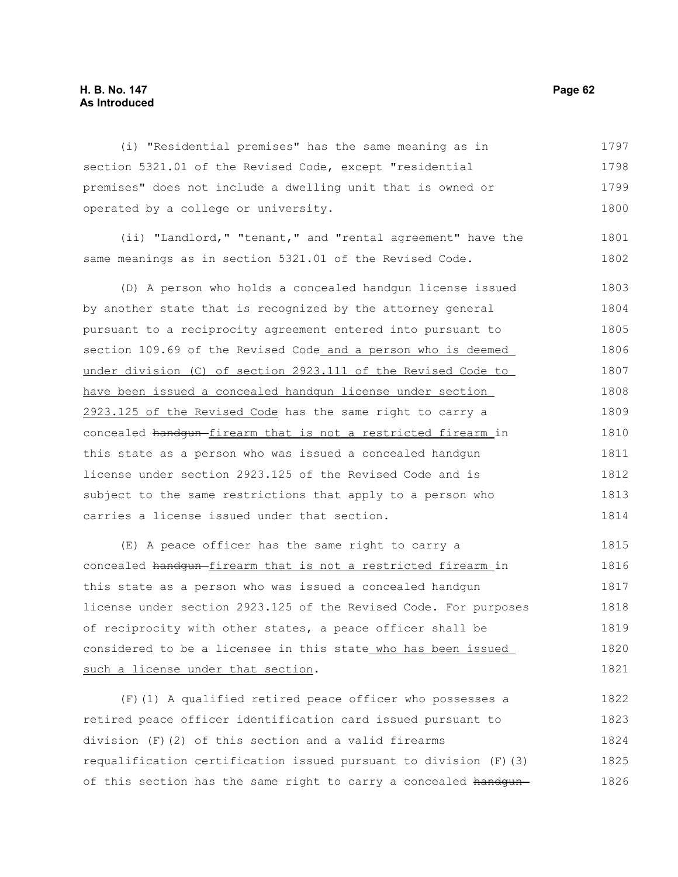#### **H. B. No. 147 Page 62 As Introduced**

(i) "Residential premises" has the same meaning as in section 5321.01 of the Revised Code, except "residential premises" does not include a dwelling unit that is owned or operated by a college or university. 1797 1798 1799 1800

(ii) "Landlord," "tenant," and "rental agreement" have the same meanings as in section 5321.01 of the Revised Code. 1801 1802

(D) A person who holds a concealed handgun license issued by another state that is recognized by the attorney general pursuant to a reciprocity agreement entered into pursuant to section 109.69 of the Revised Code and a person who is deemed under division (C) of section 2923.111 of the Revised Code to have been issued a concealed handgun license under section 2923.125 of the Revised Code has the same right to carry a concealed handgun-firearm that is not a restricted firearm in this state as a person who was issued a concealed handgun license under section 2923.125 of the Revised Code and is subject to the same restrictions that apply to a person who carries a license issued under that section. 1803 1804 1805 1806 1807 1808 1809 1810 1811 1812 1813 1814

(E) A peace officer has the same right to carry a concealed handgun-firearm that is not a restricted firearm in this state as a person who was issued a concealed handgun license under section 2923.125 of the Revised Code. For purposes of reciprocity with other states, a peace officer shall be considered to be a licensee in this state who has been issued such a license under that section. 1815 1816 1817 1818 1819 1820 1821

(F)(1) A qualified retired peace officer who possesses a retired peace officer identification card issued pursuant to division (F)(2) of this section and a valid firearms requalification certification issued pursuant to division (F)(3) of this section has the same right to carry a concealed handgun-1822 1823 1824 1825 1826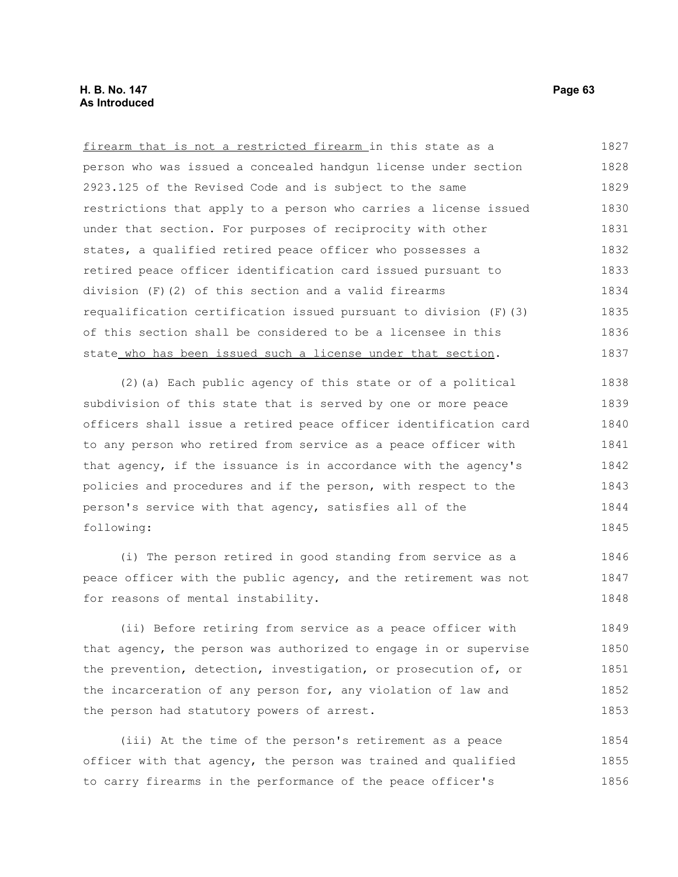| firearm that is not a restricted firearm in this state as a       | 1827 |
|-------------------------------------------------------------------|------|
| person who was issued a concealed handqun license under section   | 1828 |
| 2923.125 of the Revised Code and is subject to the same           | 1829 |
| restrictions that apply to a person who carries a license issued  | 1830 |
| under that section. For purposes of reciprocity with other        | 1831 |
| states, a qualified retired peace officer who possesses a         | 1832 |
| retired peace officer identification card issued pursuant to      | 1833 |
| division (F)(2) of this section and a valid firearms              | 1834 |
| requalification certification issued pursuant to division (F) (3) | 1835 |
| of this section shall be considered to be a licensee in this      | 1836 |
| state who has been issued such a license under that section.      | 1837 |

(2)(a) Each public agency of this state or of a political subdivision of this state that is served by one or more peace officers shall issue a retired peace officer identification card to any person who retired from service as a peace officer with that agency, if the issuance is in accordance with the agency's policies and procedures and if the person, with respect to the person's service with that agency, satisfies all of the following: 1838 1839 1840 1841 1842 1843 1844 1845

(i) The person retired in good standing from service as a peace officer with the public agency, and the retirement was not for reasons of mental instability. 1846 1847 1848

(ii) Before retiring from service as a peace officer with that agency, the person was authorized to engage in or supervise the prevention, detection, investigation, or prosecution of, or the incarceration of any person for, any violation of law and the person had statutory powers of arrest. 1849 1850 1851 1852 1853

(iii) At the time of the person's retirement as a peace officer with that agency, the person was trained and qualified to carry firearms in the performance of the peace officer's 1854 1855 1856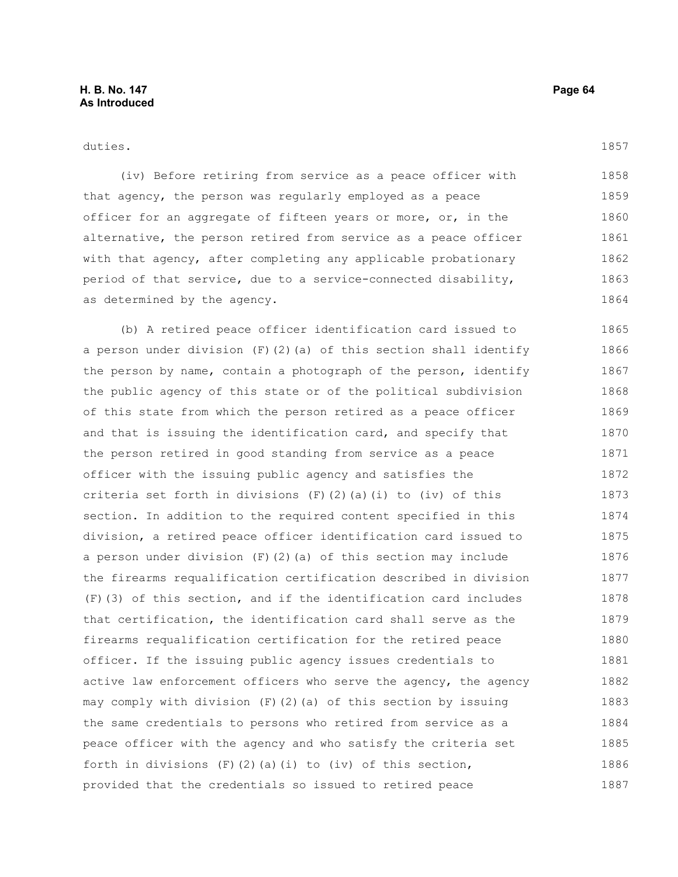duties.

(iv) Before retiring from service as a peace officer with that agency, the person was regularly employed as a peace officer for an aggregate of fifteen years or more, or, in the alternative, the person retired from service as a peace officer with that agency, after completing any applicable probationary period of that service, due to a service-connected disability, as determined by the agency. 1858 1859 1860 1861 1862 1863 1864

(b) A retired peace officer identification card issued to a person under division (F)(2)(a) of this section shall identify the person by name, contain a photograph of the person, identify the public agency of this state or of the political subdivision of this state from which the person retired as a peace officer and that is issuing the identification card, and specify that the person retired in good standing from service as a peace officer with the issuing public agency and satisfies the criteria set forth in divisions  $(F)$   $(2)$   $(a)$   $(i)$  to  $(iv)$  of this section. In addition to the required content specified in this division, a retired peace officer identification card issued to a person under division (F)(2)(a) of this section may include the firearms requalification certification described in division (F)(3) of this section, and if the identification card includes that certification, the identification card shall serve as the firearms requalification certification for the retired peace officer. If the issuing public agency issues credentials to active law enforcement officers who serve the agency, the agency may comply with division  $(F)(2)(a)$  of this section by issuing the same credentials to persons who retired from service as a peace officer with the agency and who satisfy the criteria set forth in divisions  $(F)$  (2)(a)(i) to (iv) of this section, provided that the credentials so issued to retired peace 1865 1866 1867 1868 1869 1870 1871 1872 1873 1874 1875 1876 1877 1878 1879 1880 1881 1882 1883 1884 1885 1886 1887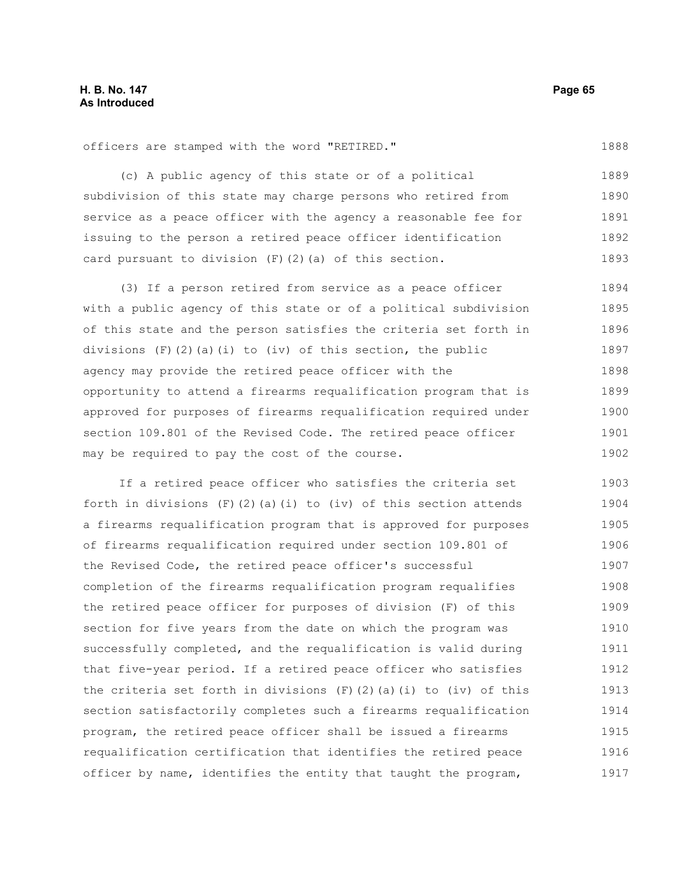officers are stamped with the word "RETIRED."

(c) A public agency of this state or of a political subdivision of this state may charge persons who retired from service as a peace officer with the agency a reasonable fee for issuing to the person a retired peace officer identification card pursuant to division (F)(2)(a) of this section. 1889 1890 1891 1892 1893

(3) If a person retired from service as a peace officer with a public agency of this state or of a political subdivision of this state and the person satisfies the criteria set forth in divisions  $(F)$   $(2)$   $(a)$   $(i)$  to  $(iv)$  of this section, the public agency may provide the retired peace officer with the opportunity to attend a firearms requalification program that is approved for purposes of firearms requalification required under section 109.801 of the Revised Code. The retired peace officer may be required to pay the cost of the course. 1894 1895 1896 1897 1898 1899 1900 1901 1902

If a retired peace officer who satisfies the criteria set forth in divisions  $(F)(2)(a)(i)$  to  $(iv)$  of this section attends a firearms requalification program that is approved for purposes of firearms requalification required under section 109.801 of the Revised Code, the retired peace officer's successful completion of the firearms requalification program requalifies the retired peace officer for purposes of division (F) of this section for five years from the date on which the program was successfully completed, and the requalification is valid during that five-year period. If a retired peace officer who satisfies the criteria set forth in divisions  $(F)(2)(a)(i)$  to  $(iv)$  of this section satisfactorily completes such a firearms requalification program, the retired peace officer shall be issued a firearms requalification certification that identifies the retired peace officer by name, identifies the entity that taught the program, 1903 1904 1905 1906 1907 1908 1909 1910 1911 1912 1913 1914 1915 1916 1917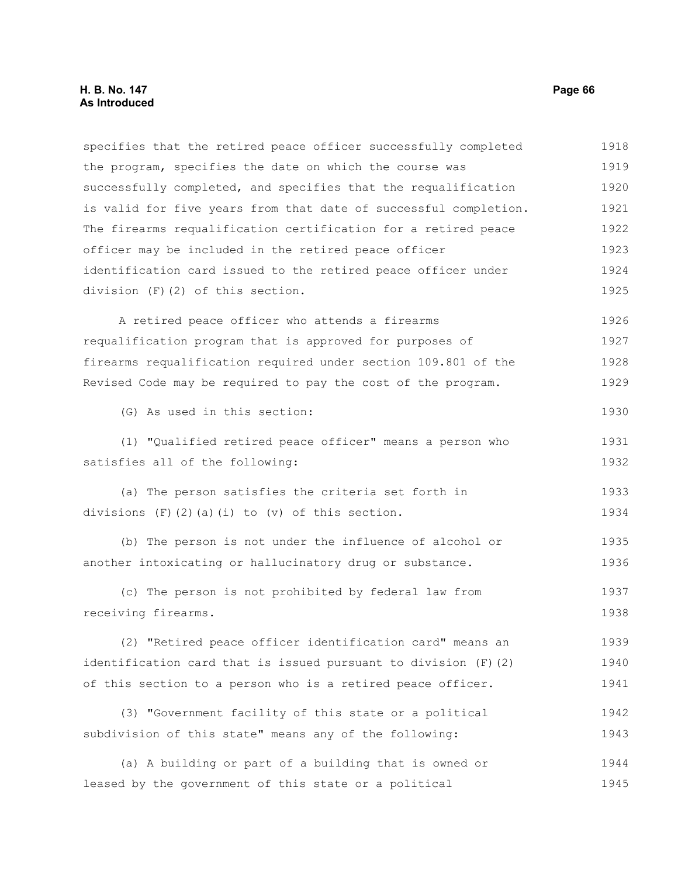# **H. B. No. 147 Page 66 As Introduced**

specifies that the retired peace officer successfully completed the program, specifies the date on which the course was successfully completed, and specifies that the requalification is valid for five years from that date of successful completion. The firearms requalification certification for a retired peace officer may be included in the retired peace officer identification card issued to the retired peace officer under division (F)(2) of this section. A retired peace officer who attends a firearms requalification program that is approved for purposes of firearms requalification required under section 109.801 of the Revised Code may be required to pay the cost of the program. (G) As used in this section: (1) "Qualified retired peace officer" means a person who satisfies all of the following: (a) The person satisfies the criteria set forth in divisions  $(F)$   $(2)$   $(a)$   $(i)$  to  $(v)$  of this section. (b) The person is not under the influence of alcohol or another intoxicating or hallucinatory drug or substance. (c) The person is not prohibited by federal law from receiving firearms. (2) "Retired peace officer identification card" means an identification card that is issued pursuant to division (F)(2) of this section to a person who is a retired peace officer. (3) "Government facility of this state or a political subdivision of this state" means any of the following: (a) A building or part of a building that is owned or leased by the government of this state or a political 1918 1919 1920 1921 1922 1923 1924 1925 1926 1927 1928 1929 1930 1931 1932 1933 1934 1935 1936 1937 1938 1939 1940 1941 1942 1943 1944 1945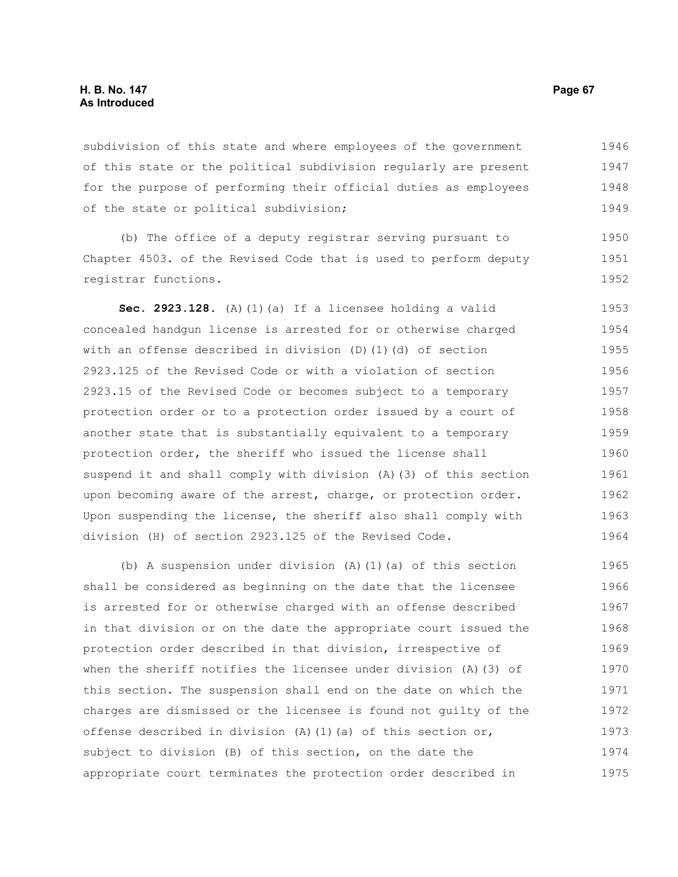subdivision of this state and where employees of the government of this state or the political subdivision regularly are present for the purpose of performing their official duties as employees of the state or political subdivision; 1946 1947 1948 1949

(b) The office of a deputy registrar serving pursuant to Chapter 4503. of the Revised Code that is used to perform deputy registrar functions. 1950 1951 1952

**Sec. 2923.128.** (A)(1)(a) If a licensee holding a valid concealed handgun license is arrested for or otherwise charged with an offense described in division (D)(1)(d) of section 2923.125 of the Revised Code or with a violation of section 2923.15 of the Revised Code or becomes subject to a temporary protection order or to a protection order issued by a court of another state that is substantially equivalent to a temporary protection order, the sheriff who issued the license shall suspend it and shall comply with division (A)(3) of this section upon becoming aware of the arrest, charge, or protection order. Upon suspending the license, the sheriff also shall comply with division (H) of section 2923.125 of the Revised Code. 1953 1954 1955 1956 1957 1958 1959 1960 1961 1962 1963 1964

(b) A suspension under division (A)(1)(a) of this section shall be considered as beginning on the date that the licensee is arrested for or otherwise charged with an offense described in that division or on the date the appropriate court issued the protection order described in that division, irrespective of when the sheriff notifies the licensee under division (A)(3) of this section. The suspension shall end on the date on which the charges are dismissed or the licensee is found not guilty of the offense described in division (A)(1)(a) of this section or, subject to division (B) of this section, on the date the appropriate court terminates the protection order described in 1965 1966 1967 1968 1969 1970 1971 1972 1973 1974 1975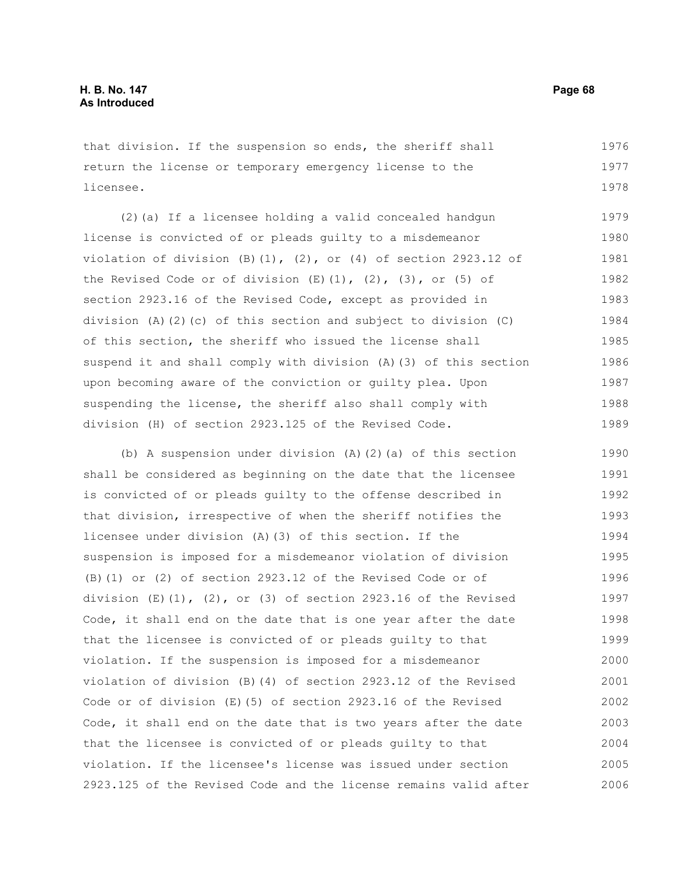that division. If the suspension so ends, the sheriff shall return the license or temporary emergency license to the licensee. 1976 1977 1978

(2)(a) If a licensee holding a valid concealed handgun license is convicted of or pleads guilty to a misdemeanor violation of division  $(B)(1)$ ,  $(2)$ , or  $(4)$  of section 2923.12 of the Revised Code or of division  $(E)$   $(1)$ ,  $(2)$ ,  $(3)$ , or  $(5)$  of section 2923.16 of the Revised Code, except as provided in division (A)(2)(c) of this section and subject to division (C) of this section, the sheriff who issued the license shall suspend it and shall comply with division (A)(3) of this section upon becoming aware of the conviction or guilty plea. Upon suspending the license, the sheriff also shall comply with division (H) of section 2923.125 of the Revised Code. 1979 1980 1981 1982 1983 1984 1985 1986 1987 1988 1989

(b) A suspension under division (A)(2)(a) of this section shall be considered as beginning on the date that the licensee is convicted of or pleads guilty to the offense described in that division, irrespective of when the sheriff notifies the licensee under division (A)(3) of this section. If the suspension is imposed for a misdemeanor violation of division (B)(1) or (2) of section 2923.12 of the Revised Code or of division  $(E)(1)$ ,  $(2)$ , or  $(3)$  of section 2923.16 of the Revised Code, it shall end on the date that is one year after the date that the licensee is convicted of or pleads guilty to that violation. If the suspension is imposed for a misdemeanor violation of division (B)(4) of section 2923.12 of the Revised Code or of division (E)(5) of section 2923.16 of the Revised Code, it shall end on the date that is two years after the date that the licensee is convicted of or pleads guilty to that violation. If the licensee's license was issued under section 2923.125 of the Revised Code and the license remains valid after 1990 1991 1992 1993 1994 1995 1996 1997 1998 1999 2000 2001 2002 2003 2004 2005 2006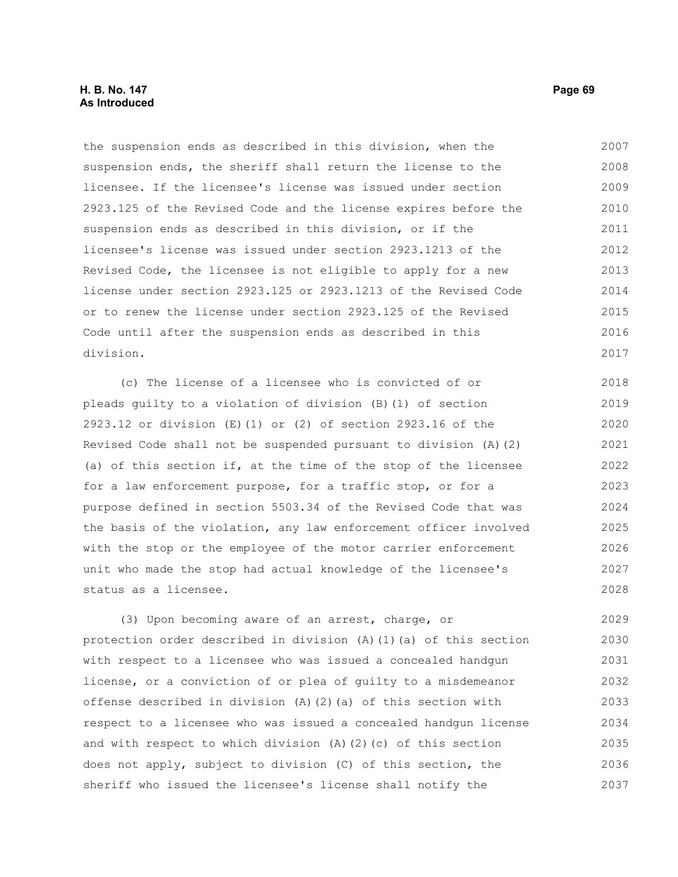# **H. B. No. 147 Page 69 As Introduced**

the suspension ends as described in this division, when the suspension ends, the sheriff shall return the license to the licensee. If the licensee's license was issued under section 2923.125 of the Revised Code and the license expires before the suspension ends as described in this division, or if the licensee's license was issued under section 2923.1213 of the Revised Code, the licensee is not eligible to apply for a new license under section 2923.125 or 2923.1213 of the Revised Code or to renew the license under section 2923.125 of the Revised Code until after the suspension ends as described in this division. 2007 2008 2009 2010 2011 2012 2013 2014 2015 2016 2017

(c) The license of a licensee who is convicted of or pleads guilty to a violation of division (B)(1) of section 2923.12 or division (E)(1) or (2) of section 2923.16 of the Revised Code shall not be suspended pursuant to division (A)(2) (a) of this section if, at the time of the stop of the licensee for a law enforcement purpose, for a traffic stop, or for a purpose defined in section 5503.34 of the Revised Code that was the basis of the violation, any law enforcement officer involved with the stop or the employee of the motor carrier enforcement unit who made the stop had actual knowledge of the licensee's status as a licensee. 2018 2019 2020 2021 2022 2023 2024 2025 2026 2027 2028

(3) Upon becoming aware of an arrest, charge, or protection order described in division (A)(1)(a) of this section with respect to a licensee who was issued a concealed handgun license, or a conviction of or plea of guilty to a misdemeanor offense described in division (A)(2)(a) of this section with respect to a licensee who was issued a concealed handgun license and with respect to which division  $(A)$   $(2)$   $(c)$  of this section does not apply, subject to division (C) of this section, the sheriff who issued the licensee's license shall notify the 2029 2030 2031 2032 2033 2034 2035 2036 2037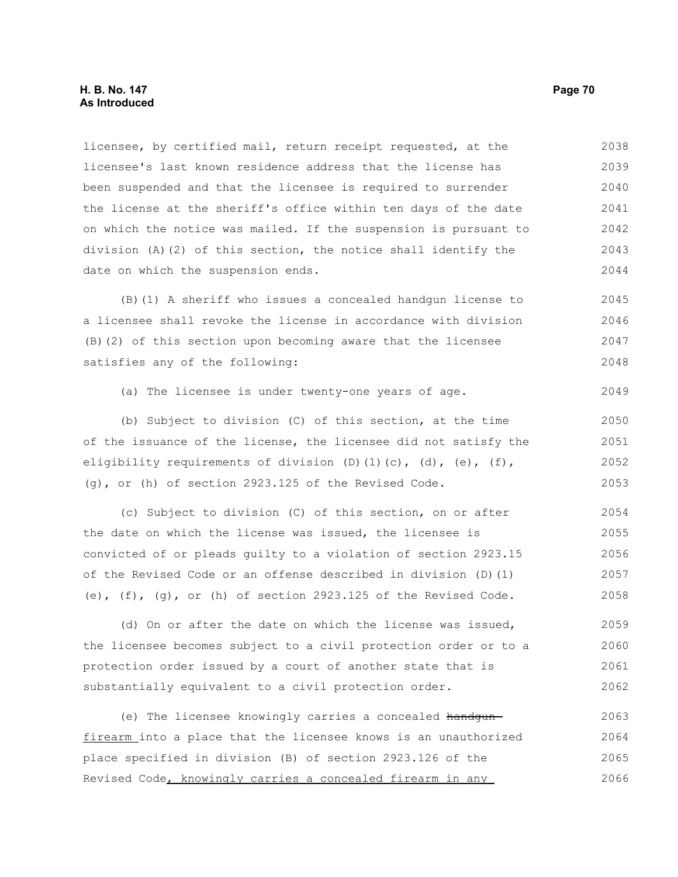licensee, by certified mail, return receipt requested, at the licensee's last known residence address that the license has been suspended and that the licensee is required to surrender the license at the sheriff's office within ten days of the date on which the notice was mailed. If the suspension is pursuant to division (A)(2) of this section, the notice shall identify the date on which the suspension ends. 2038 2039 2040 2041 2042 2043 2044

(B)(1) A sheriff who issues a concealed handgun license to a licensee shall revoke the license in accordance with division (B)(2) of this section upon becoming aware that the licensee satisfies any of the following: 2045 2046 2047 2048

(a) The licensee is under twenty-one years of age. 2049

(b) Subject to division (C) of this section, at the time of the issuance of the license, the licensee did not satisfy the eligibility requirements of division (D)(1)(c), (d), (e), (f), (g), or (h) of section 2923.125 of the Revised Code. 2050 2051 2052 2053

(c) Subject to division (C) of this section, on or after the date on which the license was issued, the licensee is convicted of or pleads guilty to a violation of section 2923.15 of the Revised Code or an offense described in division (D)(1) (e),  $(f)$ ,  $(g)$ , or (h) of section 2923.125 of the Revised Code. 2054 2055 2056 2057 2058

(d) On or after the date on which the license was issued, the licensee becomes subject to a civil protection order or to a protection order issued by a court of another state that is substantially equivalent to a civil protection order. 2059 2060 2061 2062

(e) The licensee knowingly carries a concealed handgun firearm into a place that the licensee knows is an unauthorized place specified in division (B) of section 2923.126 of the Revised Code, knowingly carries a concealed firearm in any 2063 2064 2065 2066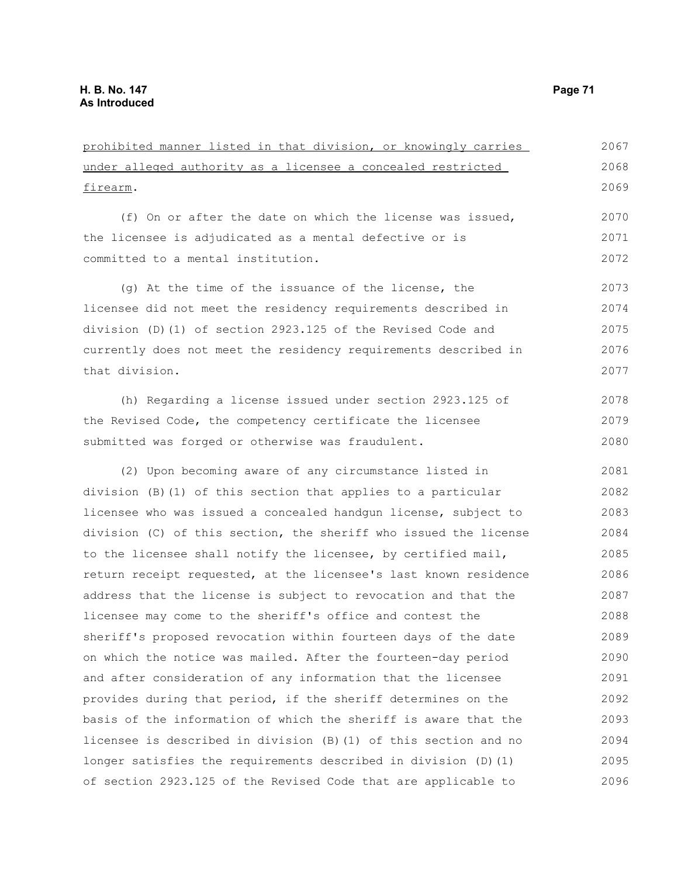| prohibited manner listed in that division, or knowingly carries  | 2067 |
|------------------------------------------------------------------|------|
| under alleged authority as a licensee a concealed restricted     | 2068 |
| firearm.                                                         | 2069 |
| (f) On or after the date on which the license was issued,        | 2070 |
| the licensee is adjudicated as a mental defective or is          | 2071 |
| committed to a mental institution.                               | 2072 |
|                                                                  |      |
| (g) At the time of the issuance of the license, the              | 2073 |
| licensee did not meet the residency requirements described in    | 2074 |
| division (D)(1) of section 2923.125 of the Revised Code and      | 2075 |
| currently does not meet the residency requirements described in  | 2076 |
| that division.                                                   | 2077 |
| (h) Regarding a license issued under section 2923.125 of         | 2078 |
| the Revised Code, the competency certificate the licensee        | 2079 |
| submitted was forged or otherwise was fraudulent.                | 2080 |
| (2) Upon becoming aware of any circumstance listed in            | 2081 |
| division (B) (1) of this section that applies to a particular    | 2082 |
| licensee who was issued a concealed handgun license, subject to  | 2083 |
| division (C) of this section, the sheriff who issued the license | 2084 |
| to the licensee shall notify the licensee, by certified mail,    | 2085 |
| return receipt requested, at the licensee's last known residence | 2086 |
| address that the license is subject to revocation and that the   | 2087 |
| licensee may come to the sheriff's office and contest the        | 2088 |
| sheriff's proposed revocation within fourteen days of the date   | 2089 |
| on which the notice was mailed. After the fourteen-day period    | 2090 |
| and after consideration of any information that the licensee     | 2091 |
| provides during that period, if the sheriff determines on the    | 2092 |
| basis of the information of which the sheriff is aware that the  | 2093 |
| licensee is described in division (B) (1) of this section and no | 2094 |
| longer satisfies the requirements described in division (D) (1)  | 2095 |
| of section 2923.125 of the Revised Code that are applicable to   | 2096 |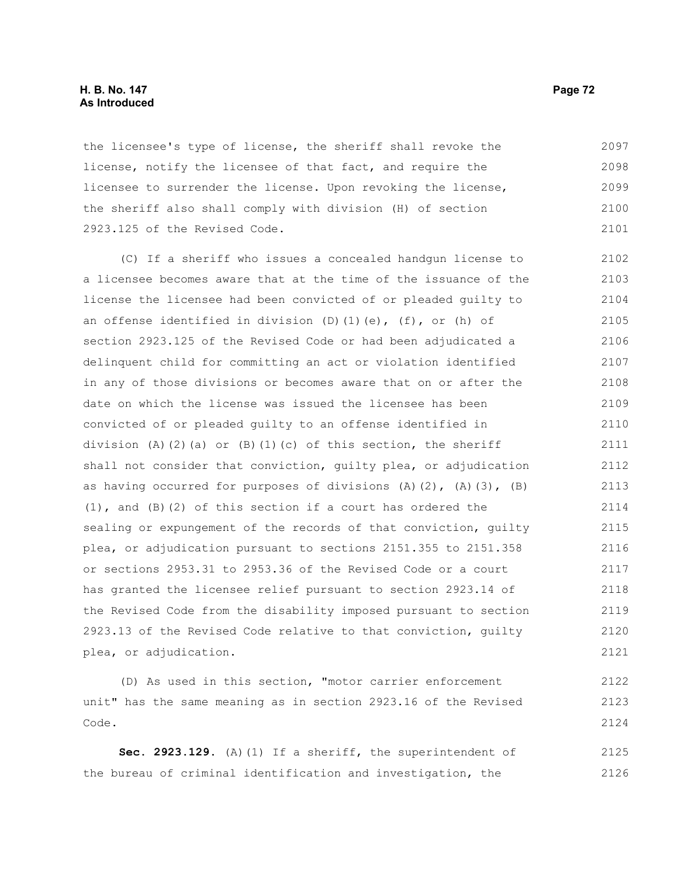# **H. B. No. 147 Page 72 As Introduced**

the licensee's type of license, the sheriff shall revoke the license, notify the licensee of that fact, and require the licensee to surrender the license. Upon revoking the license, the sheriff also shall comply with division (H) of section 2923.125 of the Revised Code. 2097 2098 2099 2100 2101

(C) If a sheriff who issues a concealed handgun license to a licensee becomes aware that at the time of the issuance of the license the licensee had been convicted of or pleaded guilty to an offense identified in division (D)(1)(e), (f), or (h) of section 2923.125 of the Revised Code or had been adjudicated a delinquent child for committing an act or violation identified in any of those divisions or becomes aware that on or after the date on which the license was issued the licensee has been convicted of or pleaded guilty to an offense identified in division (A)(2)(a) or (B)(1)(c) of this section, the sheriff shall not consider that conviction, guilty plea, or adjudication as having occurred for purposes of divisions  $(A)$   $(2)$ ,  $(A)$   $(3)$ ,  $(B)$  $(1)$ , and  $(B)$   $(2)$  of this section if a court has ordered the sealing or expungement of the records of that conviction, guilty plea, or adjudication pursuant to sections 2151.355 to 2151.358 or sections 2953.31 to 2953.36 of the Revised Code or a court has granted the licensee relief pursuant to section 2923.14 of the Revised Code from the disability imposed pursuant to section 2923.13 of the Revised Code relative to that conviction, guilty plea, or adjudication. 2102 2103 2104 2105 2106 2107 2108 2109 2110 2111 2112 2113 2114 2115 2116 2117 2118 2119 2120 2121

(D) As used in this section, "motor carrier enforcement unit" has the same meaning as in section 2923.16 of the Revised Code. 2122 2123 2124

**Sec. 2923.129.** (A)(1) If a sheriff, the superintendent of the bureau of criminal identification and investigation, the 2125 2126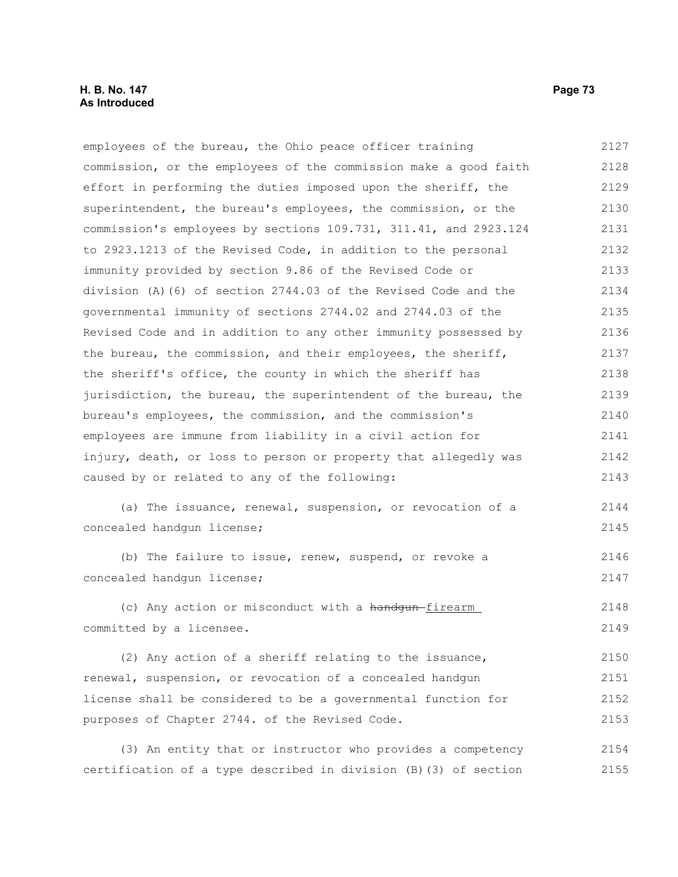employees of the bureau, the Ohio peace officer training commission, or the employees of the commission make a good faith effort in performing the duties imposed upon the sheriff, the superintendent, the bureau's employees, the commission, or the commission's employees by sections 109.731, 311.41, and 2923.124 to 2923.1213 of the Revised Code, in addition to the personal immunity provided by section 9.86 of the Revised Code or division (A)(6) of section 2744.03 of the Revised Code and the governmental immunity of sections 2744.02 and 2744.03 of the Revised Code and in addition to any other immunity possessed by the bureau, the commission, and their employees, the sheriff, the sheriff's office, the county in which the sheriff has jurisdiction, the bureau, the superintendent of the bureau, the bureau's employees, the commission, and the commission's employees are immune from liability in a civil action for injury, death, or loss to person or property that allegedly was caused by or related to any of the following: 2127 2128 2129 2130 2131 2132 2133 2134 2135 2136 2137 2138 2139 2140 2141 2142 2143

(a) The issuance, renewal, suspension, or revocation of a concealed handgun license; 2144 2145

(b) The failure to issue, renew, suspend, or revoke a concealed handgun license; 2146 2147

(c) Any action or misconduct with a handqun-firearm committed by a licensee. 2148 2149

(2) Any action of a sheriff relating to the issuance, renewal, suspension, or revocation of a concealed handgun license shall be considered to be a governmental function for purposes of Chapter 2744. of the Revised Code. 2150 2151 2152 2153

(3) An entity that or instructor who provides a competency certification of a type described in division (B)(3) of section 2154 2155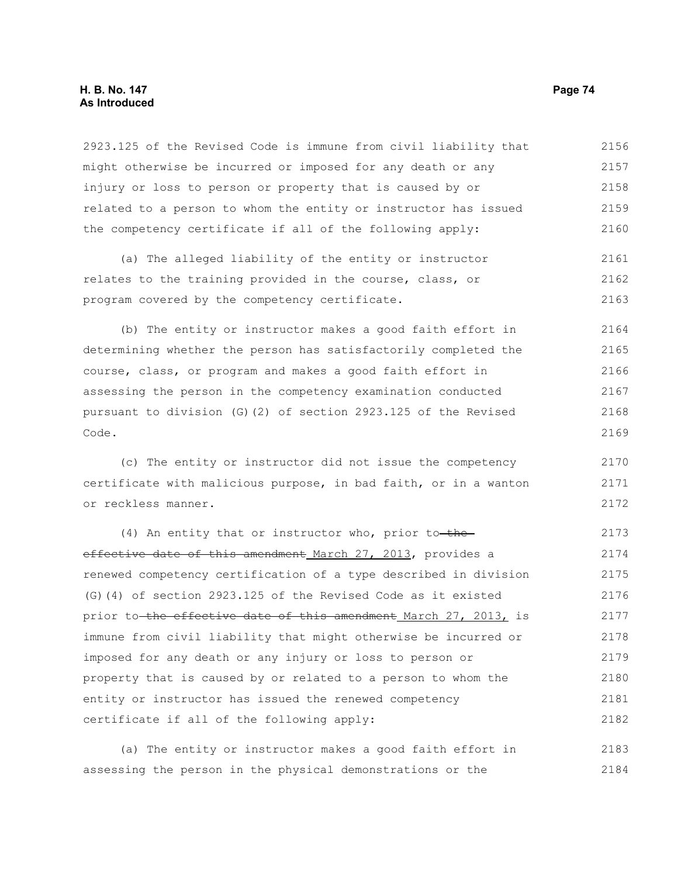#### **H. B. No. 147 Page 74 As Introduced**

2923.125 of the Revised Code is immune from civil liability that might otherwise be incurred or imposed for any death or any injury or loss to person or property that is caused by or related to a person to whom the entity or instructor has issued the competency certificate if all of the following apply: 2156 2157 2158 2159 2160

(a) The alleged liability of the entity or instructor relates to the training provided in the course, class, or program covered by the competency certificate. 2161 2162 2163

(b) The entity or instructor makes a good faith effort in determining whether the person has satisfactorily completed the course, class, or program and makes a good faith effort in assessing the person in the competency examination conducted pursuant to division (G)(2) of section 2923.125 of the Revised Code. 2164 2165 2166 2167 2168 2169

(c) The entity or instructor did not issue the competency certificate with malicious purpose, in bad faith, or in a wanton or reckless manner. 2170 2171 2172

(4) An entity that or instructor who, prior to the effective date of this amendment March 27, 2013, provides a renewed competency certification of a type described in division (G)(4) of section 2923.125 of the Revised Code as it existed prior to the effective date of this amendment March 27, 2013, is immune from civil liability that might otherwise be incurred or imposed for any death or any injury or loss to person or property that is caused by or related to a person to whom the entity or instructor has issued the renewed competency certificate if all of the following apply: 2173 2174 2175 2176 2177 2178 2179 2180 2181 2182

(a) The entity or instructor makes a good faith effort in assessing the person in the physical demonstrations or the 2183 2184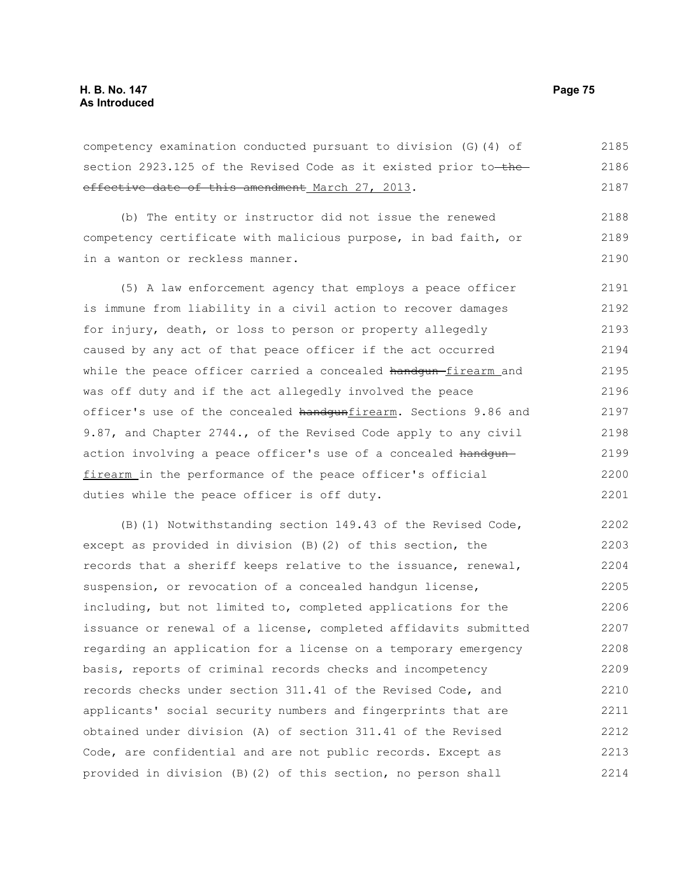competency examination conducted pursuant to division (G)(4) of section 2923.125 of the Revised Code as it existed prior to-theeffective date of this amendment March 27, 2013. 2185 2186 2187

(b) The entity or instructor did not issue the renewed competency certificate with malicious purpose, in bad faith, or in a wanton or reckless manner. 2188 2189 2190

(5) A law enforcement agency that employs a peace officer is immune from liability in a civil action to recover damages for injury, death, or loss to person or property allegedly caused by any act of that peace officer if the act occurred while the peace officer carried a concealed handgun-firearm\_and was off duty and if the act allegedly involved the peace officer's use of the concealed handgunfirearm. Sections 9.86 and 9.87, and Chapter 2744., of the Revised Code apply to any civil action involving a peace officer's use of a concealed handgunfirearm in the performance of the peace officer's official duties while the peace officer is off duty. 2191 2192 2193 2194 2195 2196 2197 2198 2199 2200 2201

(B)(1) Notwithstanding section 149.43 of the Revised Code, except as provided in division (B)(2) of this section, the records that a sheriff keeps relative to the issuance, renewal, suspension, or revocation of a concealed handgun license, including, but not limited to, completed applications for the issuance or renewal of a license, completed affidavits submitted regarding an application for a license on a temporary emergency basis, reports of criminal records checks and incompetency records checks under section 311.41 of the Revised Code, and applicants' social security numbers and fingerprints that are obtained under division (A) of section 311.41 of the Revised Code, are confidential and are not public records. Except as provided in division (B)(2) of this section, no person shall 2202 2203 2204 2205 2206 2207 2208 2209 2210 2211 2212 2213 2214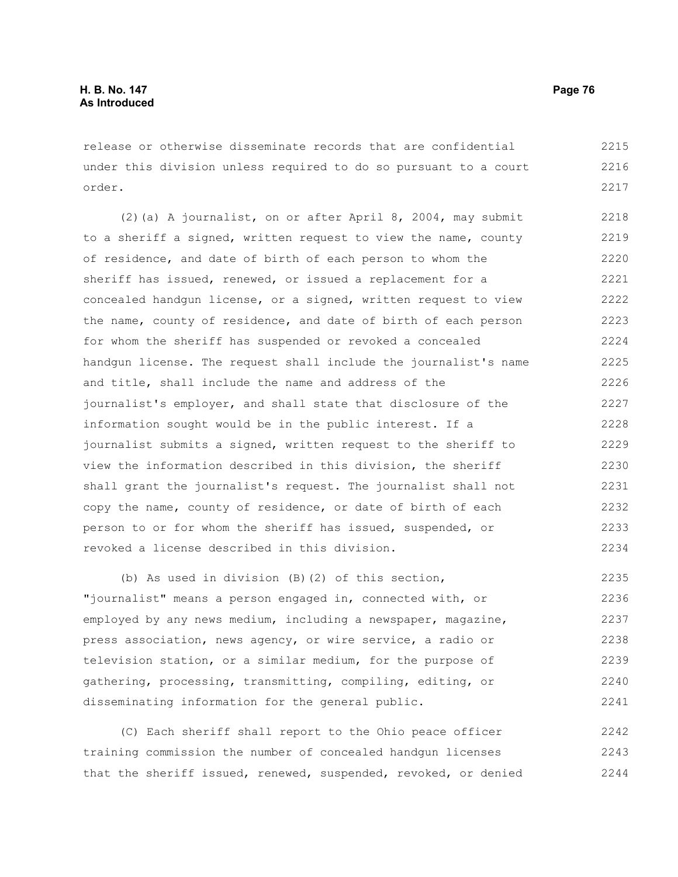release or otherwise disseminate records that are confidential under this division unless required to do so pursuant to a court order. 2215 2216 2217

(2)(a) A journalist, on or after April 8, 2004, may submit to a sheriff a signed, written request to view the name, county of residence, and date of birth of each person to whom the sheriff has issued, renewed, or issued a replacement for a concealed handgun license, or a signed, written request to view the name, county of residence, and date of birth of each person for whom the sheriff has suspended or revoked a concealed handgun license. The request shall include the journalist's name and title, shall include the name and address of the journalist's employer, and shall state that disclosure of the information sought would be in the public interest. If a journalist submits a signed, written request to the sheriff to view the information described in this division, the sheriff shall grant the journalist's request. The journalist shall not copy the name, county of residence, or date of birth of each person to or for whom the sheriff has issued, suspended, or revoked a license described in this division. 2218 2219 2220 2221 2222 2223 2224 2225 2226 2227 2228 2229 2230 2231 2232 2233 2234

(b) As used in division (B)(2) of this section, "journalist" means a person engaged in, connected with, or employed by any news medium, including a newspaper, magazine, press association, news agency, or wire service, a radio or television station, or a similar medium, for the purpose of gathering, processing, transmitting, compiling, editing, or disseminating information for the general public. 2235 2236 2237 2238 2239 2240 2241

(C) Each sheriff shall report to the Ohio peace officer training commission the number of concealed handgun licenses that the sheriff issued, renewed, suspended, revoked, or denied 2242 2243 2244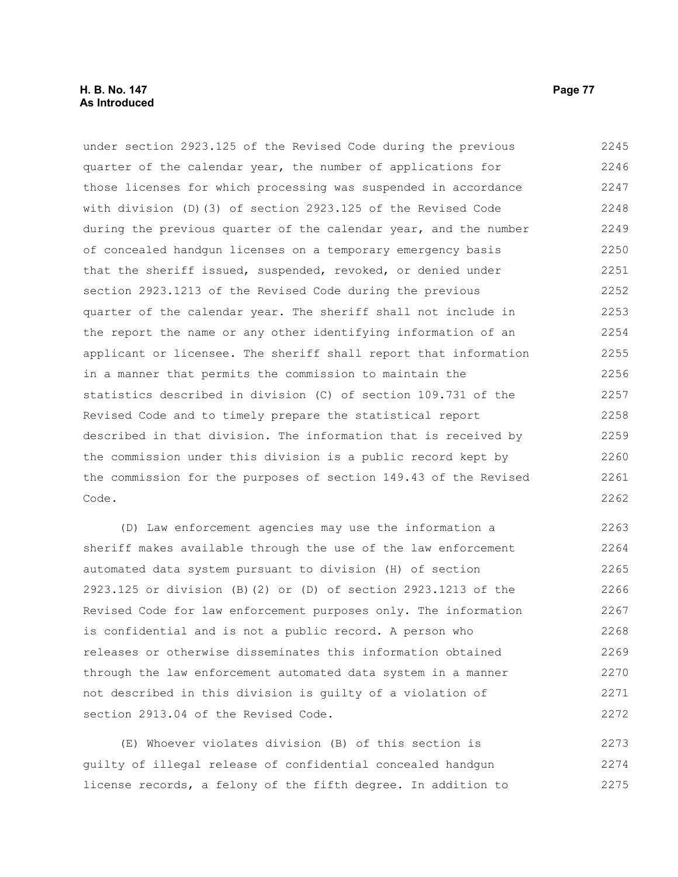under section 2923.125 of the Revised Code during the previous quarter of the calendar year, the number of applications for those licenses for which processing was suspended in accordance with division (D)(3) of section 2923.125 of the Revised Code during the previous quarter of the calendar year, and the number of concealed handgun licenses on a temporary emergency basis that the sheriff issued, suspended, revoked, or denied under section 2923.1213 of the Revised Code during the previous quarter of the calendar year. The sheriff shall not include in the report the name or any other identifying information of an applicant or licensee. The sheriff shall report that information in a manner that permits the commission to maintain the statistics described in division (C) of section 109.731 of the Revised Code and to timely prepare the statistical report described in that division. The information that is received by the commission under this division is a public record kept by the commission for the purposes of section 149.43 of the Revised Code. 2245 2246 2247 2248 2249 2250 2251 2252 2253 2254 2255 2256 2257 2258 2259 2260 2261 2262

(D) Law enforcement agencies may use the information a sheriff makes available through the use of the law enforcement automated data system pursuant to division (H) of section 2923.125 or division (B)(2) or (D) of section 2923.1213 of the Revised Code for law enforcement purposes only. The information is confidential and is not a public record. A person who releases or otherwise disseminates this information obtained through the law enforcement automated data system in a manner not described in this division is guilty of a violation of section 2913.04 of the Revised Code. 2263 2264 2265 2266 2267 2268 2269 2270 2271 2272

(E) Whoever violates division (B) of this section is guilty of illegal release of confidential concealed handgun license records, a felony of the fifth degree. In addition to 2273 2274 2275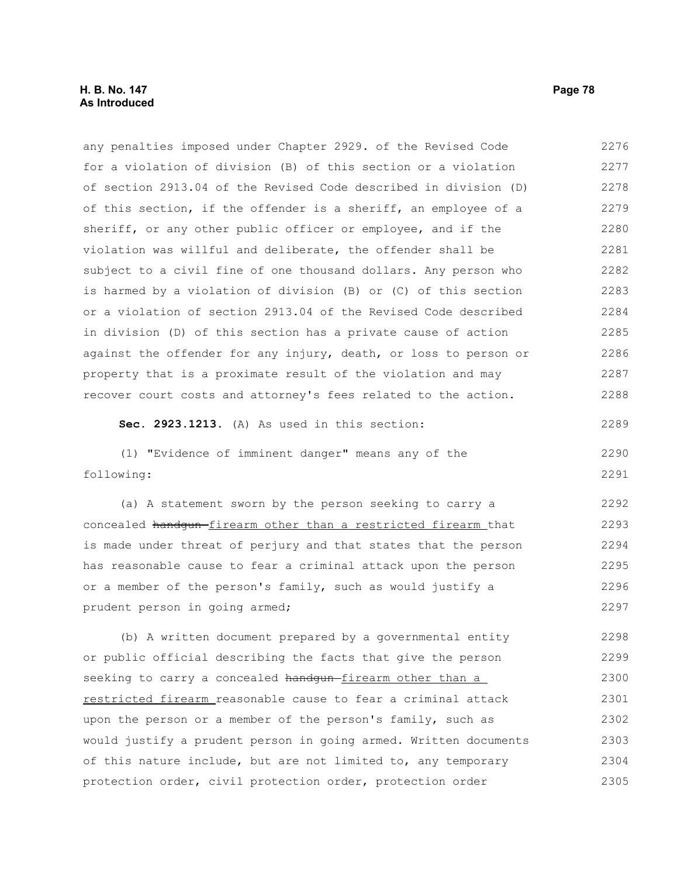# **H. B. No. 147 Page 78 As Introduced**

| any penalties imposed under Chapter 2929. of the Revised Code    | 2276 |
|------------------------------------------------------------------|------|
| for a violation of division (B) of this section or a violation   | 2277 |
| of section 2913.04 of the Revised Code described in division (D) | 2278 |
| of this section, if the offender is a sheriff, an employee of a  | 2279 |
| sheriff, or any other public officer or employee, and if the     | 2280 |
| violation was willful and deliberate, the offender shall be      | 2281 |
| subject to a civil fine of one thousand dollars. Any person who  | 2282 |
| is harmed by a violation of division (B) or (C) of this section  | 2283 |
| or a violation of section 2913.04 of the Revised Code described  | 2284 |
| in division (D) of this section has a private cause of action    | 2285 |
| against the offender for any injury, death, or loss to person or | 2286 |
| property that is a proximate result of the violation and may     | 2287 |
| recover court costs and attorney's fees related to the action.   | 2288 |
| Sec. 2923.1213. (A) As used in this section:                     | 2289 |
| (1) "Evidence of imminent danger" means any of the               | 2290 |
| following:                                                       | 2291 |
| (a) A statement sworn by the person seeking to carry a           | 2292 |
| concealed handgun-firearm other than a restricted firearm_that   | 2293 |
| is made under threat of perjury and that states that the person  | 2294 |
| has reasonable cause to fear a criminal attack upon the person   | 2295 |
| or a member of the person's family, such as would justify a      | 2296 |
| prudent person in going armed;                                   | 2297 |
| (b) A written document prepared by a governmental entity         | 2298 |
| or public official describing the facts that give the person     | 2299 |
| seeking to carry a concealed handgun-firearm other than a        | 2300 |
| restricted firearm reasonable cause to fear a criminal attack    | 2301 |
| upon the person or a member of the person's family, such as      | 2302 |
| would justify a prudent person in going armed. Written documents | 2303 |
| of this nature include, but are not limited to, any temporary    | 2304 |
| protection order, civil protection order, protection order       | 2305 |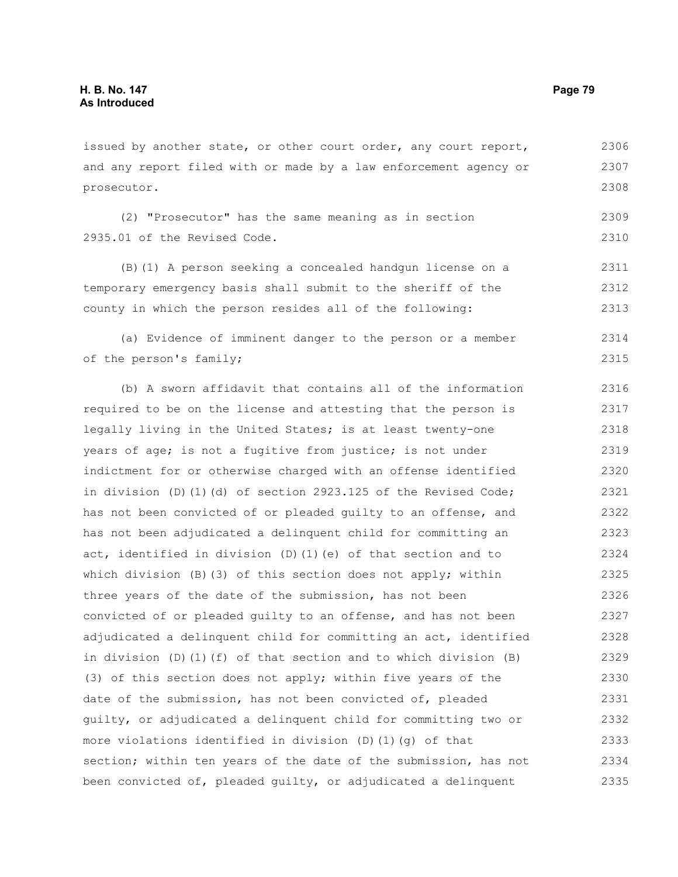issued by another state, or other court order, any court report, and any report filed with or made by a law enforcement agency or prosecutor. 2306 2307 2308

(2) "Prosecutor" has the same meaning as in section 2935.01 of the Revised Code. 2309 2310

(B)(1) A person seeking a concealed handgun license on a temporary emergency basis shall submit to the sheriff of the county in which the person resides all of the following: 2311 2312 2313

(a) Evidence of imminent danger to the person or a member of the person's family; 2314 2315

(b) A sworn affidavit that contains all of the information required to be on the license and attesting that the person is legally living in the United States; is at least twenty-one years of age; is not a fugitive from justice; is not under indictment for or otherwise charged with an offense identified in division (D)(1)(d) of section 2923.125 of the Revised Code: has not been convicted of or pleaded guilty to an offense, and has not been adjudicated a delinquent child for committing an act, identified in division (D)(1)(e) of that section and to which division  $(B)(3)$  of this section does not apply; within three years of the date of the submission, has not been convicted of or pleaded guilty to an offense, and has not been adjudicated a delinquent child for committing an act, identified in division (D)(1)(f) of that section and to which division (B) (3) of this section does not apply; within five years of the date of the submission, has not been convicted of, pleaded guilty, or adjudicated a delinquent child for committing two or more violations identified in division  $(D)(1)(q)$  of that section; within ten years of the date of the submission, has not been convicted of, pleaded guilty, or adjudicated a delinquent 2316 2317 2318 2319 2320 2321 2322 2323 2324 2325 2326 2327 2328 2329 2330 2331 2332 2333 2334 2335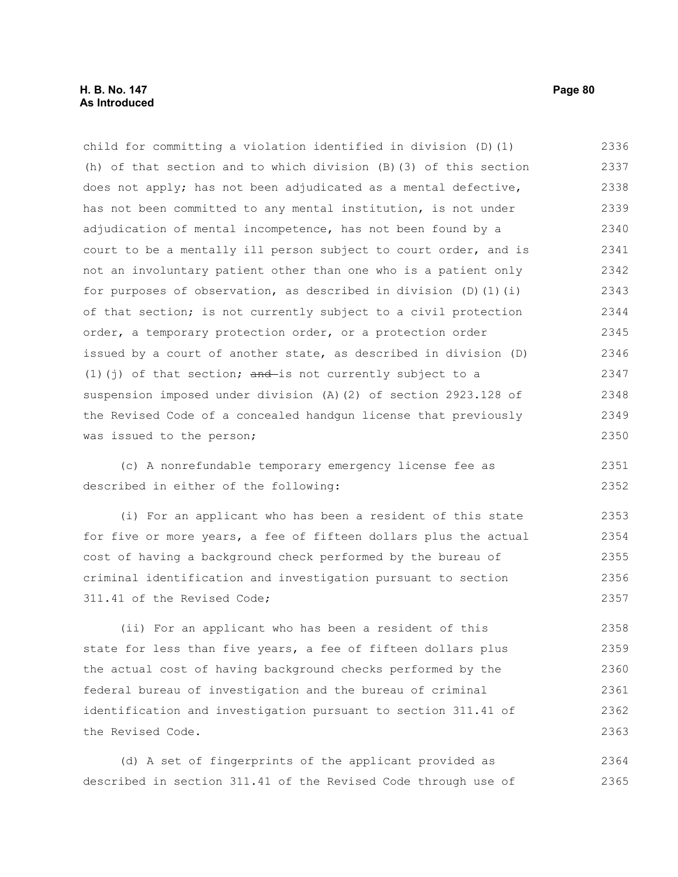## **H. B. No. 147 Page 80 As Introduced**

child for committing a violation identified in division (D)(1) (h) of that section and to which division (B)(3) of this section does not apply; has not been adjudicated as a mental defective, has not been committed to any mental institution, is not under adjudication of mental incompetence, has not been found by a court to be a mentally ill person subject to court order, and is not an involuntary patient other than one who is a patient only for purposes of observation, as described in division  $(D)$   $(1)$   $(i)$ of that section; is not currently subject to a civil protection order, a temporary protection order, or a protection order issued by a court of another state, as described in division (D) (1)(j) of that section;  $and$ -is not currently subject to a suspension imposed under division (A)(2) of section 2923.128 of the Revised Code of a concealed handgun license that previously was issued to the person; 2336 2337 2338 2339 2340 2341 2342 2343 2344 2345 2346 2347 2348 2349 2350 2351

(c) A nonrefundable temporary emergency license fee as described in either of the following: 2352

(i) For an applicant who has been a resident of this state for five or more years, a fee of fifteen dollars plus the actual cost of having a background check performed by the bureau of criminal identification and investigation pursuant to section 311.41 of the Revised Code; 2353 2354 2355 2356 2357

(ii) For an applicant who has been a resident of this state for less than five years, a fee of fifteen dollars plus the actual cost of having background checks performed by the federal bureau of investigation and the bureau of criminal identification and investigation pursuant to section 311.41 of the Revised Code. 2358 2359 2360 2361 2362 2363

(d) A set of fingerprints of the applicant provided as described in section 311.41 of the Revised Code through use of 2364 2365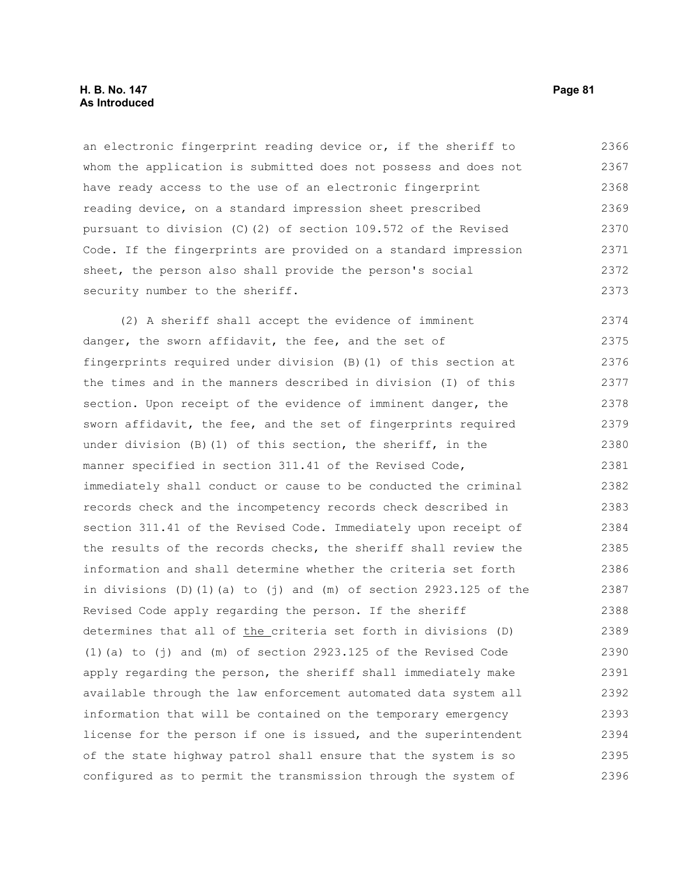### **H. B. No. 147 Page 81 As Introduced**

an electronic fingerprint reading device or, if the sheriff to whom the application is submitted does not possess and does not have ready access to the use of an electronic fingerprint reading device, on a standard impression sheet prescribed pursuant to division (C)(2) of section 109.572 of the Revised Code. If the fingerprints are provided on a standard impression sheet, the person also shall provide the person's social security number to the sheriff. 2366 2367 2368 2369 2370 2371 2372 2373

(2) A sheriff shall accept the evidence of imminent danger, the sworn affidavit, the fee, and the set of fingerprints required under division (B)(1) of this section at the times and in the manners described in division (I) of this section. Upon receipt of the evidence of imminent danger, the sworn affidavit, the fee, and the set of fingerprints required under division (B)(1) of this section, the sheriff, in the manner specified in section 311.41 of the Revised Code, immediately shall conduct or cause to be conducted the criminal records check and the incompetency records check described in section 311.41 of the Revised Code. Immediately upon receipt of the results of the records checks, the sheriff shall review the information and shall determine whether the criteria set forth in divisions (D)(1)(a) to (j) and (m) of section 2923.125 of the Revised Code apply regarding the person. If the sheriff determines that all of the criteria set forth in divisions (D) (1)(a) to (j) and (m) of section 2923.125 of the Revised Code apply regarding the person, the sheriff shall immediately make available through the law enforcement automated data system all information that will be contained on the temporary emergency license for the person if one is issued, and the superintendent of the state highway patrol shall ensure that the system is so configured as to permit the transmission through the system of 2374 2375 2376 2377 2378 2379 2380 2381 2382 2383 2384 2385 2386 2387 2388 2389 2390 2391 2392 2393 2394 2395 2396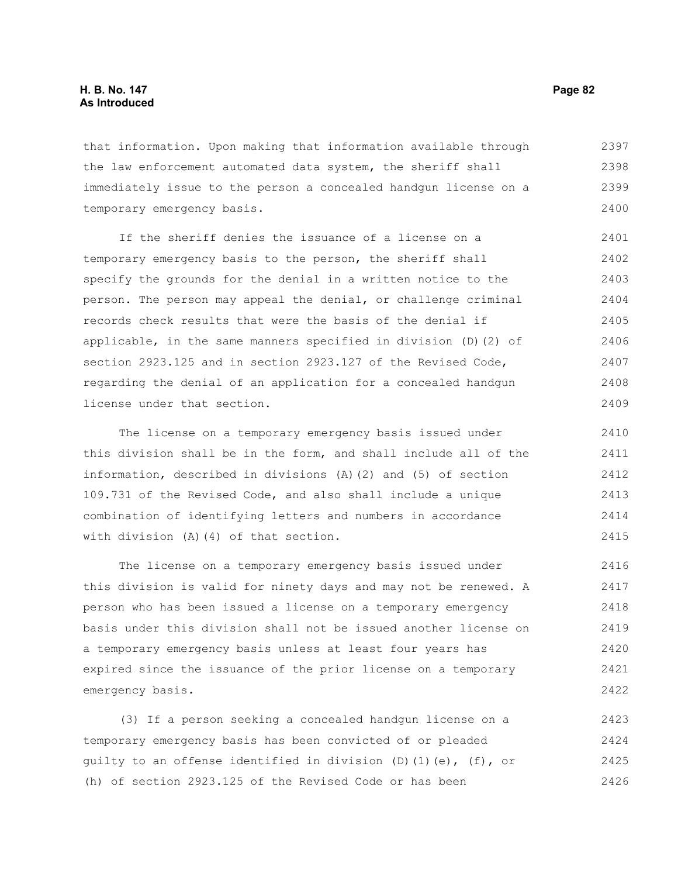that information. Upon making that information available through the law enforcement automated data system, the sheriff shall immediately issue to the person a concealed handgun license on a temporary emergency basis. 2397 2398 2399 2400

If the sheriff denies the issuance of a license on a temporary emergency basis to the person, the sheriff shall specify the grounds for the denial in a written notice to the person. The person may appeal the denial, or challenge criminal records check results that were the basis of the denial if applicable, in the same manners specified in division (D)(2) of section 2923.125 and in section 2923.127 of the Revised Code, regarding the denial of an application for a concealed handgun license under that section. 2401 2402 2403 2404 2405 2406 2407 2408 2409

The license on a temporary emergency basis issued under this division shall be in the form, and shall include all of the information, described in divisions (A)(2) and (5) of section 109.731 of the Revised Code, and also shall include a unique combination of identifying letters and numbers in accordance with division (A)(4) of that section. 2410 2411 2412 2413 2414 2415

The license on a temporary emergency basis issued under this division is valid for ninety days and may not be renewed. A person who has been issued a license on a temporary emergency basis under this division shall not be issued another license on a temporary emergency basis unless at least four years has expired since the issuance of the prior license on a temporary emergency basis. 2416 2417 2418 2419 2420 2421 2422

(3) If a person seeking a concealed handgun license on a temporary emergency basis has been convicted of or pleaded guilty to an offense identified in division (D)(1)(e), (f), or (h) of section 2923.125 of the Revised Code or has been 2423 2424 2425 2426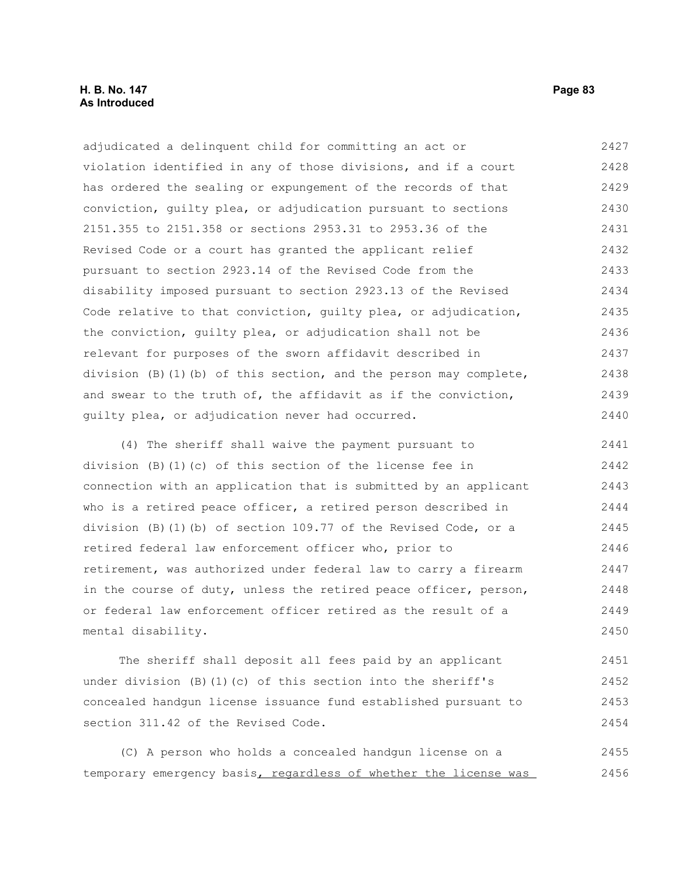## **H. B. No. 147 Page 83 As Introduced**

adjudicated a delinquent child for committing an act or violation identified in any of those divisions, and if a court has ordered the sealing or expungement of the records of that conviction, guilty plea, or adjudication pursuant to sections 2151.355 to 2151.358 or sections 2953.31 to 2953.36 of the Revised Code or a court has granted the applicant relief pursuant to section 2923.14 of the Revised Code from the disability imposed pursuant to section 2923.13 of the Revised Code relative to that conviction, quilty plea, or adjudication, the conviction, guilty plea, or adjudication shall not be relevant for purposes of the sworn affidavit described in division (B)(1)(b) of this section, and the person may complete, and swear to the truth of, the affidavit as if the conviction, guilty plea, or adjudication never had occurred. 2427 2428 2429 2430 2431 2432 2433 2434 2435 2436 2437 2438 2439 2440

(4) The sheriff shall waive the payment pursuant to division (B)(1)(c) of this section of the license fee in connection with an application that is submitted by an applicant who is a retired peace officer, a retired person described in division (B)(1)(b) of section 109.77 of the Revised Code, or a retired federal law enforcement officer who, prior to retirement, was authorized under federal law to carry a firearm in the course of duty, unless the retired peace officer, person, or federal law enforcement officer retired as the result of a mental disability. 2441 2442 2443 2444 2445 2446 2447 2448 2449 2450

The sheriff shall deposit all fees paid by an applicant under division (B)(1)(c) of this section into the sheriff's concealed handgun license issuance fund established pursuant to section 311.42 of the Revised Code. 2451 2452 2453 2454

(C) A person who holds a concealed handgun license on a temporary emergency basis, regardless of whether the license was 2455 2456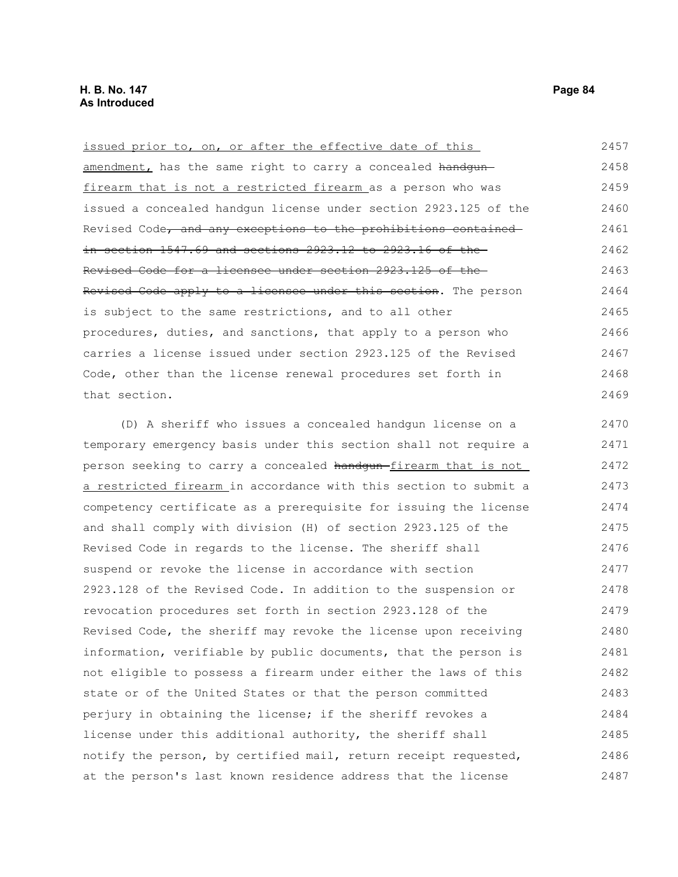issued prior to, on, or after the effective date of this amendment, has the same right to carry a concealed handgun firearm that is not a restricted firearm as a person who was issued a concealed handgun license under section 2923.125 of the Revised Code, and any exceptions to the prohibitions contained in section 1547.69 and sections 2923.12 to 2923.16 of the Revised Code for a licensee under section 2923.125 of the Revised Code apply to a licensee under this section. The person is subject to the same restrictions, and to all other procedures, duties, and sanctions, that apply to a person who carries a license issued under section 2923.125 of the Revised Code, other than the license renewal procedures set forth in that section. 2457 2458 2459 2460 2461 2462 2463 2464 2465 2466 2467 2468 2469

(D) A sheriff who issues a concealed handgun license on a temporary emergency basis under this section shall not require a person seeking to carry a concealed handgun firearm that is not a restricted firearm in accordance with this section to submit a competency certificate as a prerequisite for issuing the license and shall comply with division (H) of section 2923.125 of the Revised Code in regards to the license. The sheriff shall suspend or revoke the license in accordance with section 2923.128 of the Revised Code. In addition to the suspension or revocation procedures set forth in section 2923.128 of the Revised Code, the sheriff may revoke the license upon receiving information, verifiable by public documents, that the person is not eligible to possess a firearm under either the laws of this state or of the United States or that the person committed perjury in obtaining the license; if the sheriff revokes a license under this additional authority, the sheriff shall notify the person, by certified mail, return receipt requested, at the person's last known residence address that the license 2470 2471 2472 2473 2474 2475 2476 2477 2478 2479 2480 2481 2482 2483 2484 2485 2486 2487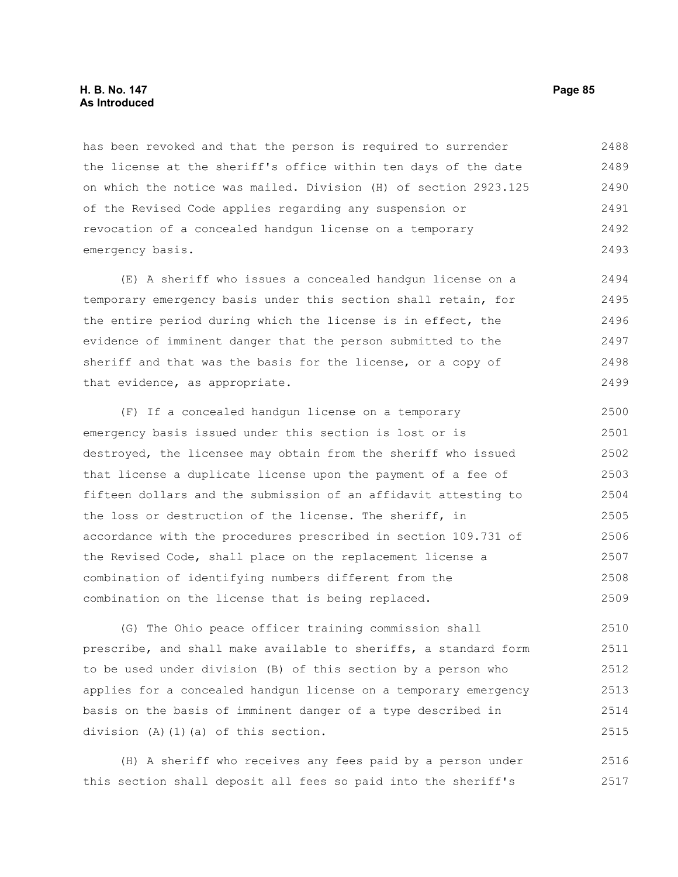#### **H. B. No. 147 Page 85 As Introduced**

has been revoked and that the person is required to surrender the license at the sheriff's office within ten days of the date on which the notice was mailed. Division (H) of section 2923.125 of the Revised Code applies regarding any suspension or revocation of a concealed handgun license on a temporary emergency basis. 2488 2489 2490 2491 2492 2493

(E) A sheriff who issues a concealed handgun license on a temporary emergency basis under this section shall retain, for the entire period during which the license is in effect, the evidence of imminent danger that the person submitted to the sheriff and that was the basis for the license, or a copy of that evidence, as appropriate. 2494 2495 2496 2497 2498 2499

(F) If a concealed handgun license on a temporary emergency basis issued under this section is lost or is destroyed, the licensee may obtain from the sheriff who issued that license a duplicate license upon the payment of a fee of fifteen dollars and the submission of an affidavit attesting to the loss or destruction of the license. The sheriff, in accordance with the procedures prescribed in section 109.731 of the Revised Code, shall place on the replacement license a combination of identifying numbers different from the combination on the license that is being replaced. 2500 2501 2502 2503 2504 2505 2506 2507 2508 2509

(G) The Ohio peace officer training commission shall prescribe, and shall make available to sheriffs, a standard form to be used under division (B) of this section by a person who applies for a concealed handgun license on a temporary emergency basis on the basis of imminent danger of a type described in division (A)(1)(a) of this section. 2510 2511 2512 2513 2514 2515

(H) A sheriff who receives any fees paid by a person under this section shall deposit all fees so paid into the sheriff's 2516 2517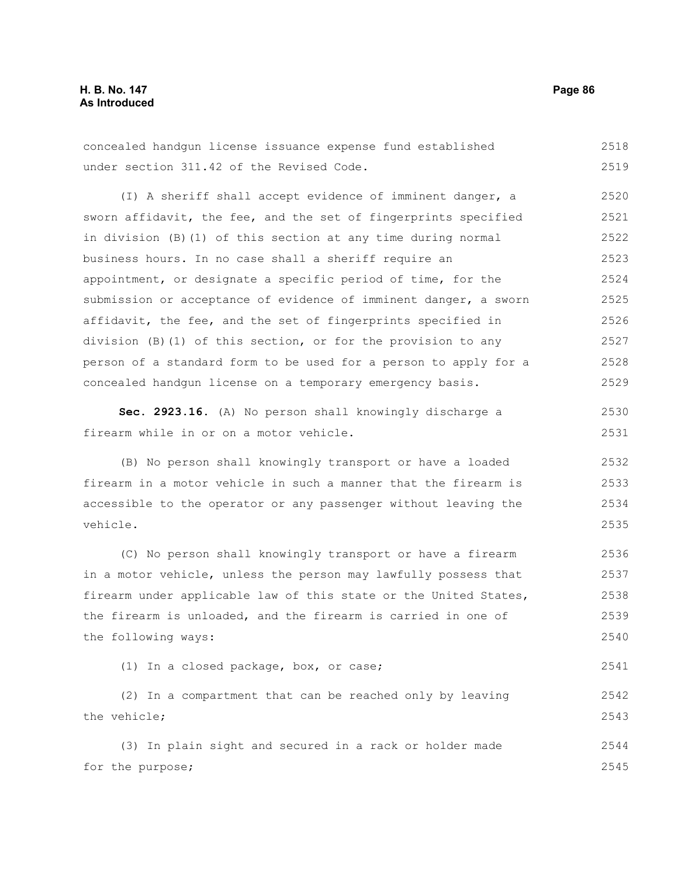| (I) A sheriff shall accept evidence of imminent danger, a        | 2520 |
|------------------------------------------------------------------|------|
| sworn affidavit, the fee, and the set of fingerprints specified  | 2521 |
| in division (B)(1) of this section at any time during normal     | 2522 |
| business hours. In no case shall a sheriff require an            | 2523 |
| appointment, or designate a specific period of time, for the     | 2524 |
| submission or acceptance of evidence of imminent danger, a sworn | 2525 |
| affidavit, the fee, and the set of fingerprints specified in     | 2526 |
| division (B)(1) of this section, or for the provision to any     | 2527 |
| person of a standard form to be used for a person to apply for a | 2528 |
| concealed handgun license on a temporary emergency basis.        | 2529 |
| Sec. 2923.16. (A) No person shall knowingly discharge a          | 2530 |
| firearm while in or on a motor vehicle.                          | 2531 |
| (B) No person shall knowingly transport or have a loaded         | 2532 |
| firearm in a motor vehicle in such a manner that the firearm is  | 2533 |
| accessible to the operator or any passenger without leaving the  | 2534 |
| vehicle.                                                         | 2535 |
| (C) No person shall knowingly transport or have a firearm        | 2536 |
| in a motor vehicle, unless the person may lawfully possess that  | 2537 |
| firearm under applicable law of this state or the United States, | 2538 |
| the firearm is unloaded, and the firearm is carried in one of    | 2539 |
| the following ways:                                              | 2540 |
| (1) In a closed package, box, or case;                           | 2541 |
| (2) In a compartment that can be reached only by leaving         | 2542 |
| the vehicle;                                                     | 2543 |
| (3) In plain sight and secured in a rack or holder made          | 2544 |
| for the purpose;                                                 | 2545 |
|                                                                  |      |

concealed handgun license issuance expense fund established

under section 311.42 of the Revised Code.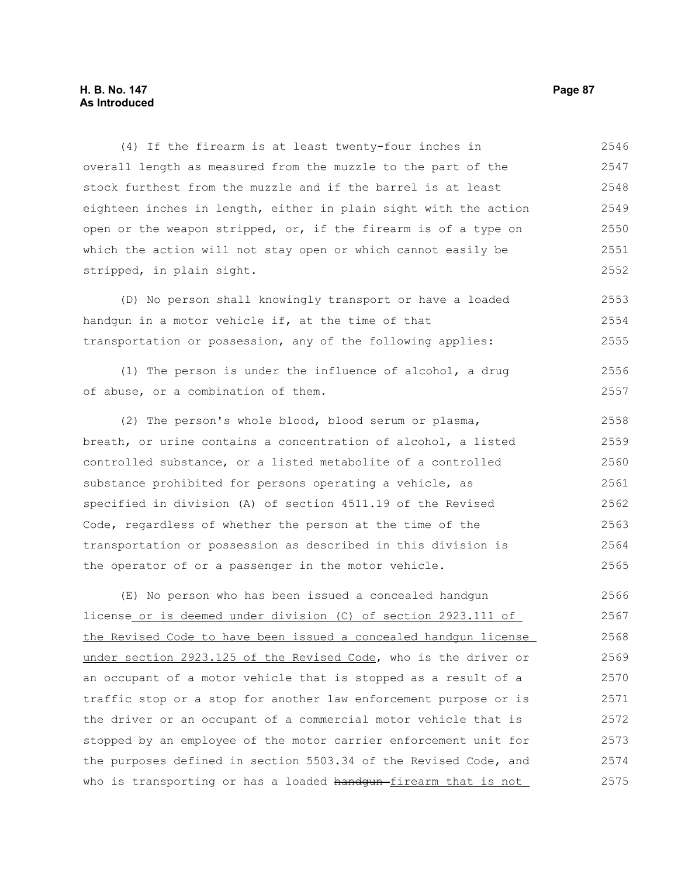(4) If the firearm is at least twenty-four inches in overall length as measured from the muzzle to the part of the stock furthest from the muzzle and if the barrel is at least eighteen inches in length, either in plain sight with the action open or the weapon stripped, or, if the firearm is of a type on which the action will not stay open or which cannot easily be stripped, in plain sight. 2546 2547 2548 2549 2550 2551 2552

(D) No person shall knowingly transport or have a loaded handgun in a motor vehicle if, at the time of that transportation or possession, any of the following applies: 2553 2554 2555

(1) The person is under the influence of alcohol, a drug of abuse, or a combination of them. 2556 2557

(2) The person's whole blood, blood serum or plasma, breath, or urine contains a concentration of alcohol, a listed controlled substance, or a listed metabolite of a controlled substance prohibited for persons operating a vehicle, as specified in division (A) of section 4511.19 of the Revised Code, regardless of whether the person at the time of the transportation or possession as described in this division is the operator of or a passenger in the motor vehicle. 2558 2559 2560 2561 2562 2563 2564 2565

(E) No person who has been issued a concealed handgun license or is deemed under division (C) of section 2923.111 of the Revised Code to have been issued a concealed handgun license under section 2923.125 of the Revised Code, who is the driver or an occupant of a motor vehicle that is stopped as a result of a traffic stop or a stop for another law enforcement purpose or is the driver or an occupant of a commercial motor vehicle that is stopped by an employee of the motor carrier enforcement unit for the purposes defined in section 5503.34 of the Revised Code, and who is transporting or has a loaded handgun-firearm that is not 2566 2567 2568 2569 2570 2571 2572 2573 2574 2575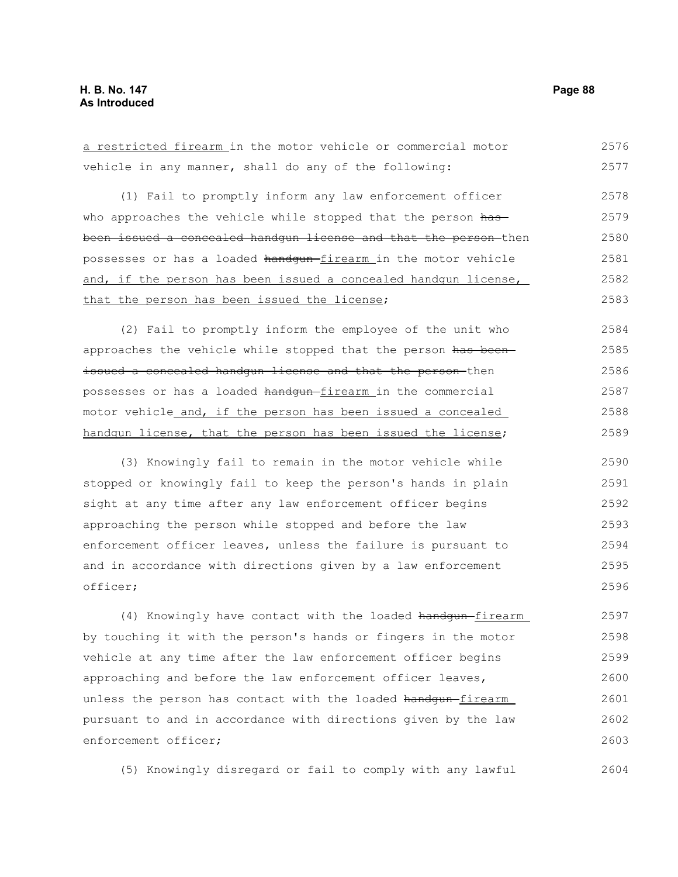2604

| a restricted firearm in the motor vehicle or commercial motor    | 2576 |
|------------------------------------------------------------------|------|
| vehicle in any manner, shall do any of the following:            | 2577 |
| (1) Fail to promptly inform any law enforcement officer          | 2578 |
| who approaches the vehicle while stopped that the person has     | 2579 |
| been issued a concealed handgun license and that the person-then | 2580 |
| possesses or has a loaded handgun-firearm in the motor vehicle   | 2581 |
| and, if the person has been issued a concealed handqun license,  | 2582 |
| that the person has been issued the license;                     | 2583 |
| (2) Fail to promptly inform the employee of the unit who         | 2584 |
| approaches the vehicle while stopped that the person has been-   | 2585 |
| issued a concealed handgun license and that the person-then      | 2586 |
| possesses or has a loaded handqun-firearm in the commercial      | 2587 |
| motor vehicle and, if the person has been issued a concealed     | 2588 |
| handqun license, that the person has been issued the license;    | 2589 |
| (3) Knowingly fail to remain in the motor vehicle while          | 2590 |
| stopped or knowingly fail to keep the person's hands in plain    | 2591 |
| sight at any time after any law enforcement officer begins       | 2592 |
| approaching the person while stopped and before the law          | 2593 |
| enforcement officer leaves, unless the failure is pursuant to    | 2594 |
| and in accordance with directions given by a law enforcement     | 2595 |
| officer;                                                         | 2596 |
| (4) Knowingly have contact with the loaded handqun-firearm       | 2597 |
| by touching it with the person's hands or fingers in the motor   | 2598 |
| vehicle at any time after the law enforcement officer begins     | 2599 |
| approaching and before the law enforcement officer leaves,       | 2600 |
| unless the person has contact with the loaded handqun-firearm    | 2601 |
| pursuant to and in accordance with directions given by the law   | 2602 |
| enforcement officer;                                             | 2603 |

(5) Knowingly disregard or fail to comply with any lawful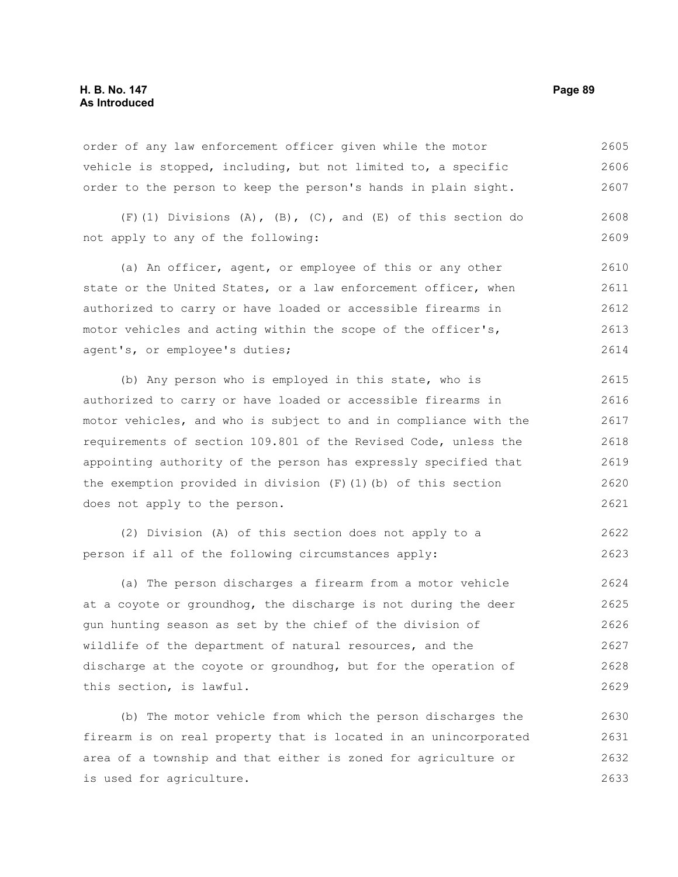order of any law enforcement officer given while the motor vehicle is stopped, including, but not limited to, a specific order to the person to keep the person's hands in plain sight. 2605 2606 2607

(F)(1) Divisions (A), (B), (C), and (E) of this section do not apply to any of the following: 2608 2609

(a) An officer, agent, or employee of this or any other state or the United States, or a law enforcement officer, when authorized to carry or have loaded or accessible firearms in motor vehicles and acting within the scope of the officer's, agent's, or employee's duties; 2610 2611 2612 2613 2614

(b) Any person who is employed in this state, who is authorized to carry or have loaded or accessible firearms in motor vehicles, and who is subject to and in compliance with the requirements of section 109.801 of the Revised Code, unless the appointing authority of the person has expressly specified that the exemption provided in division  $(F)$  (1)(b) of this section does not apply to the person. 2615 2616 2618 2619 2620 2621

(2) Division (A) of this section does not apply to a person if all of the following circumstances apply: 2622 2623

(a) The person discharges a firearm from a motor vehicle at a coyote or groundhog, the discharge is not during the deer gun hunting season as set by the chief of the division of wildlife of the department of natural resources, and the discharge at the coyote or groundhog, but for the operation of this section, is lawful. 2624 2625 2626 2627 2628 2629

(b) The motor vehicle from which the person discharges the firearm is on real property that is located in an unincorporated area of a township and that either is zoned for agriculture or is used for agriculture. 2630 2631 2632 2633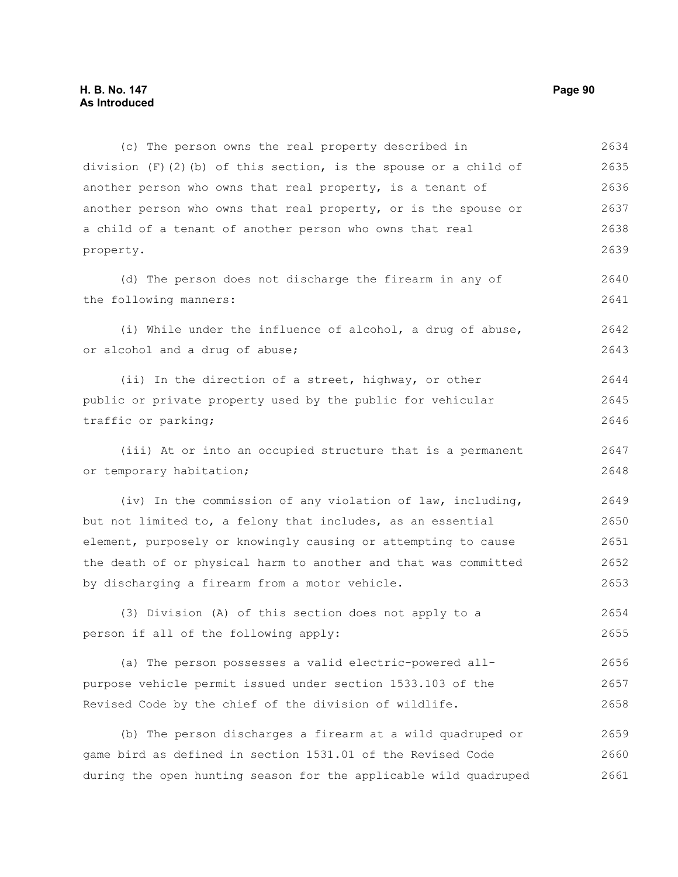## **H. B. No. 147 Page 90 As Introduced**

(c) The person owns the real property described in division  $(F)$  (2)(b) of this section, is the spouse or a child of another person who owns that real property, is a tenant of another person who owns that real property, or is the spouse or a child of a tenant of another person who owns that real property. 2634 2635 2636 2637 2638 2639

(d) The person does not discharge the firearm in any of the following manners:

(i) While under the influence of alcohol, a drug of abuse, or alcohol and a drug of abuse; 2642 2643

(ii) In the direction of a street, highway, or other public or private property used by the public for vehicular traffic or parking; 2644 2645 2646

(iii) At or into an occupied structure that is a permanent or temporary habitation; 2647 2648

(iv) In the commission of any violation of law, including, but not limited to, a felony that includes, as an essential element, purposely or knowingly causing or attempting to cause the death of or physical harm to another and that was committed by discharging a firearm from a motor vehicle. 2649 2650 2651 2652 2653

(3) Division (A) of this section does not apply to a person if all of the following apply: 2654 2655

(a) The person possesses a valid electric-powered allpurpose vehicle permit issued under section 1533.103 of the Revised Code by the chief of the division of wildlife. 2656 2657 2658

(b) The person discharges a firearm at a wild quadruped or game bird as defined in section 1531.01 of the Revised Code during the open hunting season for the applicable wild quadruped 2659 2660 2661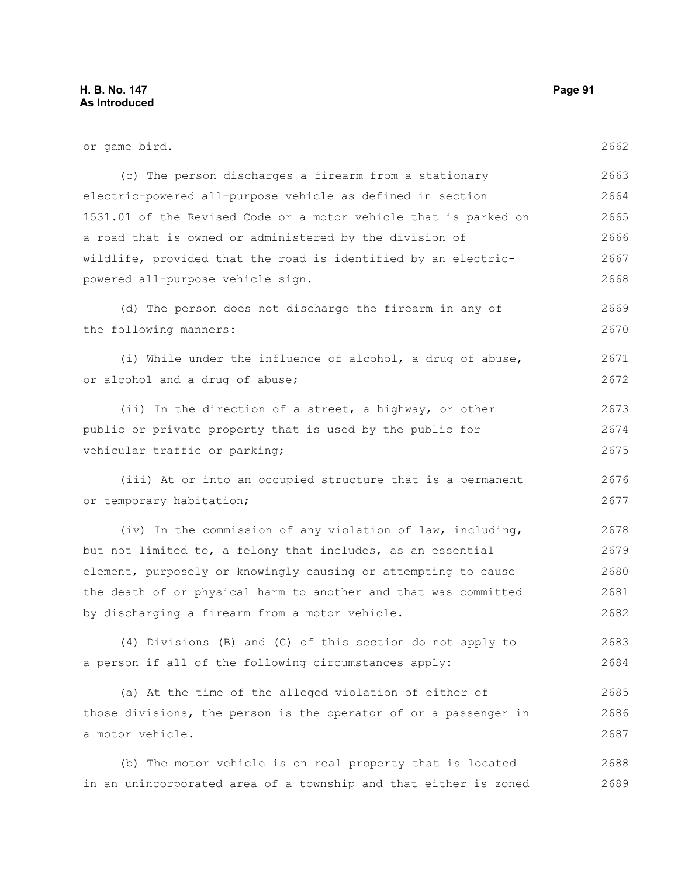| or game bird.                                                    | 2662 |
|------------------------------------------------------------------|------|
| (c) The person discharges a firearm from a stationary            | 2663 |
| electric-powered all-purpose vehicle as defined in section       | 2664 |
| 1531.01 of the Revised Code or a motor vehicle that is parked on | 2665 |
| a road that is owned or administered by the division of          | 2666 |
| wildlife, provided that the road is identified by an electric-   | 2667 |
| powered all-purpose vehicle sign.                                | 2668 |
| (d) The person does not discharge the firearm in any of          | 2669 |
| the following manners:                                           | 2670 |
| (i) While under the influence of alcohol, a drug of abuse,       | 2671 |
| or alcohol and a drug of abuse;                                  | 2672 |
| (ii) In the direction of a street, a highway, or other           | 2673 |
| public or private property that is used by the public for        | 2674 |
| vehicular traffic or parking;                                    | 2675 |
| (iii) At or into an occupied structure that is a permanent       | 2676 |
| or temporary habitation;                                         | 2677 |
| (iv) In the commission of any violation of law, including,       | 2678 |
| but not limited to, a felony that includes, as an essential      | 2679 |
| element, purposely or knowingly causing or attempting to cause   | 2680 |
| the death of or physical harm to another and that was committed  | 2681 |
| by discharging a firearm from a motor vehicle.                   | 2682 |
| (4) Divisions (B) and (C) of this section do not apply to        | 2683 |
| a person if all of the following circumstances apply:            | 2684 |
| (a) At the time of the alleged violation of either of            | 2685 |
| those divisions, the person is the operator of or a passenger in | 2686 |
| a motor vehicle.                                                 | 2687 |
| (b) The motor vehicle is on real property that is located        | 2688 |
| in an unincorporated area of a township and that either is zoned | 2689 |
|                                                                  |      |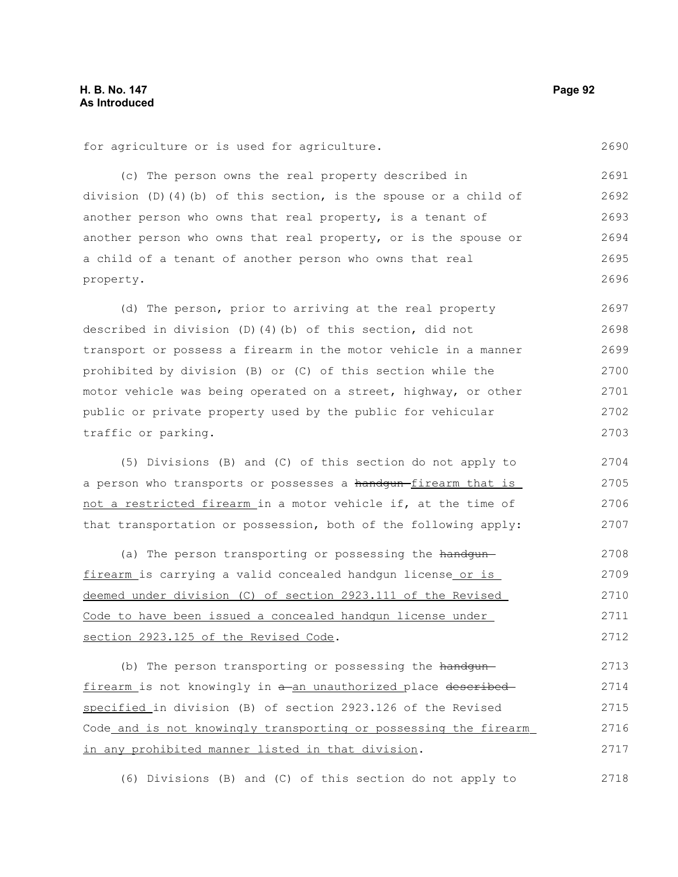2690

for agriculture or is used for agriculture.

(c) The person owns the real property described in division (D)(4)(b) of this section, is the spouse or a child of another person who owns that real property, is a tenant of another person who owns that real property, or is the spouse or a child of a tenant of another person who owns that real property. 2691 2692 2693 2694 2695 2696

(d) The person, prior to arriving at the real property described in division (D)(4)(b) of this section, did not transport or possess a firearm in the motor vehicle in a manner prohibited by division (B) or (C) of this section while the motor vehicle was being operated on a street, highway, or other public or private property used by the public for vehicular traffic or parking. 2697 2698 2699 2700 2701 2702 2703

(5) Divisions (B) and (C) of this section do not apply to a person who transports or possesses a handgun-firearm that is not a restricted firearm in a motor vehicle if, at the time of that transportation or possession, both of the following apply: 2704 2705 2706 2707

(a) The person transporting or possessing the handgunfirearm is carrying a valid concealed handgun license or is deemed under division (C) of section 2923.111 of the Revised Code to have been issued a concealed handgun license under section 2923.125 of the Revised Code. 2708 2709 2710 2711 2712

(b) The person transporting or possessing the handgunfirearm is not knowingly in  $a$ -an unauthorized place described specified in division (B) of section 2923.126 of the Revised Code and is not knowingly transporting or possessing the firearm in any prohibited manner listed in that division. 2713 2714 2715 2716 2717

(6) Divisions (B) and (C) of this section do not apply to 2718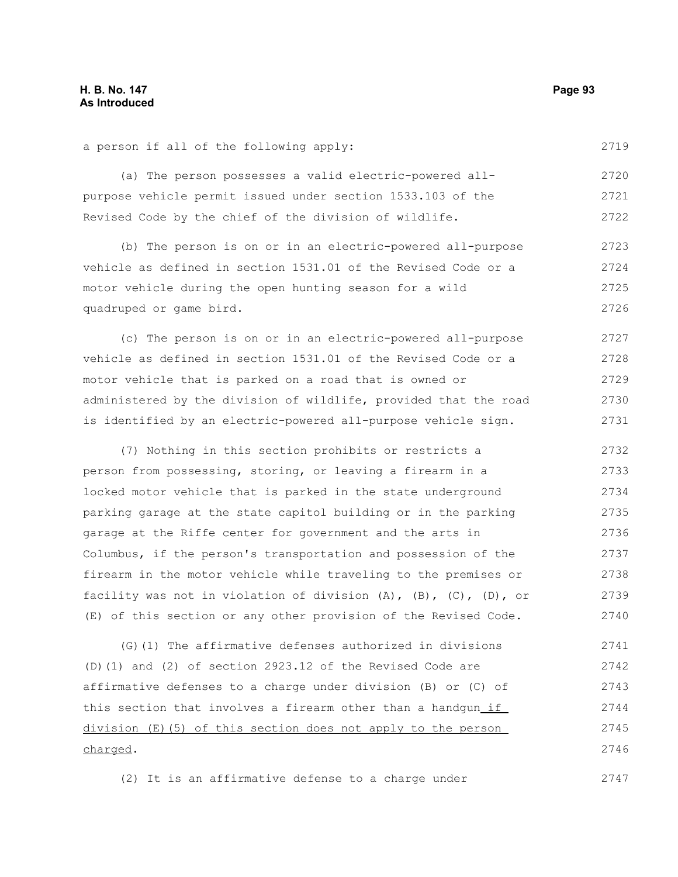a person if all of the following apply:

(a) The person possesses a valid electric-powered allpurpose vehicle permit issued under section 1533.103 of the Revised Code by the chief of the division of wildlife. (b) The person is on or in an electric-powered all-purpose vehicle as defined in section 1531.01 of the Revised Code or a motor vehicle during the open hunting season for a wild quadruped or game bird. (c) The person is on or in an electric-powered all-purpose vehicle as defined in section 1531.01 of the Revised Code or a motor vehicle that is parked on a road that is owned or administered by the division of wildlife, provided that the road is identified by an electric-powered all-purpose vehicle sign. (7) Nothing in this section prohibits or restricts a person from possessing, storing, or leaving a firearm in a locked motor vehicle that is parked in the state underground parking garage at the state capitol building or in the parking garage at the Riffe center for government and the arts in Columbus, if the person's transportation and possession of the firearm in the motor vehicle while traveling to the premises or facility was not in violation of division (A), (B), (C), (D), or (E) of this section or any other provision of the Revised Code. (G)(1) The affirmative defenses authorized in divisions (D)(1) and (2) of section 2923.12 of the Revised Code are 2720 2721 2722 2723 2724 2725 2726 2727 2728 2729 2730 2731 2732 2733 2734 2735 2736 2737 2738 2739 2740 2741 2742

affirmative defenses to a charge under division (B) or (C) of this section that involves a firearm other than a handgun\_if\_ division (E)(5) of this section does not apply to the person charged. 2743 2744 2745 2746

(2) It is an affirmative defense to a charge under

2719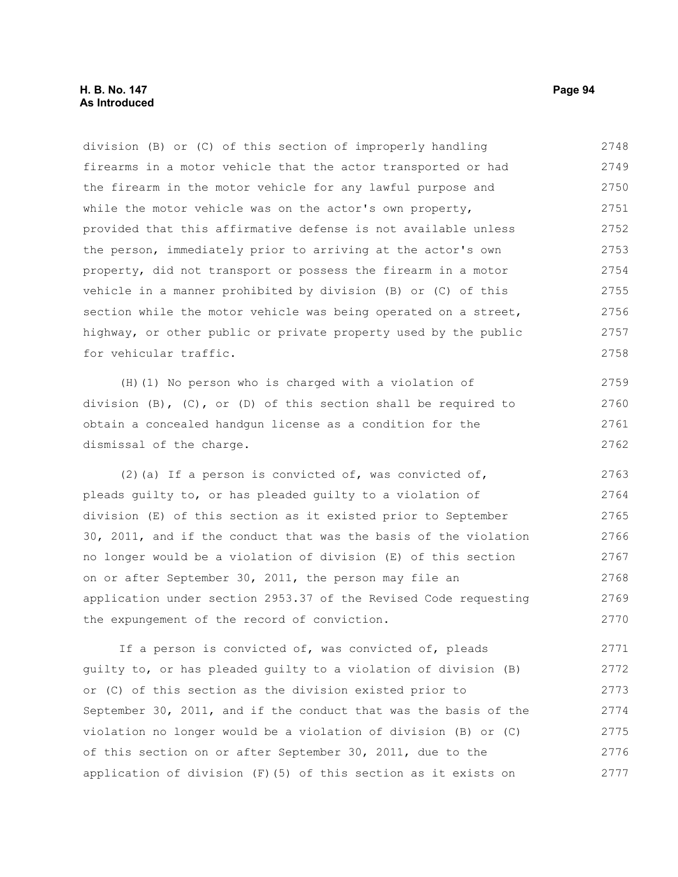division (B) or (C) of this section of improperly handling firearms in a motor vehicle that the actor transported or had the firearm in the motor vehicle for any lawful purpose and while the motor vehicle was on the actor's own property, provided that this affirmative defense is not available unless the person, immediately prior to arriving at the actor's own property, did not transport or possess the firearm in a motor vehicle in a manner prohibited by division (B) or (C) of this section while the motor vehicle was being operated on a street, highway, or other public or private property used by the public for vehicular traffic. 2748 2749 2750 2751 2752 2753 2754 2755 2756 2757 2758

(H)(1) No person who is charged with a violation of division  $(B)$ ,  $(C)$ , or  $(D)$  of this section shall be required to obtain a concealed handgun license as a condition for the dismissal of the charge. 2759 2760 2761 2762

(2)(a) If a person is convicted of, was convicted of, pleads guilty to, or has pleaded guilty to a violation of division (E) of this section as it existed prior to September 30, 2011, and if the conduct that was the basis of the violation no longer would be a violation of division (E) of this section on or after September 30, 2011, the person may file an application under section 2953.37 of the Revised Code requesting the expungement of the record of conviction. 2763 2764 2765 2766 2767 2768 2769 2770

If a person is convicted of, was convicted of, pleads guilty to, or has pleaded guilty to a violation of division (B) or (C) of this section as the division existed prior to September 30, 2011, and if the conduct that was the basis of the violation no longer would be a violation of division (B) or (C) of this section on or after September 30, 2011, due to the application of division (F)(5) of this section as it exists on 2771 2772 2773 2774 2775 2776 2777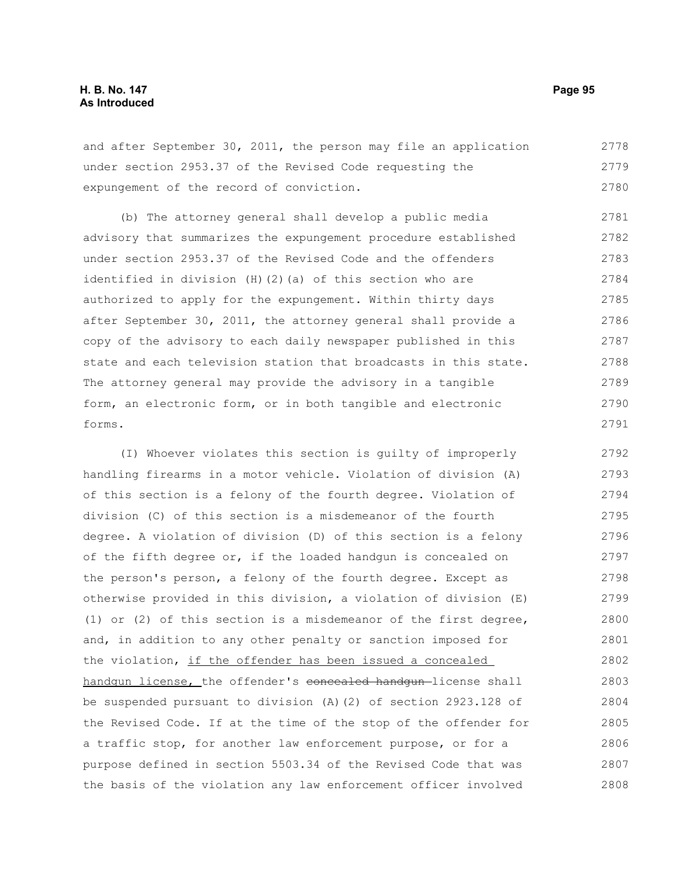and after September 30, 2011, the person may file an application under section 2953.37 of the Revised Code requesting the expungement of the record of conviction. 2778 2779 2780

(b) The attorney general shall develop a public media advisory that summarizes the expungement procedure established under section 2953.37 of the Revised Code and the offenders identified in division (H)(2)(a) of this section who are authorized to apply for the expungement. Within thirty days after September 30, 2011, the attorney general shall provide a copy of the advisory to each daily newspaper published in this state and each television station that broadcasts in this state. The attorney general may provide the advisory in a tangible form, an electronic form, or in both tangible and electronic forms. 2781 2782 2783 2784 2785 2786 2787 2788 2789 2790 2791

(I) Whoever violates this section is guilty of improperly handling firearms in a motor vehicle. Violation of division (A) of this section is a felony of the fourth degree. Violation of division (C) of this section is a misdemeanor of the fourth degree. A violation of division (D) of this section is a felony of the fifth degree or, if the loaded handgun is concealed on the person's person, a felony of the fourth degree. Except as otherwise provided in this division, a violation of division (E) (1) or (2) of this section is a misdemeanor of the first degree, and, in addition to any other penalty or sanction imposed for the violation, if the offender has been issued a concealed handgun license, the offender's concealed handgun-license shall be suspended pursuant to division (A)(2) of section 2923.128 of the Revised Code. If at the time of the stop of the offender for a traffic stop, for another law enforcement purpose, or for a purpose defined in section 5503.34 of the Revised Code that was the basis of the violation any law enforcement officer involved 2792 2793 2794 2795 2796 2797 2798 2799 2800 2801 2802 2803 2804 2805 2806 2807 2808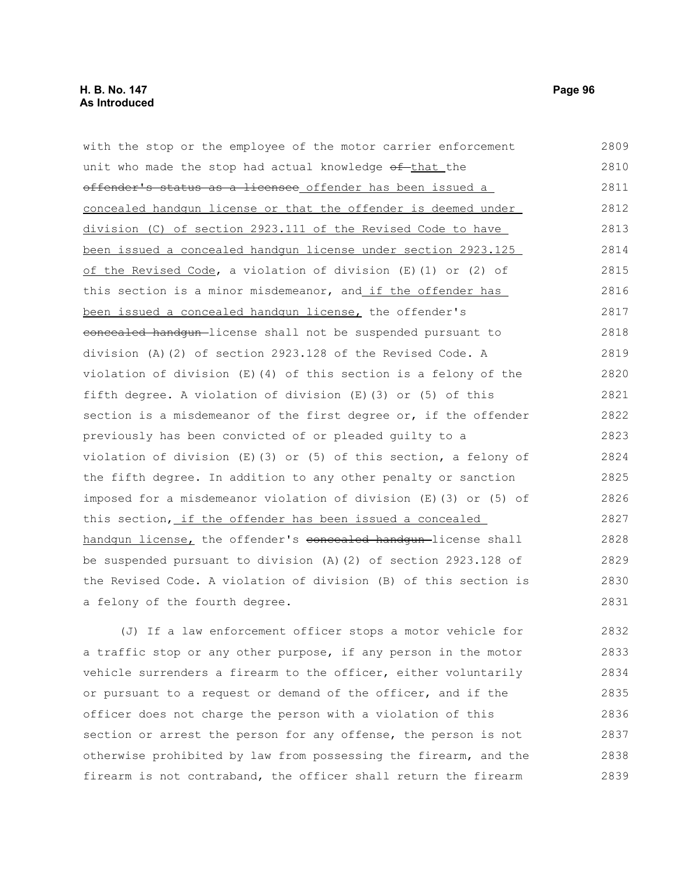with the stop or the employee of the motor carrier enforcement unit who made the stop had actual knowledge of that the offender's status as a licensee offender has been issued a concealed handgun license or that the offender is deemed under division (C) of section 2923.111 of the Revised Code to have been issued a concealed handgun license under section 2923.125 of the Revised Code, a violation of division (E)(1) or (2) of this section is a minor misdemeanor, and if the offender has been issued a concealed handgun license, the offender's concealed handgun license shall not be suspended pursuant to division (A)(2) of section 2923.128 of the Revised Code. A violation of division (E)(4) of this section is a felony of the fifth degree. A violation of division (E)(3) or (5) of this section is a misdemeanor of the first degree or, if the offender previously has been convicted of or pleaded guilty to a violation of division (E)(3) or (5) of this section, a felony of the fifth degree. In addition to any other penalty or sanction imposed for a misdemeanor violation of division (E)(3) or (5) of this section, if the offender has been issued a concealed handgun license, the offender's concealed handgun-license shall be suspended pursuant to division (A)(2) of section 2923.128 of the Revised Code. A violation of division (B) of this section is a felony of the fourth degree. 2809 2810 2811 2812 2813 2814 2815 2816 2817 2818 2819 2820 2821 2822 2823 2824 2825 2826 2827 2828 2829 2830 2831

(J) If a law enforcement officer stops a motor vehicle for a traffic stop or any other purpose, if any person in the motor vehicle surrenders a firearm to the officer, either voluntarily or pursuant to a request or demand of the officer, and if the officer does not charge the person with a violation of this section or arrest the person for any offense, the person is not otherwise prohibited by law from possessing the firearm, and the firearm is not contraband, the officer shall return the firearm 2832 2833 2834 2835 2836 2837 2838 2839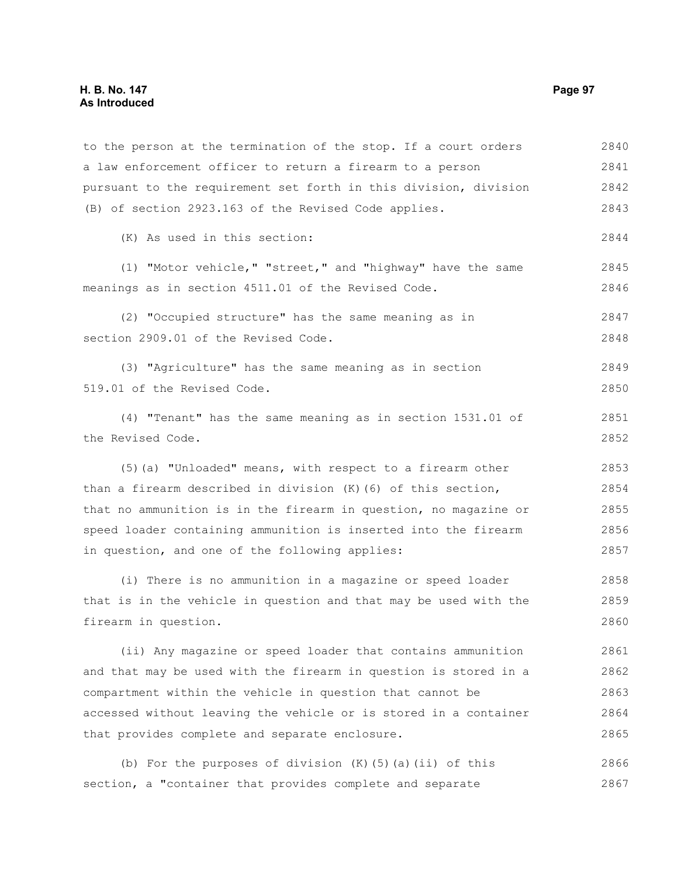to the person at the termination of the stop. If a court orders a law enforcement officer to return a firearm to a person pursuant to the requirement set forth in this division, division (B) of section 2923.163 of the Revised Code applies. (K) As used in this section: (1) "Motor vehicle," "street," and "highway" have the same meanings as in section 4511.01 of the Revised Code. (2) "Occupied structure" has the same meaning as in section 2909.01 of the Revised Code. (3) "Agriculture" has the same meaning as in section 519.01 of the Revised Code. (4) "Tenant" has the same meaning as in section 1531.01 of the Revised Code. (5)(a) "Unloaded" means, with respect to a firearm other than a firearm described in division (K)(6) of this section, that no ammunition is in the firearm in question, no magazine or speed loader containing ammunition is inserted into the firearm in question, and one of the following applies: (i) There is no ammunition in a magazine or speed loader that is in the vehicle in question and that may be used with the firearm in question. (ii) Any magazine or speed loader that contains ammunition and that may be used with the firearm in question is stored in a compartment within the vehicle in question that cannot be accessed without leaving the vehicle or is stored in a container that provides complete and separate enclosure. (b) For the purposes of division  $(K)$  (5)(a)(ii) of this 2840 2841 2842 2843 2844 2845 2846 2847 2848 2849 2850 2851 2852 2853 2854 2855 2856 2857 2858 2859 2860 2861 2862 2863 2864 2865 2866

section, a "container that provides complete and separate 2867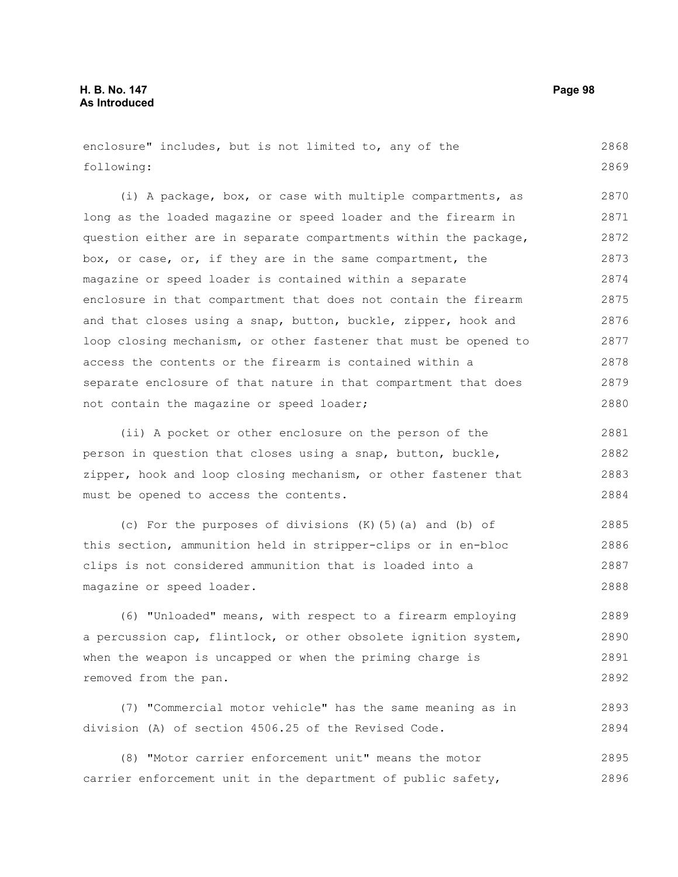enclosure" includes, but is not limited to, any of the following: 2868 2869

(i) A package, box, or case with multiple compartments, as long as the loaded magazine or speed loader and the firearm in question either are in separate compartments within the package, box, or case, or, if they are in the same compartment, the magazine or speed loader is contained within a separate enclosure in that compartment that does not contain the firearm and that closes using a snap, button, buckle, zipper, hook and loop closing mechanism, or other fastener that must be opened to access the contents or the firearm is contained within a separate enclosure of that nature in that compartment that does not contain the magazine or speed loader; 2870 2871 2872 2873 2874 2875 2876 2877 2878 2879 2880

(ii) A pocket or other enclosure on the person of the person in question that closes using a snap, button, buckle, zipper, hook and loop closing mechanism, or other fastener that must be opened to access the contents. 2881 2882 2883 2884

(c) For the purposes of divisions (K)(5)(a) and (b) of this section, ammunition held in stripper-clips or in en-bloc clips is not considered ammunition that is loaded into a magazine or speed loader. 2885 2886 2887 2888

(6) "Unloaded" means, with respect to a firearm employing a percussion cap, flintlock, or other obsolete ignition system, when the weapon is uncapped or when the priming charge is removed from the pan. 2889 2890 2891 2892

(7) "Commercial motor vehicle" has the same meaning as in division (A) of section 4506.25 of the Revised Code.

(8) "Motor carrier enforcement unit" means the motor carrier enforcement unit in the department of public safety, 2895 2896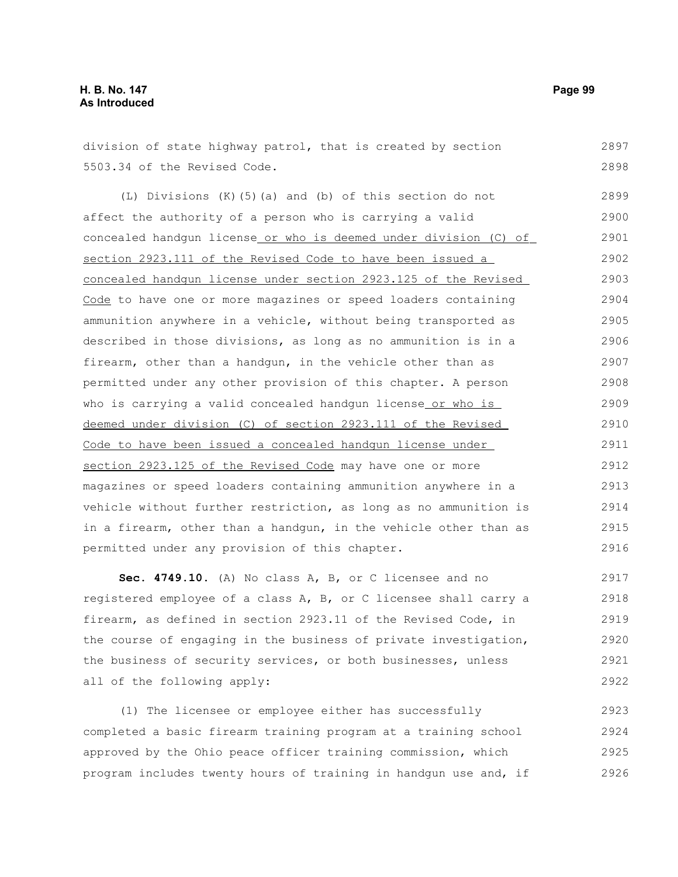## **H. B. No. 147 Page 99 As Introduced**

| division of state highway patrol, that is created by section     | 2897 |
|------------------------------------------------------------------|------|
| 5503.34 of the Revised Code.                                     | 2898 |
| $(L)$ Divisions $(K)$ (5) (a) and (b) of this section do not     | 2899 |
| affect the authority of a person who is carrying a valid         | 2900 |
| concealed handgun license or who is deemed under division (C) of | 2901 |
| section 2923.111 of the Revised Code to have been issued a       | 2902 |
| concealed handqun license under section 2923.125 of the Revised  | 2903 |
| Code to have one or more magazines or speed loaders containing   | 2904 |
| ammunition anywhere in a vehicle, without being transported as   | 2905 |
| described in those divisions, as long as no ammunition is in a   | 2906 |
| firearm, other than a handqun, in the vehicle other than as      | 2907 |
| permitted under any other provision of this chapter. A person    | 2908 |
| who is carrying a valid concealed handgun license or who is      | 2909 |
| deemed under division (C) of section 2923.111 of the Revised     | 2910 |
| Code to have been issued a concealed handqun license under       | 2911 |
| section 2923.125 of the Revised Code may have one or more        | 2912 |
| magazines or speed loaders containing ammunition anywhere in a   | 2913 |
| vehicle without further restriction, as long as no ammunition is | 2914 |
| in a firearm, other than a handgun, in the vehicle other than as | 2915 |
| permitted under any provision of this chapter.                   | 2916 |
|                                                                  |      |

**Sec. 4749.10.** (A) No class A, B, or C licensee and no registered employee of a class A, B, or C licensee shall carry a firearm, as defined in section 2923.11 of the Revised Code, in the course of engaging in the business of private investigation, the business of security services, or both businesses, unless all of the following apply: 2917 2918 2919 2920 2921 2922

(1) The licensee or employee either has successfully completed a basic firearm training program at a training school approved by the Ohio peace officer training commission, which program includes twenty hours of training in handgun use and, if 2923 2924 2925 2926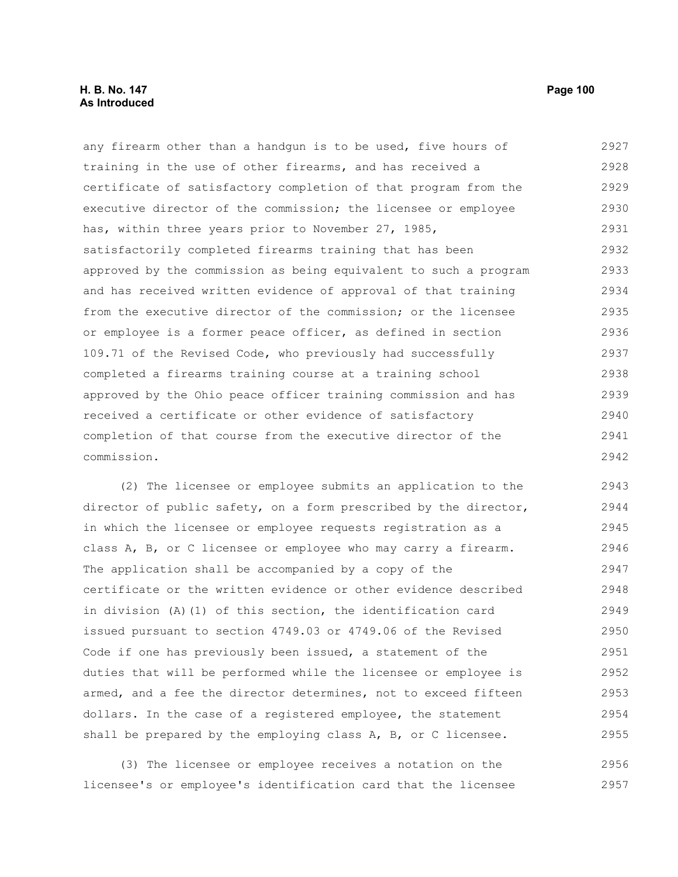## **H. B. No. 147 Page 100 As Introduced**

any firearm other than a handgun is to be used, five hours of training in the use of other firearms, and has received a certificate of satisfactory completion of that program from the executive director of the commission; the licensee or employee has, within three years prior to November 27, 1985, satisfactorily completed firearms training that has been approved by the commission as being equivalent to such a program and has received written evidence of approval of that training from the executive director of the commission; or the licensee or employee is a former peace officer, as defined in section 109.71 of the Revised Code, who previously had successfully completed a firearms training course at a training school approved by the Ohio peace officer training commission and has received a certificate or other evidence of satisfactory completion of that course from the executive director of the commission. 2927 2928 2929 2930 2931 2932 2933 2934 2935 2936 2937 2938 2939 2940 2941 2942

(2) The licensee or employee submits an application to the director of public safety, on a form prescribed by the director, in which the licensee or employee requests registration as a class A, B, or C licensee or employee who may carry a firearm. The application shall be accompanied by a copy of the certificate or the written evidence or other evidence described in division (A)(1) of this section, the identification card issued pursuant to section 4749.03 or 4749.06 of the Revised Code if one has previously been issued, a statement of the duties that will be performed while the licensee or employee is armed, and a fee the director determines, not to exceed fifteen dollars. In the case of a registered employee, the statement shall be prepared by the employing class A, B, or C licensee. 2943 2944 2945 2946 2947 2948 2949 2950 2951 2952 2953 2954 2955

(3) The licensee or employee receives a notation on the licensee's or employee's identification card that the licensee 2956 2957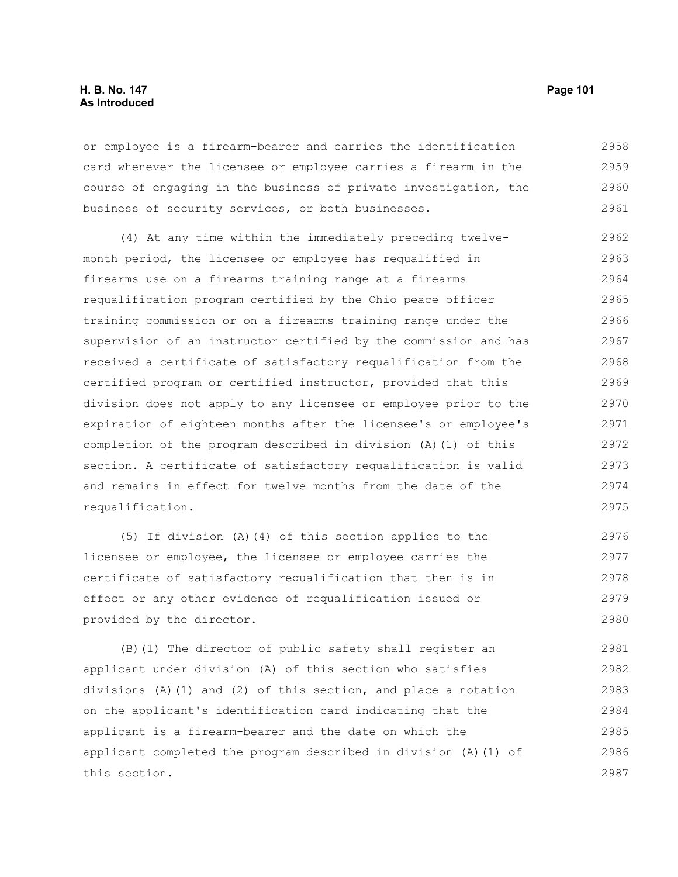### **H. B. No. 147 Page 101 As Introduced**

or employee is a firearm-bearer and carries the identification card whenever the licensee or employee carries a firearm in the course of engaging in the business of private investigation, the business of security services, or both businesses. 2958 2959 2960 2961

(4) At any time within the immediately preceding twelvemonth period, the licensee or employee has requalified in firearms use on a firearms training range at a firearms requalification program certified by the Ohio peace officer training commission or on a firearms training range under the supervision of an instructor certified by the commission and has received a certificate of satisfactory requalification from the certified program or certified instructor, provided that this division does not apply to any licensee or employee prior to the expiration of eighteen months after the licensee's or employee's completion of the program described in division (A)(1) of this section. A certificate of satisfactory requalification is valid and remains in effect for twelve months from the date of the requalification. 2962 2963 2964 2965 2966 2967 2968 2969 2970 2971 2972 2973 2974 2975

(5) If division (A)(4) of this section applies to the licensee or employee, the licensee or employee carries the certificate of satisfactory requalification that then is in effect or any other evidence of requalification issued or provided by the director. 2976 2977 2978 2979 2980

(B)(1) The director of public safety shall register an applicant under division (A) of this section who satisfies divisions (A)(1) and (2) of this section, and place a notation on the applicant's identification card indicating that the applicant is a firearm-bearer and the date on which the applicant completed the program described in division (A)(1) of this section. 2981 2982 2983 2984 2985 2986 2987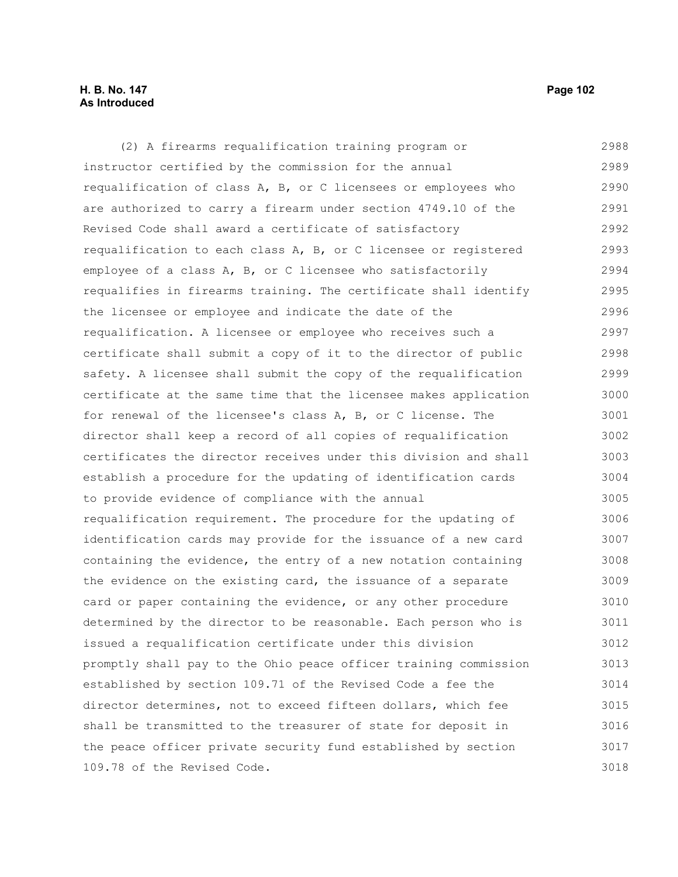## **H. B. No. 147 Page 102 As Introduced**

(2) A firearms requalification training program or instructor certified by the commission for the annual requalification of class A, B, or C licensees or employees who are authorized to carry a firearm under section 4749.10 of the Revised Code shall award a certificate of satisfactory requalification to each class A, B, or C licensee or registered employee of a class A, B, or C licensee who satisfactorily requalifies in firearms training. The certificate shall identify the licensee or employee and indicate the date of the requalification. A licensee or employee who receives such a certificate shall submit a copy of it to the director of public safety. A licensee shall submit the copy of the requalification certificate at the same time that the licensee makes application for renewal of the licensee's class A, B, or C license. The director shall keep a record of all copies of requalification certificates the director receives under this division and shall establish a procedure for the updating of identification cards to provide evidence of compliance with the annual requalification requirement. The procedure for the updating of identification cards may provide for the issuance of a new card containing the evidence, the entry of a new notation containing the evidence on the existing card, the issuance of a separate card or paper containing the evidence, or any other procedure determined by the director to be reasonable. Each person who is issued a requalification certificate under this division promptly shall pay to the Ohio peace officer training commission established by section 109.71 of the Revised Code a fee the director determines, not to exceed fifteen dollars, which fee shall be transmitted to the treasurer of state for deposit in the peace officer private security fund established by section 109.78 of the Revised Code. 2988 2989 2990 2991 2992 2993 2994 2995 2996 2997 2998 2999 3000 3001 3002 3003 3004 3005 3006 3007 3008 3009 3010 3011 3012 3013 3014 3015 3016 3017 3018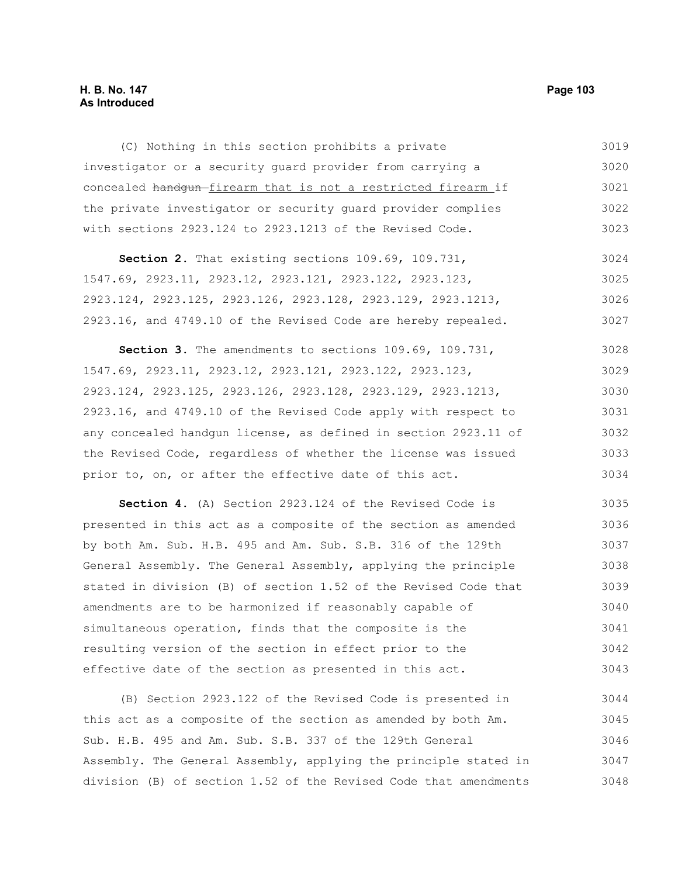## **H. B. No. 147 Page 103 As Introduced**

(C) Nothing in this section prohibits a private investigator or a security guard provider from carrying a concealed handgun firearm that is not a restricted firearm if the private investigator or security guard provider complies with sections 2923.124 to 2923.1213 of the Revised Code. **Section 2.** That existing sections 109.69, 109.731, 1547.69, 2923.11, 2923.12, 2923.121, 2923.122, 2923.123, 2923.124, 2923.125, 2923.126, 2923.128, 2923.129, 2923.1213, 3019 3020 3021 3022 3023 3024 3025 3026

**Section 3.** The amendments to sections 109.69, 109.731, 1547.69, 2923.11, 2923.12, 2923.121, 2923.122, 2923.123, 2923.124, 2923.125, 2923.126, 2923.128, 2923.129, 2923.1213, 2923.16, and 4749.10 of the Revised Code apply with respect to any concealed handgun license, as defined in section 2923.11 of the Revised Code, regardless of whether the license was issued prior to, on, or after the effective date of this act. 3028 3029 3030 3031 3032 3033 3034

2923.16, and 4749.10 of the Revised Code are hereby repealed.

**Section 4.** (A) Section 2923.124 of the Revised Code is presented in this act as a composite of the section as amended by both Am. Sub. H.B. 495 and Am. Sub. S.B. 316 of the 129th General Assembly. The General Assembly, applying the principle stated in division (B) of section 1.52 of the Revised Code that amendments are to be harmonized if reasonably capable of simultaneous operation, finds that the composite is the resulting version of the section in effect prior to the effective date of the section as presented in this act. 3035 3036 3037 3038 3039 3040 3041 3042 3043

(B) Section 2923.122 of the Revised Code is presented in this act as a composite of the section as amended by both Am. Sub. H.B. 495 and Am. Sub. S.B. 337 of the 129th General Assembly. The General Assembly, applying the principle stated in division (B) of section 1.52 of the Revised Code that amendments 3044 3045 3046 3047 3048